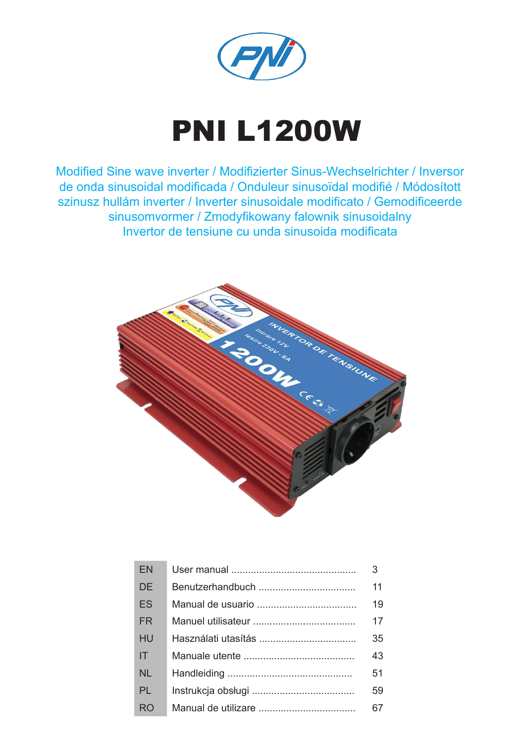

# PNI L1200W

Modified Sine wave inverter / Modifizierter Sinus-Wechselrichter / Inversor de onda sinusoidal modificada / Onduleur sinusoïdal modifié / Módosított szinusz hullám inverter / Inverter sinusoidale modificato / Gemodificeerde sinusomvormer / Zmodyfikowany falownik sinusoidalny Invertor de tensiune cu unda sinusoida modificata



| <b>FN</b> | 3  |
|-----------|----|
| <b>DE</b> | 11 |
| <b>FS</b> | 19 |
| <b>FR</b> | 17 |
| HU        | 35 |
| IT        | 43 |
| <b>NL</b> | 51 |
| <b>PL</b> | 59 |
| <b>RO</b> | 67 |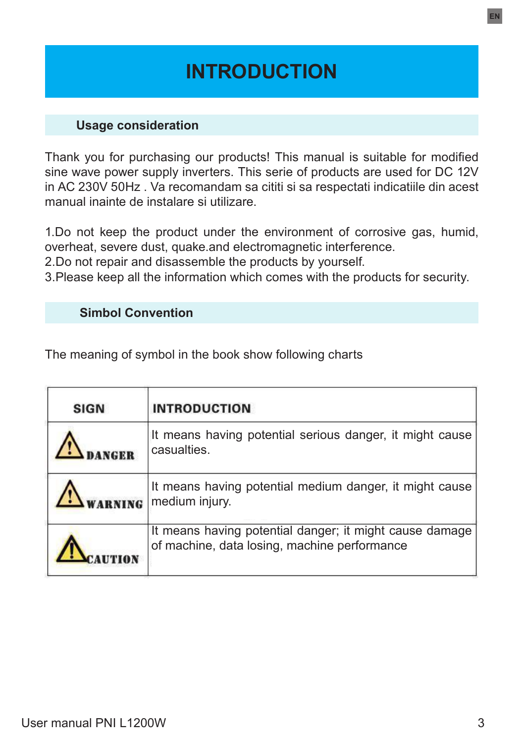# **INTRODUCTION**

#### **Usage consideration**

Thank you for purchasing our products! This manual is suitable for modified sine wave power supply inverters. This serie of products are used for DC 12V in AC 230V 50Hz . Va recomandam sa cititi si sa respectati indicatiile din acest manual inainte de instalare si utilizare.

1.Do not keep the product under the environment of corrosive gas, humid, overheat, severe dust, quake.and electromagnetic interference.

2.Do not repair and disassemble the products by yourself.

3.Please keep all the information which comes with the products for security.

#### **Simbol Convention**

The meaning of symbol in the book show following charts

| <b>SIGN</b> | <b>INTRODUCTION</b>                                                                                     |
|-------------|---------------------------------------------------------------------------------------------------------|
| <b>NGRR</b> | It means having potential serious danger, it might cause<br>casualties.                                 |
|             | It means having potential medium danger, it might cause<br>medium injury.                               |
|             | It means having potential danger; it might cause damage<br>of machine, data losing, machine performance |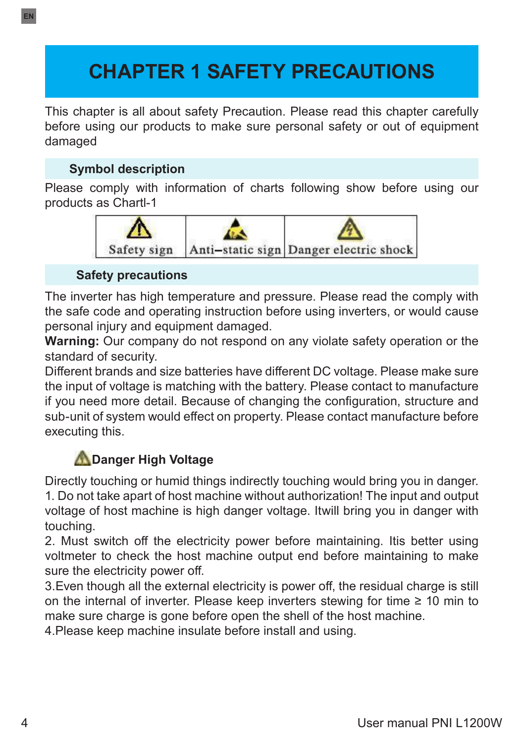# **CHAPTER 1 SAFETY PRECAUTIONS**

This chapter is all about safety Precaution. Please read this chapter carefully before using our products to make sure personal safety or out of equipment damaged

## **Symbol description**

Please comply with information of charts following show before using our products as Chartl-1



#### **Safety precautions**

The inverter has high temperature and pressure. Please read the comply with the safe code and operating instruction before using inverters, or would cause personal injury and equipment damaged.

**Warning:** Our company do not respond on any violate safety operation or the standard of security.

Different brands and size batteries have different DC voltage. Please make sure the input of voltage is matching with the battery. Please contact to manufacture if you need more detail. Because of changing the configuration, structure and sub-unit of system would effect on property. Please contact manufacture before executing this.

## **Danger High Voltage**

Directly touching or humid things indirectly touching would bring you in danger. 1. Do not take apart of host machine without authorization! The input and output voltage of host machine is high danger voltage. Itwill bring you in danger with touching.

2. Must switch off the electricity power before maintaining. Itis better using voltmeter to check the host machine output end before maintaining to make sure the electricity power off.

3.Even though all the external electricity is power off, the residual charge is still on the internal of inverter. Please keep inverters stewing for time  $\geq 10$  min to make sure charge is gone before open the shell of the host machine.

4.Please keep machine insulate before install and using.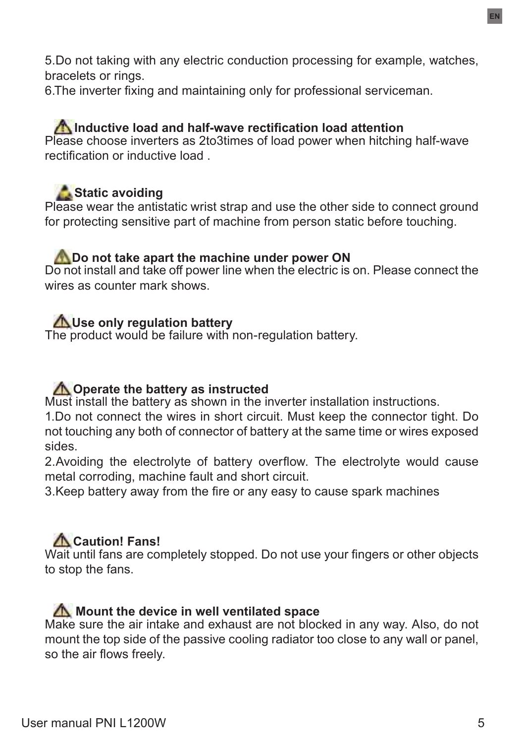5.Do not taking with any electric conduction processing for example, watches, bracelets or rings.

6.The inverter fixing and maintaining only for professional serviceman.

## **A** Inductive load and half-wave rectification load attention

Please choose inverters as 2to3times of load power when hitching half-wave rectification or inductive load .

## **Static avoiding**

Please wear the antistatic wrist strap and use the other side to connect ground for protecting sensitive part of machine from person static before touching.

#### **Do not take apart the machine under power ON**

Do not install and take off power line when the electric is on. Please connect the wires as counter mark shows.

#### **AUse only regulation battery**

The product would be failure with non-regulation battery.

## *Operate the battery as instructed*

Must install the battery as shown in the inverter installation instructions.

1.Do not connect the wires in short circuit. Must keep the connector tight. Do not touching any both of connector of battery at the same time or wires exposed sides.

2.Avoiding the electrolyte of battery overflow. The electrolyte would cause metal corroding, machine fault and short circuit.

3.Keep battery away from the fire or any easy to cause spark machines

## **Caution! Fans!**

Wait until fans are completely stopped. Do not use your fingers or other objects to stop the fans.

#### **M** Mount the device in well ventilated space

Make sure the air intake and exhaust are not blocked in any way. Also, do not mount the top side of the passive cooling radiator too close to any wall or panel, so the air flows freely.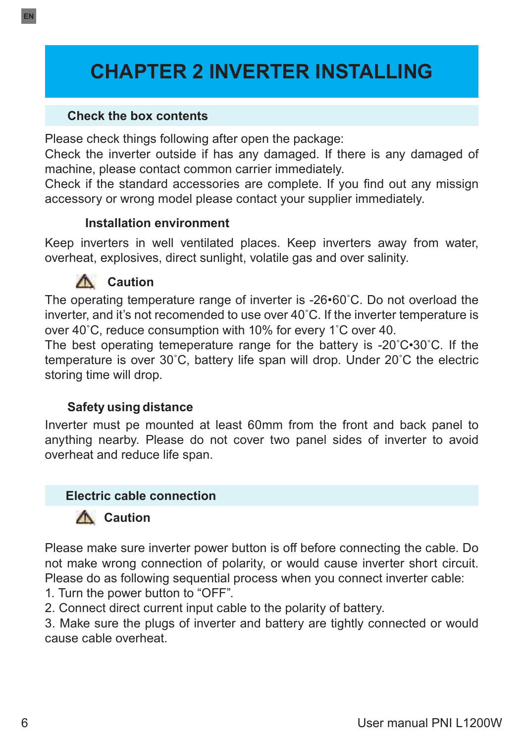# **CHAPTER 2 INVERTER INSTALLING**

#### **Check the box contents**

Please check things following after open the package:

Check the inverter outside if has any damaged. If there is any damaged of machine, please contact common carrier immediately.

Check if the standard accessories are complete. If you find out any missign accessory or wrong model please contact your supplier immediately.

#### **Installation environment**

Keep inverters in well ventilated places. Keep inverters away from water, overheat, explosives, direct sunlight, volatile gas and over salinity.

## **Caution**

The operating temperature range of inverter is -26•60˚C. Do not overload the inverter, and it's not recomended to use over 40˚C. If the inverter temperature is over 40˚C, reduce consumption with 10% for every 1˚C over 40.

The best operating temeperature range for the battery is -20˚C•30˚C. If the temperature is over 30˚C, battery life span will drop. Under 20˚C the electric storing time will drop.

## **Safety using distance**

Inverter must pe mounted at least 60mm from the front and back panel to anything nearby. Please do not cover two panel sides of inverter to avoid overheat and reduce life span.

#### **Electric cable connection**

## **A** Caution

Please make sure inverter power button is off before connecting the cable. Do not make wrong connection of polarity, or would cause inverter short circuit. Please do as following sequential process when you connect inverter cable:

1. Turn the power button to "OFF".

2. Connect direct current input cable to the polarity of battery.

3. Make sure the plugs of inverter and battery are tightly connected or would cause cable overheat.

**EN**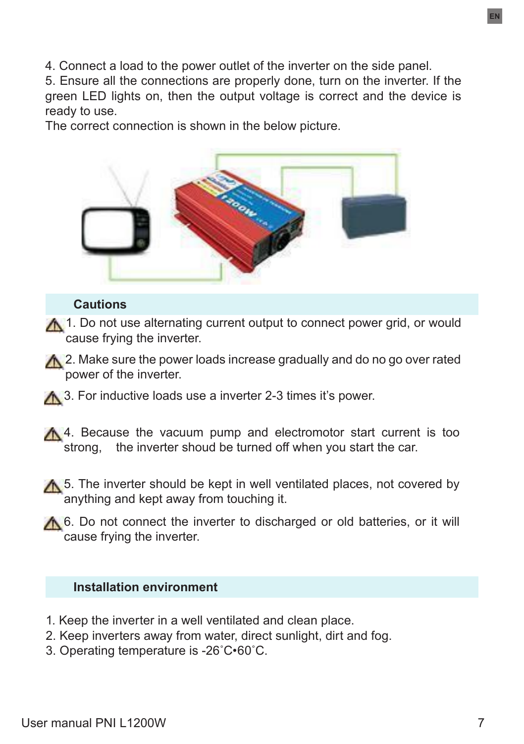4. Connect a load to the power outlet of the inverter on the side panel.

5. Ensure all the connections are properly done, turn on the inverter. If the green LED lights on, then the output voltage is correct and the device is ready to use.

The correct connection is shown in the below picture.



#### **Cautions**

A 1. Do not use alternating current output to connect power grid, or would cause frying the inverter.

A 2. Make sure the power loads increase gradually and do no go over rated power of the inverter.

**A** 3. For inductive loads use a inverter 2-3 times it's power.

A 4. Because the vacuum pump and electromotor start current is too strong, the inverter shoud be turned off when you start the car.

**A** 5. The inverter should be kept in well ventilated places, not covered by anything and kept away from touching it.

A 6. Do not connect the inverter to discharged or old batteries, or it will cause frying the inverter.

#### **Installation environment**

- 1. Keep the inverter in a well ventilated and clean place.
- 2. Keep inverters away from water, direct sunlight, dirt and fog.
- 3. Operating temperature is -26˚C•60˚C.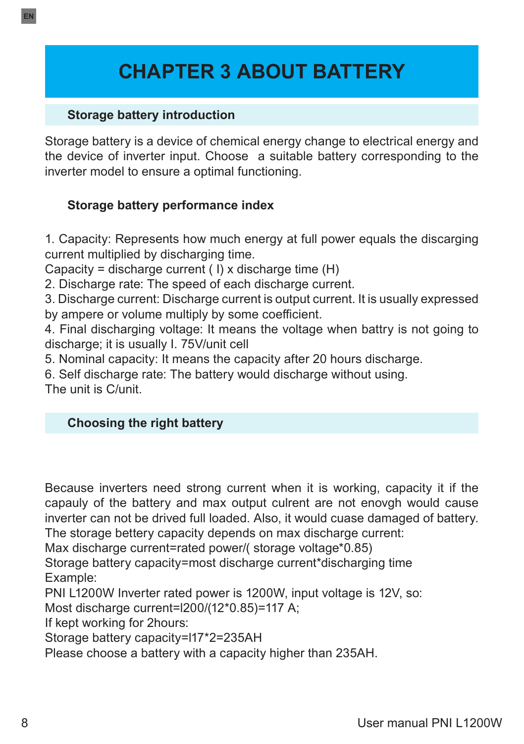# **CHAPTER 3 ABOUT BATTERY**

#### **Storage battery introduction**

Storage battery is a device of chemical energy change to electrical energy and the device of inverter input. Choose a suitable battery corresponding to the inverter model to ensure a optimal functioning.

## **Storage battery performance index**

1. Capacity: Represents how much energy at full power equals the discarging current multiplied by discharging time.

Capacity = discharge current  $(1)$  x discharge time  $(H)$ 

2. Discharge rate: The speed of each discharge current.

3. Discharge current: Discharge current is output current. It is usually expressed by ampere or volume multiply by some coefficient.

4. Final discharging voltage: It means the voltage when battry is not going to discharge; it is usually I. 75V/unit cell

5. Nominal capacity: It means the capacity after 20 hours discharge.

6. Self discharge rate: The battery would discharge without using.

The unit is C/unit.

## **Choosing the right battery**

Because inverters need strong current when it is working, capacity it if the capauly of the battery and max output culrent are not enovah would cause inverter can not be drived full loaded. Also, it would cuase damaged of battery. The storage bettery capacity depends on max discharge current:

Max discharge current=rated power/( storage voltage\*0.85)

Storage battery capacity=most discharge current\*discharging time Example:

PNI L1200W Inverter rated power is 1200W, input voltage is 12V, so:

Most discharge current=l200/(12\*0.85)=117 A;

If kept working for 2hours:

Storage battery capacity=l17\*2=235AH

Please choose a battery with a capacity higher than 235AH.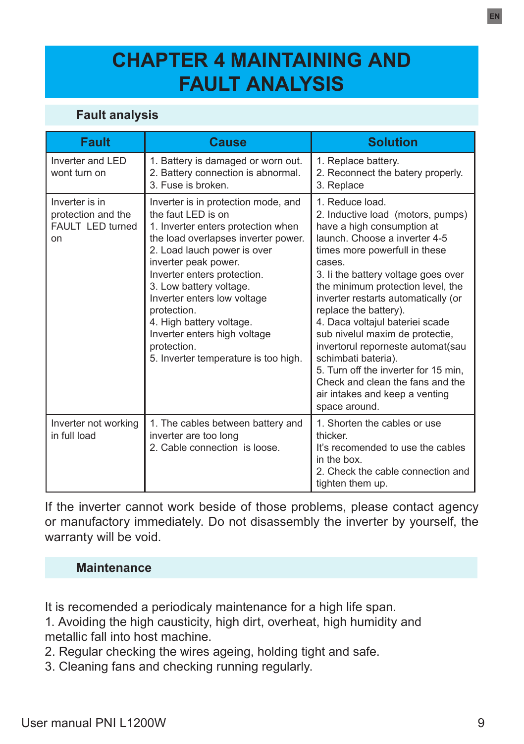## **CHAPTER 4 MAINTAINING AND FAULT ANALYSIS**

## **Fault analysis**

| <b>Fault</b>                                                   | <b>Cause</b>                                                                                                                                                                                                                                                                                                                                                                                                              | <b>Solution</b>                                                                                                                                                                                                                                                                                                                                                                                                                                                                                                                                                             |
|----------------------------------------------------------------|---------------------------------------------------------------------------------------------------------------------------------------------------------------------------------------------------------------------------------------------------------------------------------------------------------------------------------------------------------------------------------------------------------------------------|-----------------------------------------------------------------------------------------------------------------------------------------------------------------------------------------------------------------------------------------------------------------------------------------------------------------------------------------------------------------------------------------------------------------------------------------------------------------------------------------------------------------------------------------------------------------------------|
| Inverter and LED<br>wont turn on                               | 1. Battery is damaged or worn out.<br>2. Battery connection is abnormal.<br>3. Fuse is broken.                                                                                                                                                                                                                                                                                                                            | 1. Replace battery.<br>2. Reconnect the batery properly.<br>3. Replace                                                                                                                                                                                                                                                                                                                                                                                                                                                                                                      |
| Inverter is in<br>protection and the<br>FAULT LED turned<br>on | Inverter is in protection mode, and<br>the faut I FD is on<br>1. Inverter enters protection when<br>the load overlapses inverter power.<br>2. Load lauch power is over<br>inverter peak power.<br>Inverter enters protection.<br>3. Low battery voltage.<br>Inverter enters low voltage<br>protection.<br>4. High battery voltage.<br>Inverter enters high voltage<br>protection.<br>5. Inverter temperature is too high. | 1. Reduce load.<br>2. Inductive load (motors, pumps)<br>have a high consumption at<br>launch. Choose a inverter 4-5<br>times more powerfull in these<br>cases<br>3. Ii the battery voltage goes over<br>the minimum protection level, the<br>inverter restarts automatically (or<br>replace the battery).<br>4. Daca voltajul bateriei scade<br>sub nivelul maxim de protectie,<br>invertorul reporneste automat (sau<br>schimbati bateria).<br>5. Turn off the inverter for 15 min.<br>Check and clean the fans and the<br>air intakes and keep a venting<br>space around. |
| Inverter not working<br>in full load                           | 1. The cables between battery and<br>inverter are too long<br>2. Cable connection is loose.                                                                                                                                                                                                                                                                                                                               | 1. Shorten the cables or use<br>thicker.<br>It's recomended to use the cables<br>in the box<br>2. Check the cable connection and<br>tighten them up.                                                                                                                                                                                                                                                                                                                                                                                                                        |

If the inverter cannot work beside of those problems, please contact agency or manufactory immediately. Do not disassembly the inverter by yourself, the warranty will be void.

#### **Maintenance**

It is recomended a periodicaly maintenance for a high life span.

1. Avoiding the high causticity, high dirt, overheat, high humidity and metallic fall into host machine.

- 2. Regular checking the wires ageing, holding tight and safe.
- 3. Cleaning fans and checking running regularly.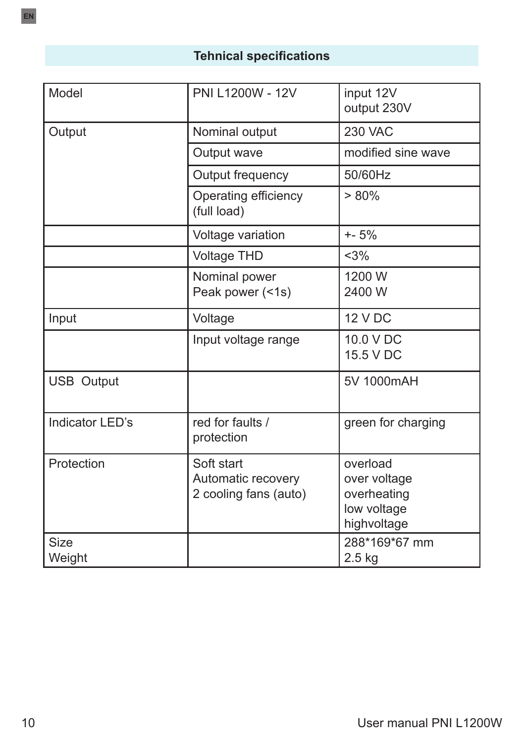## **Tehnical specifications**

| Model             | PNI L1200W - 12V                                          | input 12V<br>output 230V                                              |
|-------------------|-----------------------------------------------------------|-----------------------------------------------------------------------|
| Output            | Nominal output                                            | <b>230 VAC</b>                                                        |
|                   | Output wave                                               | modified sine wave                                                    |
|                   | Output frequency                                          | 50/60Hz                                                               |
|                   | Operating efficiency<br>(full load)                       | $> 80\%$                                                              |
|                   | Voltage variation                                         | $+ - 5%$                                                              |
|                   | <b>Voltage THD</b>                                        | $<$ 3%                                                                |
|                   | Nominal power<br>Peak power (<1s)                         | 1200 W<br>2400 W                                                      |
| Input             | Voltage                                                   | <b>12 V DC</b>                                                        |
|                   | Input voltage range                                       | 10.0 V DC<br>15.5 V DC                                                |
| <b>USB Output</b> |                                                           | 5V 1000mAH                                                            |
| Indicator LED's   | red for faults /<br>protection                            | green for charging                                                    |
| Protection        | Soft start<br>Automatic recovery<br>2 cooling fans (auto) | overload<br>over voltage<br>overheating<br>low voltage<br>highvoltage |
| Size<br>Weight    |                                                           | 288*169*67 mm<br>$2.5$ kg                                             |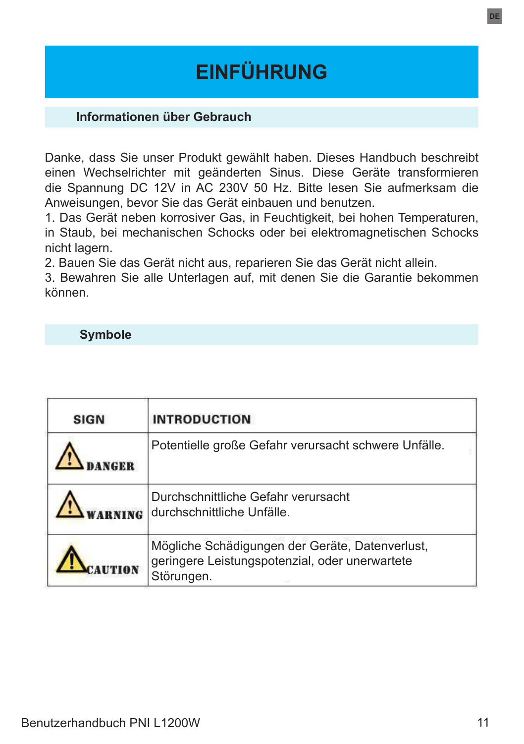# **EINFÜHRUNG**

#### **Informationen über Gebrauch**

Danke, dass Sie unser Produkt gewählt haben. Dieses Handbuch beschreibt einen Wechselrichter mit geänderten Sinus. Diese Geräte transformieren die Spannung DC 12V in AC 230V 50 Hz. Bitte lesen Sie aufmerksam die Anweisungen, bevor Sie das Gerät einbauen und benutzen.

1. Das Gerät neben korrosiver Gas, in Feuchtigkeit, bei hohen Temperaturen, in Staub, bei mechanischen Schocks oder bei elektromagnetischen Schocks nicht lagern.

2. Bauen Sie das Gerät nicht aus, reparieren Sie das Gerät nicht allein.

3. Bewahren Sie alle Unterlagen auf, mit denen Sie die Garantie bekommen können.

#### **Symbole**

| <b>SIGN</b> | <b>INTRODUCTION</b>                                                                                             |
|-------------|-----------------------------------------------------------------------------------------------------------------|
|             | Potentielle große Gefahr verursacht schwere Unfälle.                                                            |
|             | Durchschnittliche Gefahr verursacht<br>durchschnittliche Unfälle.                                               |
|             | Mögliche Schädigungen der Geräte, Datenverlust,<br>geringere Leistungspotenzial, oder unerwartete<br>Störungen. |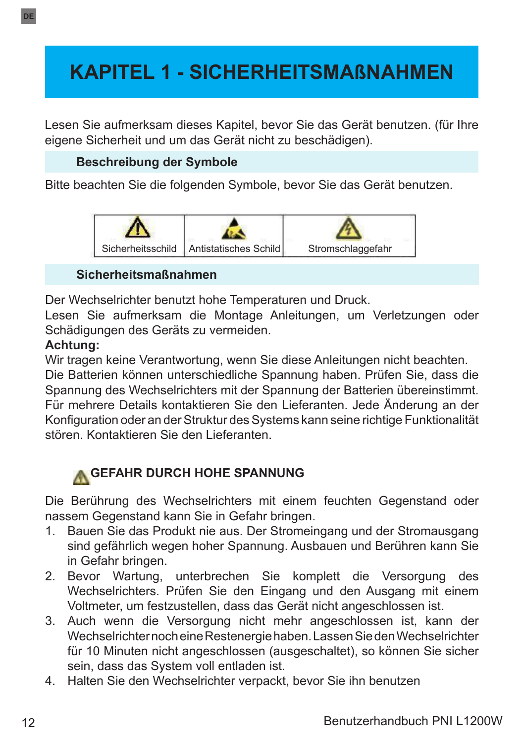# **KAPITEL 1 - SICHERHEITSMAßNAHMEN**

Lesen Sie aufmerksam dieses Kapitel, bevor Sie das Gerät benutzen. (für Ihre eigene Sicherheit und um das Gerät nicht zu beschädigen).

## **Beschreibung der Symbole**

Bitte beachten Sie die folgenden Symbole, bevor Sie das Gerät benutzen.



#### **Sicherheitsmaßnahmen**

Der Wechselrichter benutzt hohe Temperaturen und Druck.

Lesen Sie aufmerksam die Montage Anleitungen, um Verletzungen oder Schädigungen des Geräts zu vermeiden.

## **Achtung:**

Wir tragen keine Verantwortung, wenn Sie diese Anleitungen nicht beachten.

Die Batterien können unterschiedliche Spannung haben. Prüfen Sie, dass die Spannung des Wechselrichters mit der Spannung der Batterien übereinstimmt. Für mehrere Details kontaktieren Sie den Lieferanten. Jede Änderung an der Konfiguration oder an der Struktur des Systems kann seine richtige Funktionalität stören. Kontaktieren Sie den Lieferanten.

## **A GEFAHR DURCH HOHE SPANNUNG**

Die Berührung des Wechselrichters mit einem feuchten Gegenstand oder nassem Gegenstand kann Sie in Gefahr bringen.

- 1. Bauen Sie das Produkt nie aus. Der Stromeingang und der Stromausgang sind gefährlich wegen hoher Spannung. Ausbauen und Berühren kann Sie in Gefahr bringen.
- 2. Bevor Wartung, unterbrechen Sie komplett die Versorgung des Wechselrichters. Prüfen Sie den Eingang und den Ausgang mit einem Voltmeter, um festzustellen, dass das Gerät nicht angeschlossen ist.
- 3. Auch wenn die Versorgung nicht mehr angeschlossen ist, kann der Wechselrichter noch eine Restenergie haben. Lassen Sie den Wechselrichter für 10 Minuten nicht angeschlossen (ausgeschaltet), so können Sie sicher sein, dass das System voll entladen ist.
- 4. Halten Sie den Wechselrichter verpackt, bevor Sie ihn benutzen

**DE**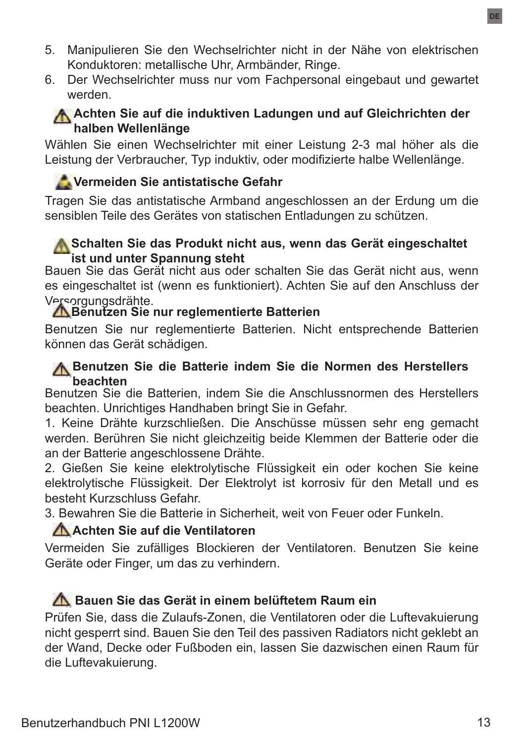- 5. Manipulieren Sie den Wechselrichter nicht in der Nähe von elektrischen Konduktoren: metallische Uhr, Armbänder, Ringe.
- 6. Der Wechselrichter muss nur vom Fachpersonal eingebaut und gewartet werden.

## **A.** Achten Sie auf die induktiven Ladungen und auf Gleichrichten der **halben Wellenlänge**

Wählen Sie einen Wechselrichter mit einer Leistung 2-3 mal höher als die Leistung der Verbraucher, Typ induktiv, oder modifizierte halbe Wellenlänge.

## **Vermeiden Sie antistatische Gefahr**

Tragen Sie das antistatische Armband angeschlossen an der Erdung um die sensiblen Teile des Gerätes von statischen Entladungen zu schützen.

## **A.** Schalten Sie das Produkt nicht aus, wenn das Gerät eingeschaltet **ist und unter Spannung steht**

Bauen Sie das Gerät nicht aus oder schalten Sie das Gerät nicht aus, wenn es eingeschaltet ist (wenn es funktioniert). Achten Sie auf den Anschluss der

# Versorgungsdrähte. **Benutzen Sie nur reglementierte Batterien**

Benutzen Sie nur reglementierte Batterien. Nicht entsprechende Batterien können das Gerät schädigen.

#### **A Benutzen Sie die Batterie indem Sie die Normen des Herstellers beachten**

Benutzen Sie die Batterien, indem Sie die Anschlussnormen des Herstellers beachten. Unrichtiges Handhaben bringt Sie in Gefahr.

1. Keine Drähte kurzschließen. Die Anschüsse müssen sehr eng gemacht werden. Berühren Sie nicht gleichzeitig beide Klemmen der Batterie oder die an der Batterie angeschlossene Drähte.

2. Gießen Sie keine elektrolytische Flüssigkeit ein oder kochen Sie keine elektrolytische Flüssigkeit. Der Elektrolyt ist korrosiv für den Metall und es besteht Kurzschluss Gefahr.

3. Bewahren Sie die Batterie in Sicherheit, weit von Feuer oder Funkeln.

## **Achten Sie auf die Ventilatoren**

Vermeiden Sie zufälliges Blockieren der Ventilatoren. Benutzen Sie keine Geräte oder Finger, um das zu verhindern.

## **Bauen Sie das Gerät in einem belüftetem Raum ein**

Prüfen Sie, dass die Zulaufs-Zonen, die Ventilatoren oder die Luftevakuierung nicht gesperrt sind. Bauen Sie den Teil des passiven Radiators nicht geklebt an der Wand, Decke oder Fußboden ein, lassen Sie dazwischen einen Raum für die Luftevakuierung.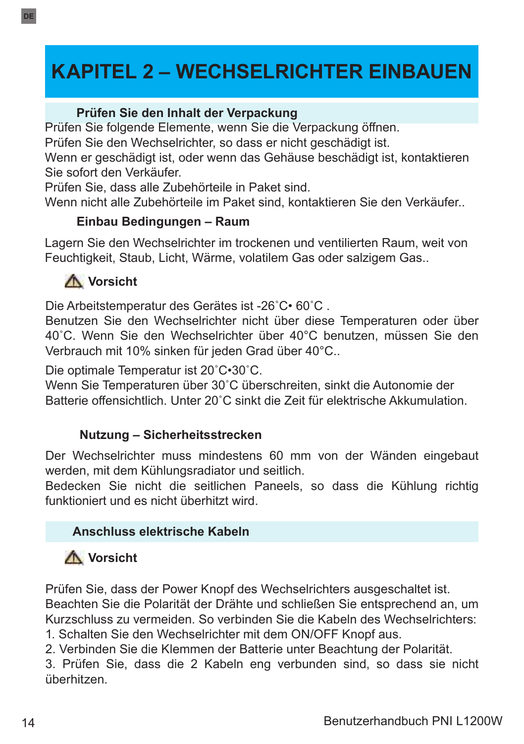# **KAPITEL 2 – WECHSELRICHTER EINBAUEN**

#### **Prüfen Sie den Inhalt der Verpackung**

Prüfen Sie folgende Elemente, wenn Sie die Verpackung öffnen.

Prüfen Sie den Wechselrichter, so dass er nicht geschädigt ist.

Wenn er geschädigt ist, oder wenn das Gehäuse beschädigt ist, kontaktieren Sie sofort den Verkäufer.

Prüfen Sie, dass alle Zubehörteile in Paket sind.

Wenn nicht alle Zubehörteile im Paket sind, kontaktieren Sie den Verkäufer..

## **Einbau Bedingungen – Raum**

Lagern Sie den Wechselrichter im trockenen und ventilierten Raum, weit von Feuchtigkeit, Staub, Licht, Wärme, volatilem Gas oder salzigem Gas..

## **Vorsicht**

**DE**

Die Arbeitstemperatur des Gerätes ist -26˚C• 60˚C .

Benutzen Sie den Wechselrichter nicht über diese Temperaturen oder über 40˚C. Wenn Sie den Wechselrichter über 40°C benutzen, müssen Sie den Verbrauch mit 10% sinken für jeden Grad über 40°C..

Die optimale Temperatur ist 20˚C•30˚C.

Wenn Sie Temperaturen über 30˚C überschreiten, sinkt die Autonomie der Batterie offensichtlich. Unter 20˚C sinkt die Zeit für elektrische Akkumulation.

## **Nutzung – Sicherheitsstrecken**

Der Wechselrichter muss mindestens 60 mm von der Wänden eingebaut werden, mit dem Kühlungsradiator und seitlich.

Bedecken Sie nicht die seitlichen Paneels, so dass die Kühlung richtig funktioniert und es nicht überhitzt wird.

## **Anschluss elektrische Kabeln**

## **Vorsicht**

Prüfen Sie, dass der Power Knopf des Wechselrichters ausgeschaltet ist. Beachten Sie die Polarität der Drähte und schließen Sie entsprechend an, um Kurzschluss zu vermeiden. So verbinden Sie die Kabeln des Wechselrichters: 1. Schalten Sie den Wechselrichter mit dem ON/OFF Knopf aus.

2. Verbinden Sie die Klemmen der Batterie unter Beachtung der Polarität.

3. Prüfen Sie, dass die 2 Kabeln eng verbunden sind, so dass sie nicht überhitzen.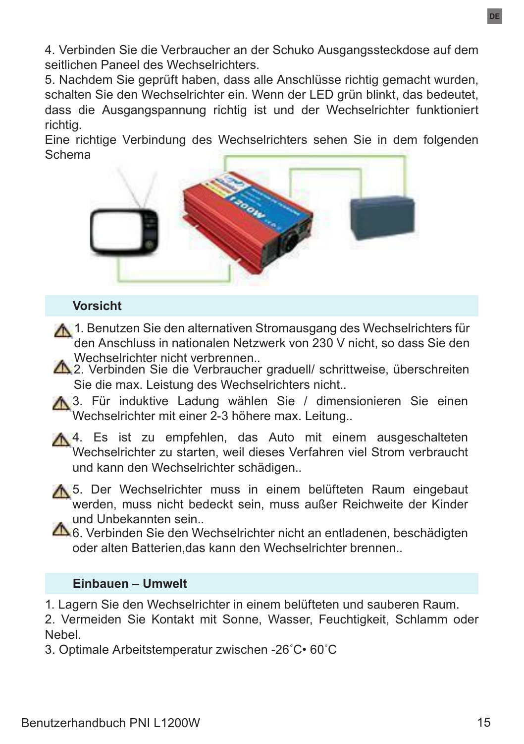4. Verbinden Sie die Verbraucher an der Schuko Ausgangssteckdose auf dem seitlichen Paneel des Wechselrichters.

5. Nachdem Sie geprüft haben, dass alle Anschlüsse richtig gemacht wurden, schalten Sie den Wechselrichter ein. Wenn der LED grün blinkt, das bedeutet, dass die Ausgangspannung richtig ist und der Wechselrichter funktioniert richtig.

Eine richtige Verbindung des Wechselrichters sehen Sie in dem folgenden **Schema** 



#### **Vorsicht**

- 1. Benutzen Sie den alternativen Stromausgang des Wechselrichters für den Anschluss in nationalen Netzwerk von 230 V nicht, so dass Sie den Wechselrichter nicht verbrennen..
- 2. Verbinden Sie die Verbraucher graduell/ schrittweise, überschreiten Sie die max. Leistung des Wechselrichters nicht..
- 13. Für induktive Ladung wählen Sie / dimensionieren Sie einen Wechselrichter mit einer 2-3 höhere max. Leitung..
- A 4. Es ist zu empfehlen, das Auto mit einem ausgeschalteten Wechselrichter zu starten, weil dieses Verfahren viel Strom verbraucht und kann den Wechselrichter schädigen..
- 15. Der Wechselrichter muss in einem belüfteten Raum eingebaut werden, muss nicht bedeckt sein, muss außer Reichweite der Kinder und Unbekannten sein..
- 6. Verbinden Sie den Wechselrichter nicht an entladenen, beschädigten oder alten Batterien,das kann den Wechselrichter brennen..

#### **Einbauen – Umwelt**

1. Lagern Sie den Wechselrichter in einem belüfteten und sauberen Raum.

2. Vermeiden Sie Kontakt mit Sonne, Wasser, Feuchtigkeit, Schlamm oder Nebel.

3. Optimale Arbeitstemperatur zwischen -26˚C• 60˚C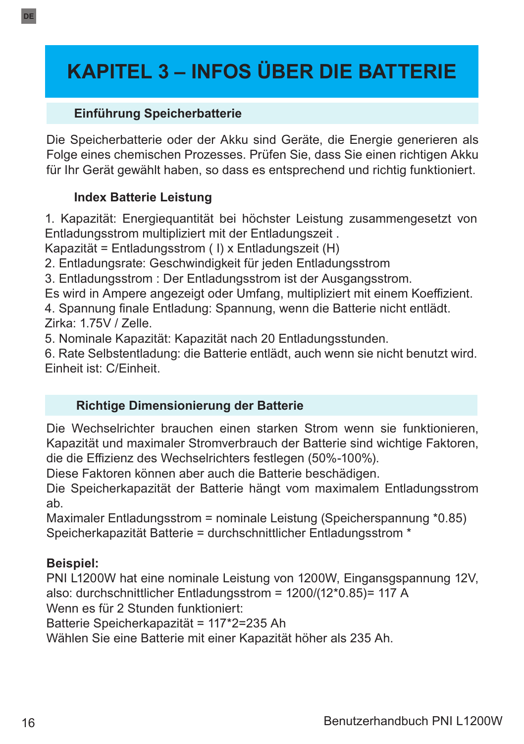# **KAPITEL 3 – INFOS ÜBER DIE BATTERIE**

## **Einführung Speicherbatterie**

Die Speicherbatterie oder der Akku sind Geräte, die Energie generieren als Folge eines chemischen Prozesses. Prüfen Sie, dass Sie einen richtigen Akku für Ihr Gerät gewählt haben, so dass es entsprechend und richtig funktioniert.

## **Index Batterie Leistung**

1. Kapazität: Energiequantität bei höchster Leistung zusammengesetzt von Entladungsstrom multipliziert mit der Entladungszeit .

Kapazität = Entladungsstrom ( I) x Entladungszeit (H)

2. Entladungsrate: Geschwindigkeit für jeden Entladungsstrom

3. Entladungsstrom : Der Entladungsstrom ist der Ausgangsstrom.

Es wird in Ampere angezeigt oder Umfang, multipliziert mit einem Koeffizient.

4. Spannung finale Entladung: Spannung, wenn die Batterie nicht entlädt. Zirka: 1.75V / Zelle.

5. Nominale Kapazität: Kapazität nach 20 Entladungsstunden.

6. Rate Selbstentladung: die Batterie entlädt, auch wenn sie nicht benutzt wird. Einheit ist: C/Einheit.

## **Richtige Dimensionierung der Batterie**

Die Wechselrichter brauchen einen starken Strom wenn sie funktionieren, Kapazität und maximaler Stromverbrauch der Batterie sind wichtige Faktoren, die die Effizienz des Wechselrichters festlegen (50%-100%).

Diese Faktoren können aber auch die Batterie beschädigen.

Die Speicherkapazität der Batterie hängt vom maximalem Entladungsstrom ab.

Maximaler Entladungsstrom = nominale Leistung (Speicherspannung \*0.85) Speicherkapazität Batterie = durchschnittlicher Entladungsstrom \*

## **Beispiel:**

PNI L1200W hat eine nominale Leistung von 1200W, Eingansgspannung 12V, also: durchschnittlicher Entladungsstrom = 1200/(12\*0.85)= 117 A

Wenn es für 2 Stunden funktioniert:

Batterie Speicherkapazität = 117\*2=235 Ah

Wählen Sie eine Batterie mit einer Kapazität höher als 235 Ah.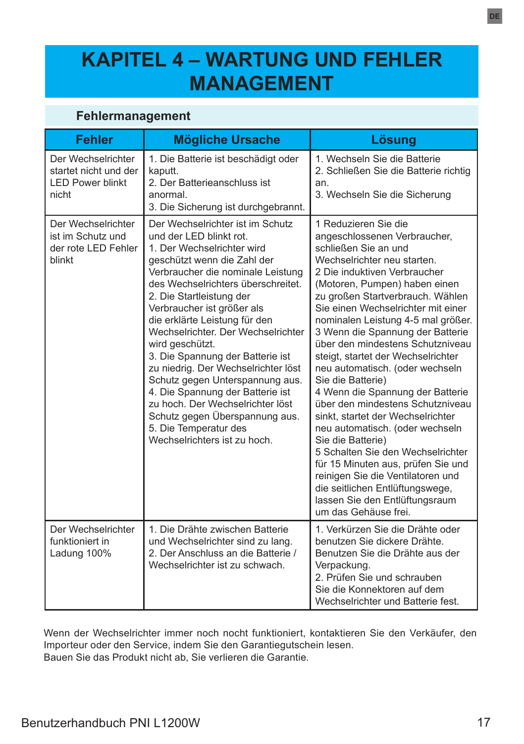## **KAPITEL 4 – WARTUNG UND FEHLER MANAGEMENT**

## **Fehlermanagement**

| <b>Fehler</b>                                                                   | <b>Mögliche Ursache</b>                                                                                                                                                                                                                                                                                                                                                                                                                                                                                                                                                                                                                  | Lösung                                                                                                                                                                                                                                                                                                                                                                                                                                                                                                                                                                                                                                                                                                                                                                                                                                               |
|---------------------------------------------------------------------------------|------------------------------------------------------------------------------------------------------------------------------------------------------------------------------------------------------------------------------------------------------------------------------------------------------------------------------------------------------------------------------------------------------------------------------------------------------------------------------------------------------------------------------------------------------------------------------------------------------------------------------------------|------------------------------------------------------------------------------------------------------------------------------------------------------------------------------------------------------------------------------------------------------------------------------------------------------------------------------------------------------------------------------------------------------------------------------------------------------------------------------------------------------------------------------------------------------------------------------------------------------------------------------------------------------------------------------------------------------------------------------------------------------------------------------------------------------------------------------------------------------|
| Der Wechselrichter<br>startet nicht und der<br><b>LED Power blinkt</b><br>nicht | 1. Die Batterie ist beschädigt oder<br>kaputt.<br>2. Der Batterieanschluss ist<br>anormal<br>3. Die Sicherung ist durchgebrannt.                                                                                                                                                                                                                                                                                                                                                                                                                                                                                                         | 1. Wechseln Sie die Batterie<br>2. Schließen Sie die Batterie richtig<br>an.<br>3. Wechseln Sie die Sicherung                                                                                                                                                                                                                                                                                                                                                                                                                                                                                                                                                                                                                                                                                                                                        |
| Der Wechselrichter<br>ist im Schutz und<br>der rote LED Fehler<br>blinkt        | Der Wechselrichter ist im Schutz<br>und der LED blinkt rot.<br>1. Der Wechselrichter wird<br>geschützt wenn die Zahl der<br>Verbraucher die nominale Leistung<br>des Wechselrichters überschreitet.<br>2. Die Startleistung der<br>Verbraucher ist größer als<br>die erklärte Leistung für den<br>Wechselrichter. Der Wechselrichter<br>wird geschützt.<br>3. Die Spannung der Batterie ist<br>zu niedrig. Der Wechselrichter löst<br>Schutz gegen Unterspannung aus.<br>4. Die Spannung der Batterie ist<br>zu hoch. Der Wechselrichter löst<br>Schutz gegen Überspannung aus.<br>5. Die Temperatur des<br>Wechselrichters ist zu hoch. | 1 Reduzieren Sie die<br>angeschlossenen Verbraucher,<br>schließen Sie an und<br>Wechselrichter neu starten.<br>2 Die induktiven Verbraucher<br>(Motoren, Pumpen) haben einen<br>zu großen Startverbrauch. Wählen<br>Sie einen Wechselrichter mit einer<br>nominalen Leistung 4-5 mal größer.<br>3 Wenn die Spannung der Batterie<br>über den mindestens Schutzniveau<br>steigt, startet der Wechselrichter<br>neu automatisch. (oder wechseln<br>Sie die Batterie)<br>4 Wenn die Spannung der Batterie<br>über den mindestens Schutzniveau<br>sinkt, startet der Wechselrichter<br>neu automatisch. (oder wechseln<br>Sie die Batterie)<br>5 Schalten Sie den Wechselrichter<br>für 15 Minuten aus, prüfen Sie und<br>reinigen Sie die Ventilatoren und<br>die seitlichen Entlüftungswege,<br>lassen Sie den Entlüftungsraum<br>um das Gehäuse frei. |
| Der Wechselrichter<br>funktioniert in<br>Ladung 100%                            | 1. Die Drähte zwischen Batterie<br>und Wechselrichter sind zu lang.<br>2. Der Anschluss an die Batterie /<br>Wechselrichter ist zu schwach.                                                                                                                                                                                                                                                                                                                                                                                                                                                                                              | 1. Verkürzen Sie die Drähte oder<br>benutzen Sie dickere Drähte.<br>Benutzen Sie die Drähte aus der<br>Verpackung.<br>2 Prüfen Sie und schrauben<br>Sie die Konnektoren auf dem<br>Wechselrichter und Batterie fest.                                                                                                                                                                                                                                                                                                                                                                                                                                                                                                                                                                                                                                 |

Wenn der Wechselrichter immer noch nocht funktioniert, kontaktieren Sie den Verkäufer, den Importeur oder den Service, indem Sie den Garantiegutschein lesen. Bauen Sie das Produkt nicht ab, Sie verlieren die Garantie.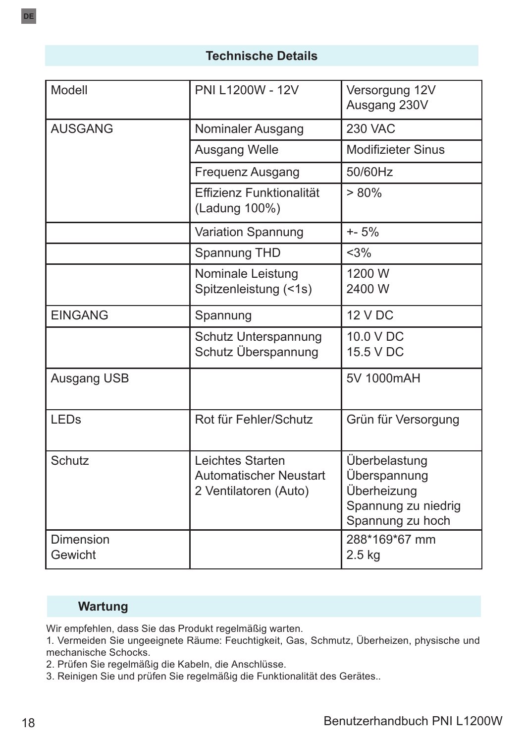## **Technische Details**

| Modell               | PNI L1200W - 12V                                                           | Versorgung 12V<br>Ausgang 230V                                                          |
|----------------------|----------------------------------------------------------------------------|-----------------------------------------------------------------------------------------|
| <b>AUSGANG</b>       | Nominaler Ausgang                                                          | <b>230 VAC</b>                                                                          |
|                      | Ausgang Welle                                                              | <b>Modifizieter Sinus</b>                                                               |
|                      | Frequenz Ausgang                                                           | 50/60Hz                                                                                 |
|                      | <b>Effizienz Funktionalität</b><br>(Ladung 100%)                           | $> 80\%$                                                                                |
|                      | Variation Spannung                                                         | $+ - 5%$                                                                                |
|                      | Spannung THD                                                               | <3%                                                                                     |
|                      | Nominale Leistung<br>Spitzenleistung (<1s)                                 | 1200 W<br>2400 W                                                                        |
| <b>EINGANG</b>       | Spannung                                                                   | 12 V DC                                                                                 |
|                      | Schutz Unterspannung<br>Schutz Überspannung                                | 10.0 V DC<br>15.5 V DC                                                                  |
| Ausgang USB          |                                                                            | 5V 1000mAH                                                                              |
| <b>LEDs</b>          | Rot für Fehler/Schutz                                                      | Grün für Versorgung                                                                     |
| Schutz               | Leichtes Starten<br><b>Automatischer Neustart</b><br>2 Ventilatoren (Auto) | Überbelastung<br>Überspannung<br>Überheizung<br>Spannung zu niedrig<br>Spannung zu hoch |
| Dimension<br>Gewicht |                                                                            | 288*169*67 mm<br>$2.5$ kg                                                               |

## **Wartung**

Wir empfehlen, dass Sie das Produkt regelmäßig warten.

1. Vermeiden Sie ungeeignete Räume: Feuchtigkeit, Gas, Schmutz, Überheizen, physische und mechanische Schocks.

2. Prüfen Sie regelmäßig die Kabeln, die Anschlüsse.

3. Reinigen Sie und prüfen Sie regelmäßig die Funktionalität des Gerätes..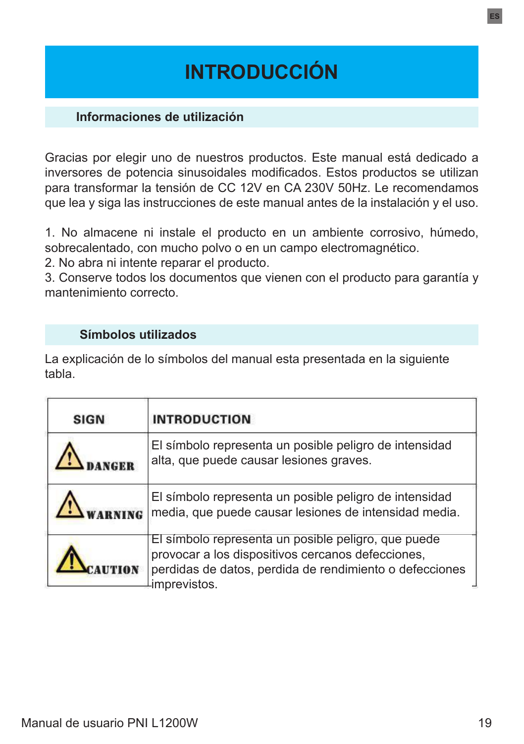# **INTRODUCCIÓN**

#### **Informaciones de utilización**

Gracias por elegir uno de nuestros productos. Este manual está dedicado a inversores de potencia sinusoidales modificados. Estos productos se utilizan para transformar la tensión de CC 12V en CA 230V 50Hz. Le recomendamos que lea y siga las instrucciones de este manual antes de la instalación y el uso.

1. No almacene ni instale el producto en un ambiente corrosivo, húmedo, sobrecalentado, con mucho polvo o en un campo electromagnético.

2. No abra ni intente reparar el producto.

3. Conserve todos los documentos que vienen con el producto para garantía y mantenimiento correcto.

#### **Símbolos utilizados**

La explicación de lo símbolos del manual esta presentada en la siguiente tabla.

| <b>SIGN</b> | <b>INTRODUCTION</b>                                                                                                                                                                 |
|-------------|-------------------------------------------------------------------------------------------------------------------------------------------------------------------------------------|
|             | El símbolo representa un posible peligro de intensidad<br>alta, que puede causar lesiones graves.                                                                                   |
|             | El símbolo representa un posible peligro de intensidad<br>media, que puede causar lesiones de intensidad media.                                                                     |
|             | El símbolo representa un posible peligro, que puede<br>provocar a los dispositivos cercanos defecciones,<br>perdidas de datos, perdida de rendimiento o defecciones<br>imprevistos. |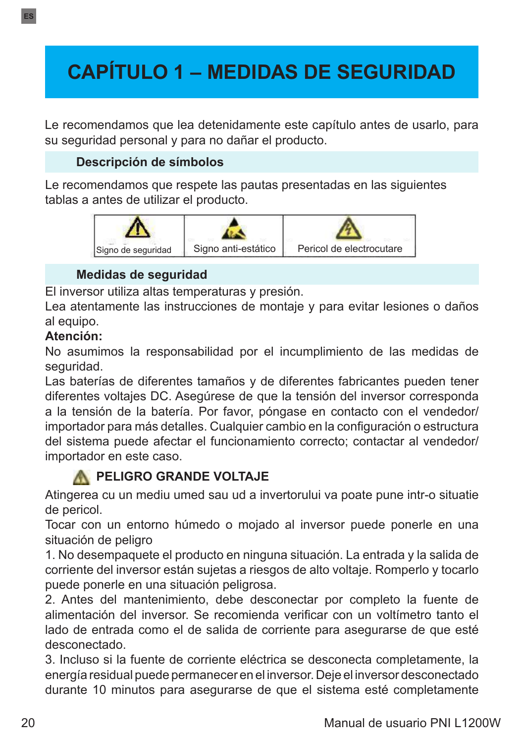# **CAPÍTULO 1 – MEDIDAS DE SEGURIDAD**

Le recomendamos que lea detenidamente este capítulo antes de usarlo, para su seguridad personal y para no dañar el producto.

## **Descripción de símbolos**

Le recomendamos que respete las pautas presentadas en las siguientes tablas a antes de utilizar el producto.



## **Medidas de seguridad**

El inversor utiliza altas temperaturas y presión.

Lea atentamente las instrucciones de montaje y para evitar lesiones o daños al equipo.

## **Atención:**

No asumimos la responsabilidad por el incumplimiento de las medidas de seguridad.

Las baterías de diferentes tamaños y de diferentes fabricantes pueden tener diferentes voltajes DC. Asegúrese de que la tensión del inversor corresponda a la tensión de la batería. Por favor, póngase en contacto con el vendedor/ importador para más detalles. Cualquier cambio en la configuración o estructura del sistema puede afectar el funcionamiento correcto; contactar al vendedor/ importador en este caso.

## **A PELIGRO GRANDE VOLTAJE**

Atingerea cu un mediu umed sau ud a invertorului va poate pune intr-o situatie de pericol.

Tocar con un entorno húmedo o mojado al inversor puede ponerle en una situación de peligro

1. No desempaquete el producto en ninguna situación. La entrada y la salida de corriente del inversor están sujetas a riesgos de alto voltaje. Romperlo y tocarlo puede ponerle en una situación peligrosa.

2. Antes del mantenimiento, debe desconectar por completo la fuente de alimentación del inversor. Se recomienda verificar con un voltímetro tanto el lado de entrada como el de salida de corriente para asegurarse de que esté desconectado.

3. Incluso si la fuente de corriente eléctrica se desconecta completamente, la energía residual puede permanecer en el inversor. Deje el inversor desconectado durante 10 minutos para asegurarse de que el sistema esté completamente

**ES**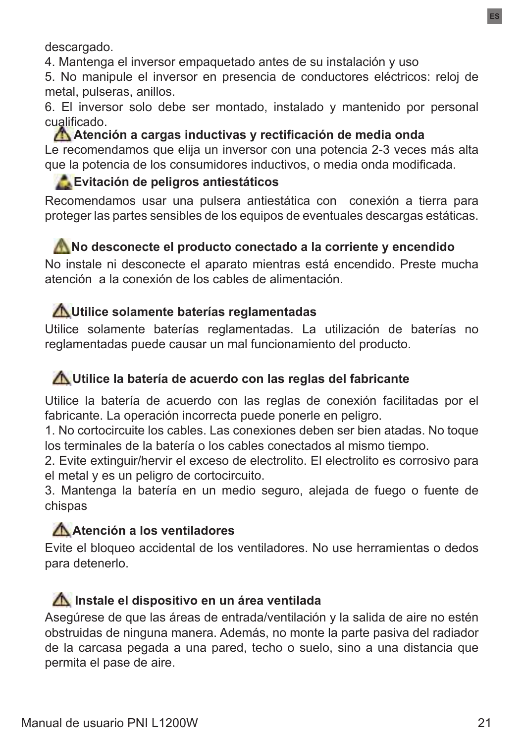descargado.

4. Mantenga el inversor empaquetado antes de su instalación y uso

5. No manipule el inversor en presencia de conductores eléctricos: reloj de metal, pulseras, anillos.

6. El inversor solo debe ser montado, instalado y mantenido por personal cualificado.

**Atención a cargas inductivas y rectificación de media onda**  Le recomendamos que elija un inversor con una potencia 2-3 veces más alta que la potencia de los consumidores inductivos, o media onda modificada.

## **Evitación de peligros antiestáticos**

Recomendamos usar una pulsera antiestática con conexión a tierra para proteger las partes sensibles de los equipos de eventuales descargas estáticas.

## **No desconecte el producto conectado a la corriente y encendido**

No instale ni desconecte el aparato mientras está encendido. Preste mucha atención a la conexión de los cables de alimentación.

## **Utilice solamente baterías reglamentadas**

Utilice solamente baterías reglamentadas. La utilización de baterías no reglamentadas puede causar un mal funcionamiento del producto.

## **Utilice la batería de acuerdo con las reglas del fabricante**

Utilice la batería de acuerdo con las reglas de conexión facilitadas por el fabricante. La operación incorrecta puede ponerle en peligro.

1. No cortocircuite los cables. Las conexiones deben ser bien atadas. No toque los terminales de la batería o los cables conectados al mismo tiempo.

2. Evite extinguir/hervir el exceso de electrolito. El electrolito es corrosivo para el metal y es un peligro de cortocircuito.

3. Mantenga la batería en un medio seguro, alejada de fuego o fuente de chispas

## **Atención a los ventiladores**

Evite el bloqueo accidental de los ventiladores. No use herramientas o dedos para detenerlo.

## **Instale el dispositivo en un área ventilada**

Asegúrese de que las áreas de entrada/ventilación y la salida de aire no estén obstruidas de ninguna manera. Además, no monte la parte pasiva del radiador de la carcasa pegada a una pared, techo o suelo, sino a una distancia que permita el pase de aire.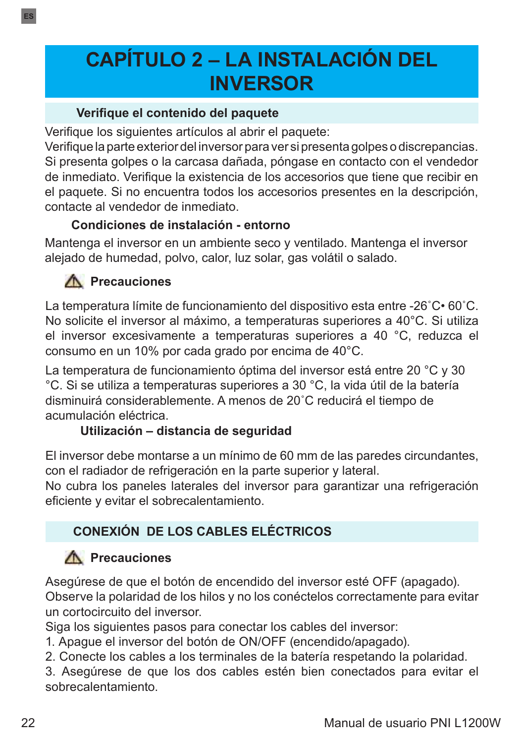# **CAPÍTULO 2 – LA INSTALACIÓN DEL INVERSOR**

## **Verifique el contenido del paquete**

Verifique los siguientes artículos al abrir el paquete:

Verifique la parte exterior del inversor para ver si presenta golpes o discrepancias. Si presenta golpes o la carcasa dañada, póngase en contacto con el vendedor de inmediato. Verifique la existencia de los accesorios que tiene que recibir en el paquete. Si no encuentra todos los accesorios presentes en la descripción, contacte al vendedor de inmediato.

## **Condiciones de instalación - entorno**

Mantenga el inversor en un ambiente seco y ventilado. Mantenga el inversor alejado de humedad, polvo, calor, luz solar, gas volátil o salado.

## **A** Precauciones

La temperatura límite de funcionamiento del dispositivo esta entre -26˚C• 60˚C. No solicite el inversor al máximo, a temperaturas superiores a 40°C. Si utiliza el inversor excesivamente a temperaturas superiores a 40 °C, reduzca el consumo en un 10% por cada grado por encima de 40°C.

La temperatura de funcionamiento óptima del inversor está entre 20 °C y 30 °C. Si se utiliza a temperaturas superiores a 30 °C, la vida útil de la batería disminuirá considerablemente. A menos de 20˚C reducirá el tiempo de acumulación eléctrica.

## **Utilización – distancia de seguridad**

El inversor debe montarse a un mínimo de 60 mm de las paredes circundantes, con el radiador de refrigeración en la parte superior y lateral.

No cubra los paneles laterales del inversor para garantizar una refrigeración eficiente y evitar el sobrecalentamiento.

## **CONEXIÓN DE LOS CABLES ELÉCTRICOS**

## **Precauciones**

Asegúrese de que el botón de encendido del inversor esté OFF (apagado). Observe la polaridad de los hilos y no los conéctelos correctamente para evitar un cortocircuito del inversor.

Siga los siguientes pasos para conectar los cables del inversor:

1. Apague el inversor del botón de ON/OFF (encendido/apagado).

2. Conecte los cables a los terminales de la batería respetando la polaridad.

3. Asegúrese de que los dos cables estén bien conectados para evitar el sobrecalentamiento.

**ES**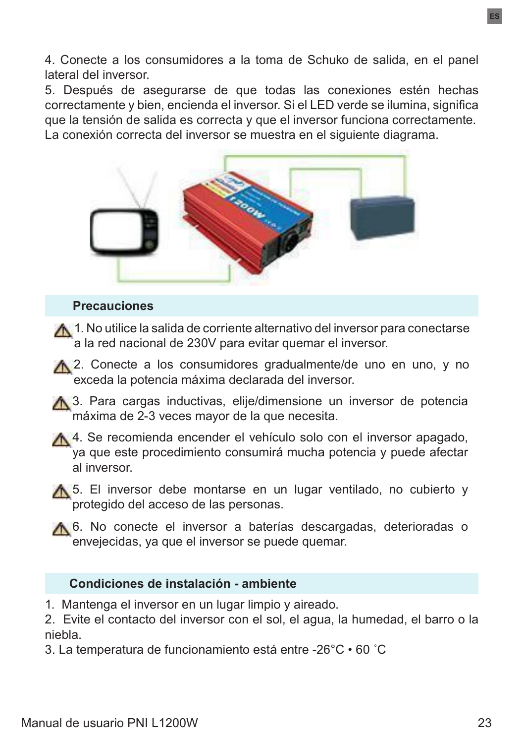4. Conecte a los consumidores a la toma de Schuko de salida, en el panel lateral del inversor.

5. Después de asegurarse de que todas las conexiones estén hechas correctamente y bien, encienda el inversor. Si el LED verde se ilumina, significa que la tensión de salida es correcta y que el inversor funciona correctamente. La conexión correcta del inversor se muestra en el siguiente diagrama.



#### **Precauciones**

 $\mathbf{A}$  1. No utilice la salida de corriente alternativo del inversor para conectarse a la red nacional de 230V para evitar quemar el inversor.

A 2. Conecte a los consumidores gradualmente/de uno en uno, y no exceda la potencia máxima declarada del inversor.

- A 3. Para cargas inductivas, elije/dimensione un inversor de potencia máxima de 2-3 veces mayor de la que necesita.
- A 4. Se recomienda encender el vehículo solo con el inversor apagado, ya que este procedimiento consumirá mucha potencia y puede afectar al inversor.
- **15.** El inversor debe montarse en un lugar ventilado, no cubierto y protegido del acceso de las personas.
- A 6. No conecte el inversor a baterías descargadas, deterioradas o envejecidas, ya que el inversor se puede quemar.

#### **Condiciones de instalación - ambiente**

1. Mantenga el inversor en un lugar limpio y aireado.

2. Evite el contacto del inversor con el sol, el agua, la humedad, el barro o la niebla.

3. La temperatura de funcionamiento está entre -26°C • 60 ˚C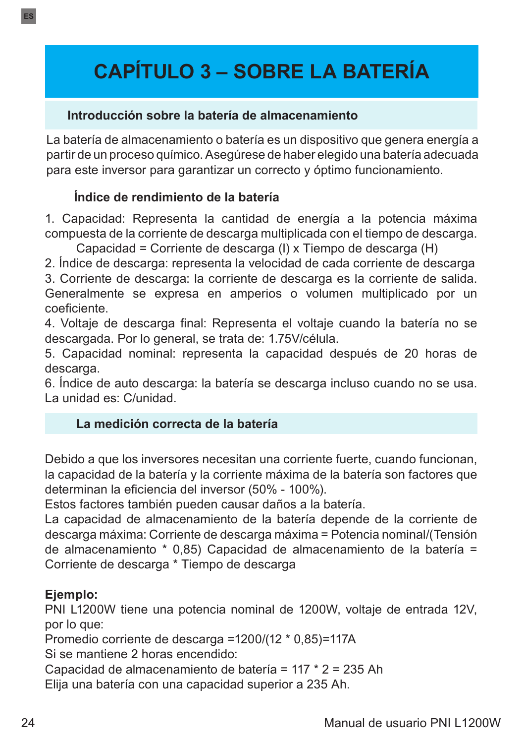# **CAPÍTULO 3 – SOBRE LA BATERÍA**

#### **Introducción sobre la batería de almacenamiento**

La batería de almacenamiento o batería es un dispositivo que genera energía a partir de un proceso químico. Asegúrese de haber elegido una batería adecuada para este inversor para garantizar un correcto y óptimo funcionamiento.

## **Índice de rendimiento de la batería**

1. Capacidad: Representa la cantidad de energía a la potencia máxima compuesta de la corriente de descarga multiplicada con el tiempo de descarga.

Capacidad = Corriente de descarga (I) x Tiempo de descarga (H)

2. Índice de descarga: representa la velocidad de cada corriente de descarga

3. Corriente de descarga: la corriente de descarga es la corriente de salida. Generalmente se expresa en amperios o volumen multiplicado por un coeficiente.

4. Voltaje de descarga final: Representa el voltaje cuando la batería no se descargada. Por lo general, se trata de: 1.75V/célula.

5. Capacidad nominal: representa la capacidad después de 20 horas de descarga.

6. Índice de auto descarga: la batería se descarga incluso cuando no se usa. La unidad es: C/unidad.

## **La medición correcta de la batería**

Debido a que los inversores necesitan una corriente fuerte, cuando funcionan, la capacidad de la batería y la corriente máxima de la batería son factores que determinan la eficiencia del inversor (50% - 100%).

Estos factores también pueden causar daños a la batería.

La capacidad de almacenamiento de la batería depende de la corriente de descarga máxima: Corriente de descarga máxima = Potencia nominal/(Tensión de almacenamiento \* 0,85) Capacidad de almacenamiento de la batería = Corriente de descarga \* Tiempo de descarga

## **Ejemplo:**

PNI L1200W tiene una potencia nominal de 1200W, voltaje de entrada 12V, por lo que:

Promedio corriente de descarga =1200/(12 \* 0,85)=117A

Si se mantiene 2 horas encendido:

Capacidad de almacenamiento de batería = 117 \* 2 = 235 Ah

Elija una batería con una capacidad superior a 235 Ah.

**ES**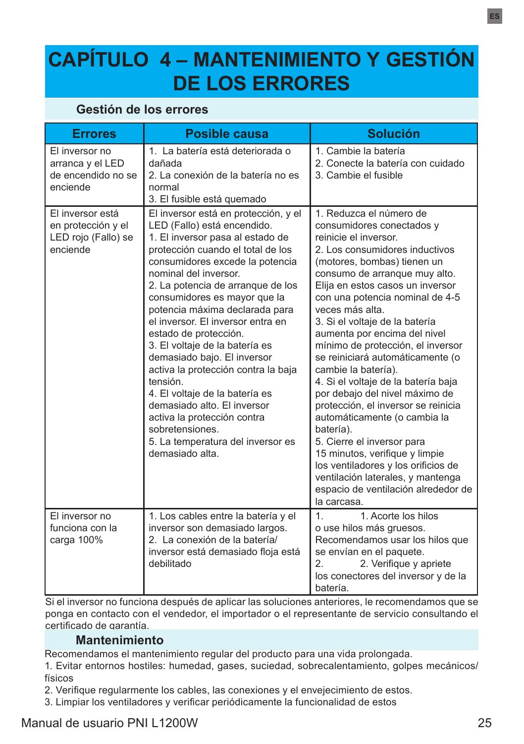# **CAPÍTULO 4 – MANTENIMIENTO Y GESTIÓN DE LOS ERRORES**

#### **Gestión de los errores**

| <b>Errores</b>                                                            | Posible causa                                                                                                                                                                                                                                                                                                                                                                                                                                                                                                                                                                                                                                                              | <b>Solución</b>                                                                                                                                                                                                                                                                                                                                                                                                                                                                                                                                                                                                                                                                                                                                                                                            |
|---------------------------------------------------------------------------|----------------------------------------------------------------------------------------------------------------------------------------------------------------------------------------------------------------------------------------------------------------------------------------------------------------------------------------------------------------------------------------------------------------------------------------------------------------------------------------------------------------------------------------------------------------------------------------------------------------------------------------------------------------------------|------------------------------------------------------------------------------------------------------------------------------------------------------------------------------------------------------------------------------------------------------------------------------------------------------------------------------------------------------------------------------------------------------------------------------------------------------------------------------------------------------------------------------------------------------------------------------------------------------------------------------------------------------------------------------------------------------------------------------------------------------------------------------------------------------------|
| El inversor no<br>arranca y el LED<br>de encendido no se<br>enciende      | 1. La batería está deteriorada o<br>dañada<br>2. La conexión de la batería no es<br>normal<br>3. El fusible está quemado                                                                                                                                                                                                                                                                                                                                                                                                                                                                                                                                                   | 1. Cambie la batería<br>2. Conecte la batería con cuidado<br>3. Cambie el fusible                                                                                                                                                                                                                                                                                                                                                                                                                                                                                                                                                                                                                                                                                                                          |
| El inversor está<br>en protección y el<br>LED rojo (Fallo) se<br>enciende | El inversor está en protección, y el<br>LED (Fallo) está encendido.<br>1. El inversor pasa al estado de<br>protección cuando el total de los<br>consumidores excede la potencia<br>nominal del inversor.<br>2. La potencia de arranque de los<br>consumidores es mayor que la<br>potencia máxima declarada para<br>el inversor. El inversor entra en<br>estado de protección.<br>3. El voltaje de la batería es<br>demasiado bajo. El inversor<br>activa la protección contra la baja<br>tensión<br>4. El voltaje de la batería es<br>demasiado alto. El inversor<br>activa la protección contra<br>sobretensiones.<br>5. La temperatura del inversor es<br>demasiado alta | 1. Reduzca el número de<br>consumidores conectados y<br>reinicie el inversor.<br>2. Los consumidores inductivos<br>(motores, bombas) tienen un<br>consumo de arranque muy alto.<br>Elija en estos casos un inversor<br>con una potencia nominal de 4-5<br>veces más alta.<br>3. Si el voltaje de la batería<br>aumenta por encima del nivel<br>mínimo de protección, el inversor<br>se reiniciará automáticamente (o<br>cambie la batería).<br>4. Si el voltaje de la batería baja<br>por debajo del nivel máximo de<br>protección, el inversor se reinicia<br>automáticamente (o cambia la<br>batería).<br>5. Cierre el inversor para<br>15 minutos, verifique y limpie<br>los ventiladores y los orificios de<br>ventilación laterales, y mantenga<br>espacio de ventilación alrededor de<br>la carcasa. |
| El inversor no<br>funciona con la<br>carga 100%                           | 1. Los cables entre la batería y el<br>inversor son demasiado largos.<br>2. La conexión de la batería/<br>inversor está demasiado floja está<br>debilitado                                                                                                                                                                                                                                                                                                                                                                                                                                                                                                                 | $\mathbf{1}$<br>1. Acorte los hilos<br>o use hilos más gruesos.<br>Recomendamos usar los hilos que<br>se envían en el paquete.<br>2.<br>2. Verifique y apriete<br>los conectores del inversor y de la<br>batería.                                                                                                                                                                                                                                                                                                                                                                                                                                                                                                                                                                                          |

Si el inversor no funciona después de aplicar las soluciones anteriores, le recomendamos que se ponga en contacto con el vendedor, el importador o el representante de servicio consultando el certificado de garantía.

#### **Mantenimiento**

Recomendamos el mantenimiento regular del producto para una vida prolongada.

1. Evitar entornos hostiles: humedad, gases, suciedad, sobrecalentamiento, golpes mecánicos/ físicos

2. Verifique regularmente los cables, las conexiones y el envejecimiento de estos.

3. Limpiar los ventiladores y verificar periódicamente la funcionalidad de estos

## Manual de usuario PNI L1200W 25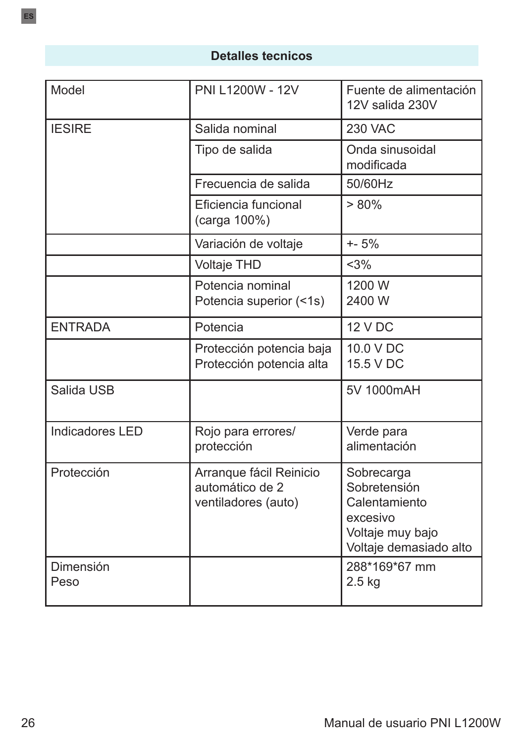## **Detalles tecnicos**

| Model                  | PNI L1200W - 12V                                                  | Fuente de alimentación<br>12V salida 230V                                                             |
|------------------------|-------------------------------------------------------------------|-------------------------------------------------------------------------------------------------------|
| <b>IESIRE</b>          | Salida nominal                                                    | <b>230 VAC</b>                                                                                        |
|                        | Tipo de salida                                                    | Onda sinusoidal<br>modificada                                                                         |
|                        | Frecuencia de salida                                              | 50/60Hz                                                                                               |
|                        | Eficiencia funcional<br>(carga 100%)                              | $> 80\%$                                                                                              |
|                        | Variación de voltaje                                              | $+ - 5%$                                                                                              |
|                        | <b>Voltaje THD</b>                                                | <3%                                                                                                   |
|                        | Potencia nominal<br>Potencia superior (<1s)                       | 1200 W<br>2400 W                                                                                      |
| <b>ENTRADA</b>         | Potencia                                                          | <b>12 V DC</b>                                                                                        |
|                        | Protección potencia baja<br>Protección potencia alta              | 10.0 V DC<br>15.5 V DC                                                                                |
| Salida USB             |                                                                   | 5V 1000mAH                                                                                            |
| <b>Indicadores LED</b> | Rojo para errores/<br>protección                                  | Verde para<br>alimentación                                                                            |
| Protección             | Arranque fácil Reinicio<br>automático de 2<br>ventiladores (auto) | Sobrecarga<br>Sobretensión<br>Calentamiento<br>excesivo<br>Voltaje muy bajo<br>Voltaje demasiado alto |
| Dimensión<br>Peso      |                                                                   | 288*169*67 mm<br>$2.5$ kg                                                                             |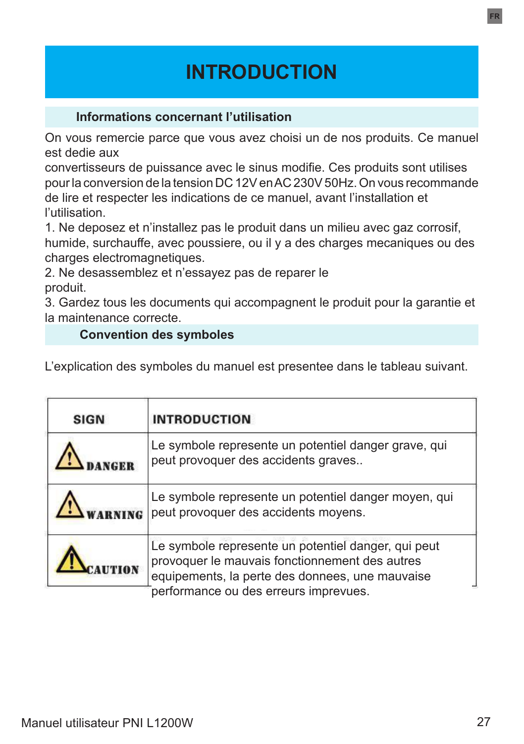# **INTRODUCTION**

## **Informations concernant l'utilisation**

On vous remercie parce que vous avez choisi un de nos produits. Ce manuel est dedie aux

convertisseurs de puissance avec le sinus modifie. Ces produits sont utilises pour la conversion de la tension DC 12V en AC 230V 50Hz. On vous recommande de lire et respecter les indications de ce manuel, avant l'installation et l'utilisation.

1. Ne deposez et n'installez pas le produit dans un milieu avec gaz corrosif, humide, surchauffe, avec poussiere, ou il y a des charges mecaniques ou des charges electromagnetiques.

2. Ne desassemblez et n'essayez pas de reparer le produit.

3. Gardez tous les documents qui accompagnent le produit pour la garantie et la maintenance correcte.

## **Convention des symboles**

L'explication des symboles du manuel est presentee dans le tableau suivant.

| <b>SIGN</b> | <b>INTRODUCTION</b>                                                                                                                                                                               |
|-------------|---------------------------------------------------------------------------------------------------------------------------------------------------------------------------------------------------|
|             | Le symbole represente un potentiel danger grave, qui<br>peut provoquer des accidents graves                                                                                                       |
|             | Le symbole represente un potentiel danger moyen, qui<br>peut provoquer des accidents moyens.                                                                                                      |
|             | Le symbole represente un potentiel danger, qui peut<br>provoquer le mauvais fonctionnement des autres<br>equipements, la perte des donnees, une mauvaise<br>performance ou des erreurs imprevues. |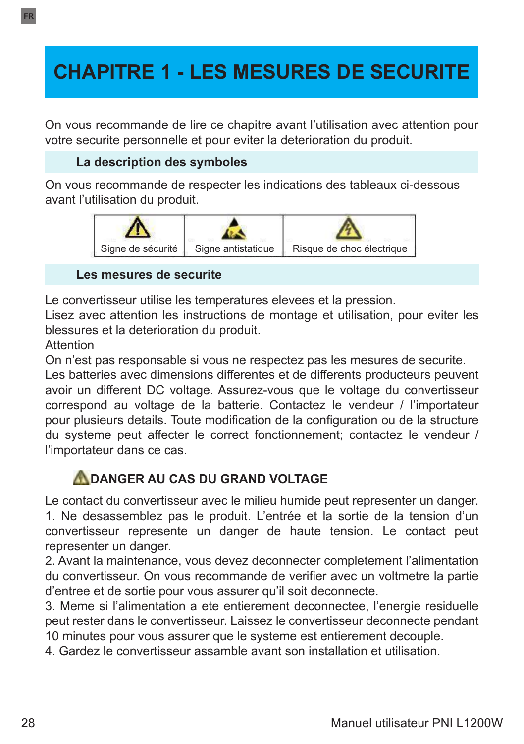# **CHAPITRE 1 - LES MESURES DE SECURITE**

On vous recommande de lire ce chapitre avant l'utilisation avec attention pour votre securite personnelle et pour eviter la deterioration du produit.

## **La description des symboles**

On vous recommande de respecter les indications des tableaux ci-dessous avant l'utilisation du produit.



#### **Les mesures de securite**

Le convertisseur utilise les temperatures elevees et la pression.

Lisez avec attention les instructions de montage et utilisation, pour eviter les blessures et la deterioration du produit.

Attention

On n'est pas responsable si vous ne respectez pas les mesures de securite.

Les batteries avec dimensions differentes et de differents producteurs peuvent avoir un different DC voltage. Assurez-vous que le voltage du convertisseur correspond au voltage de la batterie. Contactez le vendeur / l'importateur pour plusieurs details. Toute modification de la configuration ou de la structure du systeme peut affecter le correct fonctionnement; contactez le vendeur / l'importateur dans ce cas.

## **ADANGER AU CAS DU GRAND VOLTAGE**

Le contact du convertisseur avec le milieu humide peut representer un danger. 1. Ne desassemblez pas le produit. L'entrée et la sortie de la tension d'un convertisseur represente un danger de haute tension. Le contact peut representer un danger.

2. Avant la maintenance, vous devez deconnecter completement l'alimentation du convertisseur. On vous recommande de verifier avec un voltmetre la partie d'entree et de sortie pour vous assurer qu'il soit deconnecte.

3. Meme si l'alimentation a ete entierement deconnectee, l'energie residuelle peut rester dans le convertisseur. Laissez le convertisseur deconnecte pendant 10 minutes pour vous assurer que le systeme est entierement decouple.

4. Gardez le convertisseur assamble avant son installation et utilisation.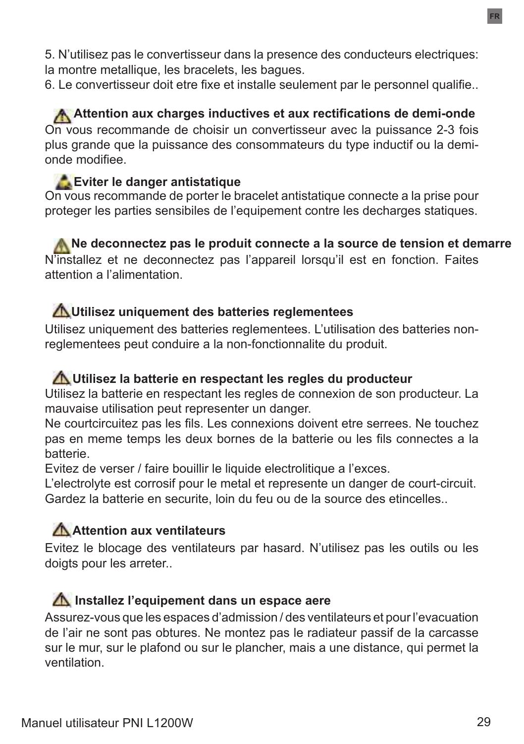5. N'utilisez pas le convertisseur dans la presence des conducteurs electriques: la montre metallique, les bracelets, les bagues.

6. Le convertisseur doit etre fixe et installe seulement par le personnel qualifie..

**Attention aux charges inductives et aux rectifications de demi-onde** On vous recommande de choisir un convertisseur avec la puissance 2-3 fois plus grande que la puissance des consommateurs du type inductif ou la demionde modifiee.

## **Eviter le danger antistatique**

On vous recommande de porter le bracelet antistatique connecte a la prise pour proteger les parties sensibiles de l'equipement contre les decharges statiques.

**A** Ne deconnectez pas le produit connecte a la source de tension et demarre N'installez et ne deconnectez pas l'appareil lorsqu'il est en fonction. Faites attention a l'alimentation.

## **Utilisez uniquement des batteries reglementees**

Utilisez uniquement des batteries reglementees. L'utilisation des batteries nonreglementees peut conduire a la non-fonctionnalite du produit.

## **Utilisez la batterie en respectant les regles du producteur**

Utilisez la batterie en respectant les regles de connexion de son producteur. La mauvaise utilisation peut representer un danger.

Ne courtcircuitez pas les fils. Les connexions doivent etre serrees. Ne touchez pas en meme temps les deux bornes de la batterie ou les fils connectes a la batterie.

Evitez de verser / faire bouillir le liquide electrolitique a l'exces.

L'electrolyte est corrosif pour le metal et represente un danger de court-circuit. Gardez la batterie en securite, loin du feu ou de la source des etincelles..

## **Attention aux ventilateurs**

Evitez le blocage des ventilateurs par hasard. N'utilisez pas les outils ou les doigts pour les arreter..

## **Installez l'equipement dans un espace aere**

Assurez-vous que les espaces d'admission / des ventilateurs et pour l'evacuation de l'air ne sont pas obtures. Ne montez pas le radiateur passif de la carcasse sur le mur, sur le plafond ou sur le plancher, mais a une distance, qui permet la ventilation.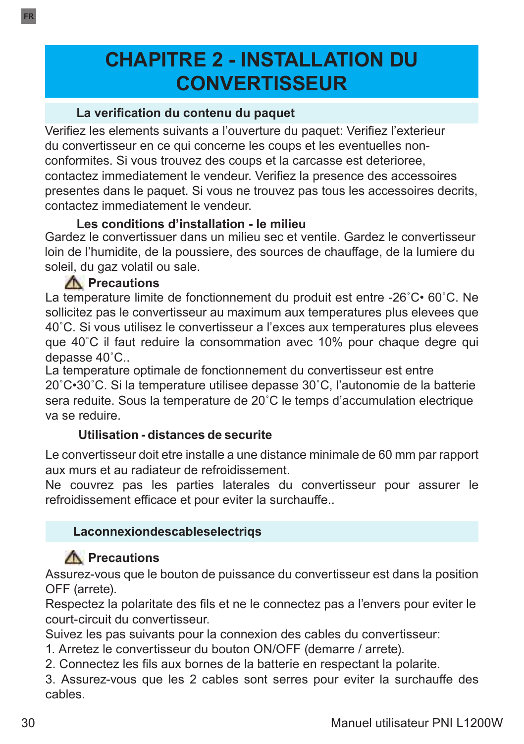# **CHAPITRE 2 - INSTALLATION DU CONVERTISSEUR**

#### **La verification du contenu du paquet**

Verifiez les elements suivants a l'ouverture du paquet: Verifiez l'exterieur du convertisseur en ce qui concerne les coups et les eventuelles nonconformites. Si vous trouvez des coups et la carcasse est deterioree, contactez immediatement le vendeur. Verifiez la presence des accessoires presentes dans le paquet. Si vous ne trouvez pas tous les accessoires decrits, contactez immediatement le vendeur.

#### **Les conditions d'installation - le milieu**

Gardez le convertissuer dans un milieu sec et ventile. Gardez le convertisseur loin de l'humidite, de la poussiere, des sources de chauffage, de la lumiere du soleil, du gaz volatil ou sale.

## **A** Precautions

La temperature limite de fonctionnement du produit est entre -26˚C• 60˚C. Ne sollicitez pas le convertisseur au maximum aux temperatures plus elevees que 40˚C. Si vous utilisez le convertisseur a l'exces aux temperatures plus elevees que 40˚C il faut reduire la consommation avec 10% pour chaque degre qui depasse 40˚C..

La temperature optimale de fonctionnement du convertisseur est entre 20˚C•30˚C. Si la temperature utilisee depasse 30˚C, l'autonomie de la batterie sera reduite. Sous la temperature de 20˚C le temps d'accumulation electrique va se reduire.

## **Utilisation - distances de securite**

Le convertisseur doit etre installe a une distance minimale de 60 mm par rapport aux murs et au radiateur de refroidissement.

Ne couvrez pas les parties laterales du convertisseur pour assurer le refroidissement efficace et pour eviter la surchauffe..

## **Laconnexiondescableselectriqs**

## **A** Precautions

Assurez-vous que le bouton de puissance du convertisseur est dans la position OFF (arrete).

Respectez la polaritate des fils et ne le connectez pas a l'envers pour eviter le court-circuit du convertisseur.

Suivez les pas suivants pour la connexion des cables du convertisseur:

- 1. Arretez le convertisseur du bouton ON/OFF (demarre / arrete).
- 2. Connectez les fils aux bornes de la batterie en respectant la polarite.

3. Assurez-vous que les 2 cables sont serres pour eviter la surchauffe des cables.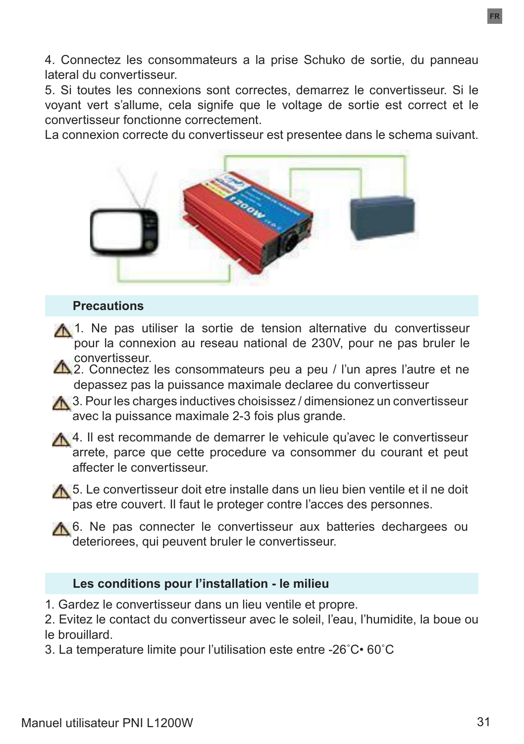4. Connectez les consommateurs a la prise Schuko de sortie, du panneau lateral du convertisseur.

5. Si toutes les connexions sont correctes, demarrez le convertisseur. Si le voyant vert s'allume, cela signife que le voltage de sortie est correct et le convertisseur fonctionne correctement.

La connexion correcte du convertisseur est presentee dans le schema suivant.



#### **Precautions**

- A 1. Ne pas utiliser la sortie de tension alternative du convertisseur pour la connexion au reseau national de 230V, pour ne pas bruler le convertisseur.
- $\triangle$  2. Connectez les consommateurs peu a peu / l'un apres l'autre et ne depassez pas la puissance maximale declaree du convertisseur
- A 3. Pour les charges inductives choisissez / dimensionez un convertisseur avec la puissance maximale 2-3 fois plus grande.
- 4. Il est recommande de demarrer le vehicule qu'avec le convertisseur arrete, parce que cette procedure va consommer du courant et peut affecter le convertisseur.
- **A** 5. Le convertisseur doit etre installe dans un lieu bien ventile et il ne doit pas etre couvert. Il faut le proteger contre l'acces des personnes.
- A 6. Ne pas connecter le convertisseur aux batteries dechargees ou deteriorees, qui peuvent bruler le convertisseur.

#### **Les conditions pour l'installation - le milieu**

- 1. Gardez le convertisseur dans un lieu ventile et propre.
- 2. Evitez le contact du convertisseur avec le soleil, l'eau, l'humidite, la boue ou le brouillard.
- 3. La temperature limite pour l'utilisation este entre -26˚C• 60˚C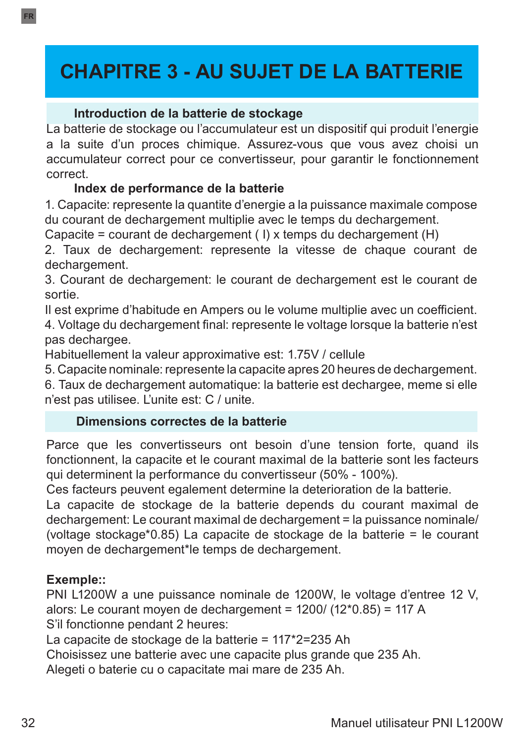# **CHAPITRE 3 - AU SUJET DE LA BATTERIE**

#### **Introduction de la batterie de stockage**

La batterie de stockage ou l'accumulateur est un dispositif qui produit l'energie a la suite d'un proces chimique. Assurez-vous que vous avez choisi un accumulateur correct pour ce convertisseur, pour garantir le fonctionnement correct.

#### **Index de performance de la batterie**

1. Capacite: represente la quantite d'energie a la puissance maximale compose du courant de dechargement multiplie avec le temps du dechargement.

Capacite = courant de dechargement ( I) x temps du dechargement (H)

2. Taux de dechargement: represente la vitesse de chaque courant de dechargement.

3. Courant de dechargement: le courant de dechargement est le courant de sortie.

Il est exprime d'habitude en Ampers ou le volume multiplie avec un coefficient. 4. Voltage du dechargement final: represente le voltage lorsque la batterie n'est pas dechargee.

Habituellement la valeur approximative est: 1.75V / cellule

5. Capacite nominale: represente la capacite apres 20 heures de dechargement.

6. Taux de dechargement automatique: la batterie est dechargee, meme si elle n'est pas utilisee. L'unite est: C / unite.

#### **Dimensions correctes de la batterie**

Parce que les convertisseurs ont besoin d'une tension forte, quand ils fonctionnent, la capacite et le courant maximal de la batterie sont les facteurs qui determinent la performance du convertisseur (50% - 100%).

Ces facteurs peuvent egalement determine la deterioration de la batterie.

La capacite de stockage de la batterie depends du courant maximal de dechargement: Le courant maximal de dechargement = la puissance nominale/ (voltage stockage\*0.85) La capacite de stockage de la batterie = le courant moyen de dechargement\*le temps de dechargement.

#### **Exemple::**

PNI L1200W a une puissance nominale de 1200W, le voltage d'entree 12 V, alors: Le courant moyen de dechargement = 1200/ (12\*0.85) = 117 A S'il fonctionne pendant 2 heures:

La capacite de stockage de la batterie = 117\*2=235 Ah

Choisissez une batterie avec une capacite plus grande que 235 Ah.

Alegeti o baterie cu o capacitate mai mare de 235 Ah.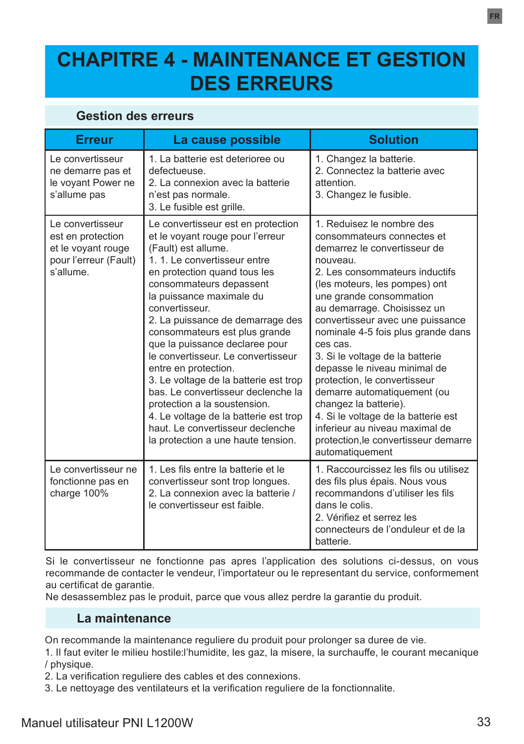# **CHAPITRE 4 - MAINTENANCE ET GESTION DES ERREURS**

#### **Gestion des erreurs**

| <b>Erreur</b>                                                                                     | La cause possible                                                                                                                                                                                                                                                                                                                                                                                                                                                                                                                                                                                                                           | <b>Solution</b>                                                                                                                                                                                                                                                                                                                                                                                                                                                                                                                                                                                                      |
|---------------------------------------------------------------------------------------------------|---------------------------------------------------------------------------------------------------------------------------------------------------------------------------------------------------------------------------------------------------------------------------------------------------------------------------------------------------------------------------------------------------------------------------------------------------------------------------------------------------------------------------------------------------------------------------------------------------------------------------------------------|----------------------------------------------------------------------------------------------------------------------------------------------------------------------------------------------------------------------------------------------------------------------------------------------------------------------------------------------------------------------------------------------------------------------------------------------------------------------------------------------------------------------------------------------------------------------------------------------------------------------|
|                                                                                                   |                                                                                                                                                                                                                                                                                                                                                                                                                                                                                                                                                                                                                                             |                                                                                                                                                                                                                                                                                                                                                                                                                                                                                                                                                                                                                      |
| Le convertisseur<br>ne demarre pas et<br>le voyant Power ne<br>s'allume pas                       | 1. La batterie est deterioree ou<br>defectueuse.<br>2 La connexion avec la batterie<br>n'est pas normale.<br>3. Le fusible est grille.                                                                                                                                                                                                                                                                                                                                                                                                                                                                                                      | 1. Changez la batterie.<br>2. Connectez la batterie avec<br>attention<br>3. Changez le fusible.                                                                                                                                                                                                                                                                                                                                                                                                                                                                                                                      |
| Le convertisseur<br>est en protection<br>et le voyant rouge<br>pour l'erreur (Fault)<br>s'allume. | Le convertisseur est en protection<br>et le voyant rouge pour l'erreur<br>(Fault) est allume.<br>1. 1. Le convertisseur entre<br>en protection quand tous les<br>consommateurs depassent<br>la puissance maximale du<br>convertisseur<br>2. La puissance de demarrage des<br>consommateurs est plus grande<br>que la puissance declaree pour<br>le convertisseur. Le convertisseur<br>entre en protection.<br>3. Le voltage de la batterie est trop<br>bas Le convertisseur declenche la<br>protection a la soustension.<br>4. Le voltage de la batterie est trop<br>haut. Le convertisseur declenche<br>la protection a une haute tension. | 1 Reduisez le nombre des<br>consommateurs connectes et<br>demarrez le convertisseur de<br>nouveau.<br>2. Les consommateurs inductifs<br>(les moteurs, les pompes) ont<br>une grande consommation<br>au demarrage. Choisissez un<br>convertisseur avec une puissance<br>nominale 4-5 fois plus grande dans<br>ces cas.<br>3. Si le voltage de la batterie<br>depasse le niveau minimal de<br>protection, le convertisseur<br>demarre automatiquement (ou<br>changez la batterie).<br>4. Si le voltage de la batterie est<br>inferieur au niveau maximal de<br>protection, le convertisseur demarre<br>automatiquement |
| Le convertisseur ne<br>fonctionne pas en<br>charge 100%                                           | 1. Les fils entre la batterie et le<br>convertisseur sont trop longues.<br>2. La connexion avec la batterie /<br>le convertisseur est faible.                                                                                                                                                                                                                                                                                                                                                                                                                                                                                               | 1. Raccourcissez les fils ou utilisez<br>des fils plus épais. Nous vous<br>recommandons d'utiliser les fils<br>dans le colis<br>2. Vérifiez et serrez les<br>connecteurs de l'onduleur et de la<br>batterie.                                                                                                                                                                                                                                                                                                                                                                                                         |

Si le convertisseur ne fonctionne pas apres l'application des solutions ci-dessus, on vous recommande de contacter le vendeur, l'importateur ou le representant du service, conformement au certificat de garantie.

Ne desassemblez pas le produit, parce que vous allez perdre la garantie du produit.

#### **La maintenance**

On recommande la maintenance reguliere du produit pour prolonger sa duree de vie.

1. Il faut eviter le milieu hostile:l'humidite, les gaz, la misere, la surchauffe, le courant mecanique / physique.

2. La verification reguliere des cables et des connexions.

3. Le nettoyage des ventilateurs et la verification reguliere de la fonctionnalite.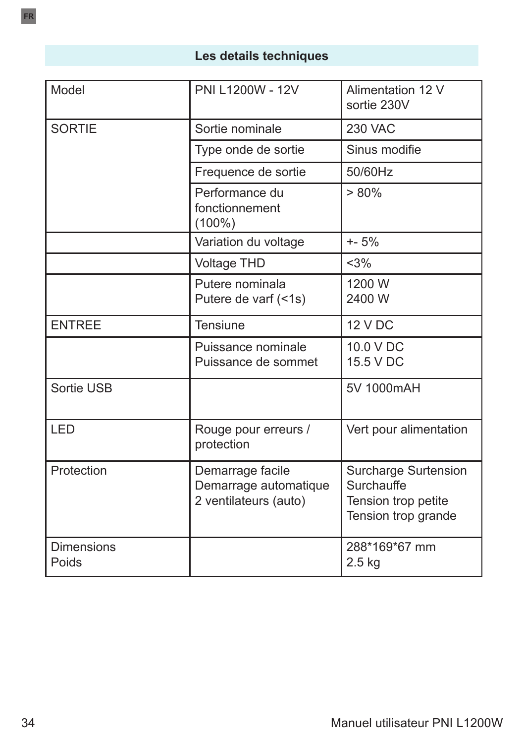## **Les details techniques**

| Model                      | PNI L1200W - 12V                                                   | Alimentation 12 V<br>sortie 230V                                                        |
|----------------------------|--------------------------------------------------------------------|-----------------------------------------------------------------------------------------|
| <b>SORTIE</b>              | Sortie nominale                                                    | <b>230 VAC</b>                                                                          |
|                            | Type onde de sortie                                                | Sinus modifie                                                                           |
|                            | Frequence de sortie                                                | 50/60Hz                                                                                 |
|                            | Performance du<br>fonctionnement<br>$(100\%)$                      | $> 80\%$                                                                                |
|                            | Variation du voltage                                               | $+ - 5%$                                                                                |
|                            | <b>Voltage THD</b>                                                 | $<$ 3%                                                                                  |
|                            | Putere nominala<br>Putere de varf (<1s)                            | 1200 W<br>2400 W                                                                        |
| <b>ENTREE</b>              | <b>Tensiune</b>                                                    | <b>12 V DC</b>                                                                          |
|                            | Puissance nominale<br>Puissance de sommet                          | 10.0 V DC<br>15.5 V DC                                                                  |
| Sortie USB                 |                                                                    | 5V 1000mAH                                                                              |
| <b>LED</b>                 | Rouge pour erreurs /<br>protection                                 | Vert pour alimentation                                                                  |
| Protection                 | Demarrage facile<br>Demarrage automatique<br>2 ventilateurs (auto) | <b>Surcharge Surtension</b><br>Surchauffe<br>Tension trop petite<br>Tension trop grande |
| <b>Dimensions</b><br>Poids |                                                                    | 288*169*67 mm<br>$2.5$ kg                                                               |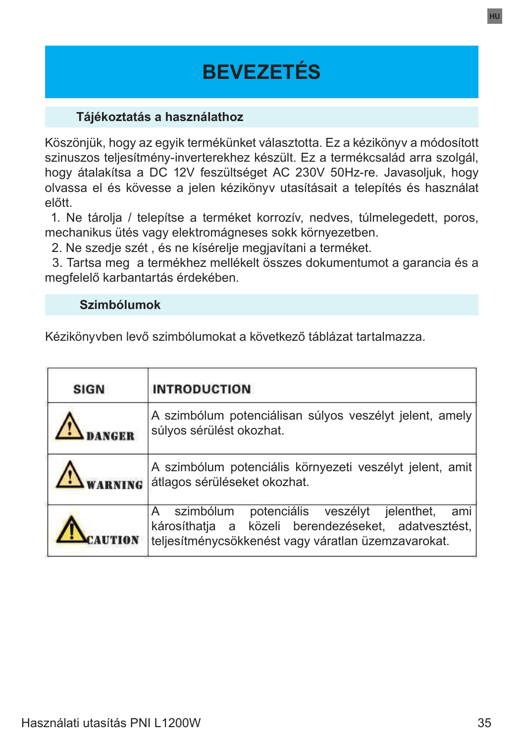# **BEVEZETÉS**

#### **Tájékoztatás a használathoz**

Köszönjük, hogy az egyik termékünket választotta. Ez a kézikönyv a módosított szinuszos teljesítmény-inverterekhez készült. Ez a termékcsalád arra szolgál, hogy átalakítsa a DC 12V feszültséget AC 230V 50Hz-re. Javasoljuk, hogy olvassa el és kövesse a jelen kézikönyv utasításait a telepítés és használat előtt.

 1. Ne tárolja / telepítse a terméket korrozív, nedves, túlmelegedett, poros, mechanikus ütés vagy elektromágneses sokk környezetben.

2. Ne szedje szét , és ne kísérelje megjavítani a terméket.

 3. Tartsa meg a termékhez mellékelt összes dokumentumot a garancia és a megfelelő karbantartás érdekében.

#### **Szimbólumok**

Kézikönyvben levő szimbólumokat a következő táblázat tartalmazza.

| <b>SIGN</b> | <b>INTRODUCTION</b>                                                                                                                                                 |  |
|-------------|---------------------------------------------------------------------------------------------------------------------------------------------------------------------|--|
|             | A szimbólum potenciálisan súlyos veszélyt jelent, amely<br>súlyos sérülést okozhat.                                                                                 |  |
|             | A szimbólum potenciális környezeti veszélyt jelent, amit<br>átlagos sérüléseket okozhat.                                                                            |  |
|             | szimbólum potenciális veszélyt jelenthet,<br>ami<br>A<br>károsíthatja a közeli berendezéseket, adatvesztést,<br>teljesítménycsökkenést vagy váratlan üzemzavarokat. |  |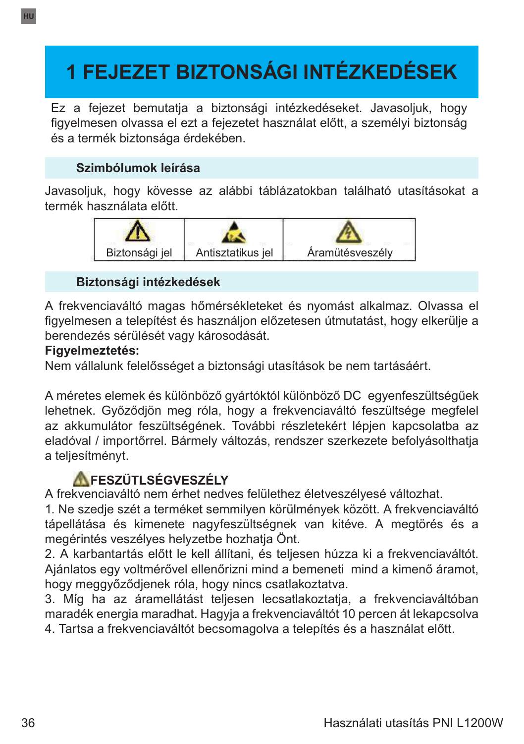# **1 FEJEZET BIZTONSÁGI INTÉZKEDÉSEK**

Ez a fejezet bemutatja a biztonsági intézkedéseket. Javasoljuk, hogy figyelmesen olvassa el ezt a fejezetet használat előtt, a személyi biztonság és a termék biztonsága érdekében.

## **Szimbólumok leírása**

Javasoljuk, hogy kövesse az alábbi táblázatokban található utasításokat a termék használata előtt.



## **Biztonsági intézkedések**

A frekvenciaváltó magas hőmérsékleteket és nyomást alkalmaz. Olvassa el figyelmesen a telepítést és használjon előzetesen útmutatást, hogy elkerülje a berendezés sérülését vagy károsodását.

#### **Figyelmeztetés:**

Nem vállalunk felelősséget a biztonsági utasítások be nem tartásáért.

A méretes elemek és különböző gyártóktól különböző DC egyenfeszültségűek lehetnek. Győződjön meg róla, hogy a frekvenciaváltó feszültsége megfelel az akkumulátor feszültségének. További részletekért lépjen kapcsolatba az eladóval / importőrrel. Bármely változás, rendszer szerkezete befolyásolthatja a teljesítményt.

## **AFESZÜTLSÉGVESZÉLY**

A frekvenciaváltó nem érhet nedves felülethez életveszélyesé változhat.

1. Ne szedje szét a terméket semmilyen körülmények között. A frekvenciaváltó tápellátása és kimenete nagyfeszültségnek van kitéve. A megtörés és a megérintés veszélyes helyzetbe hozhatja Önt.

2. A karbantartás előtt le kell állítani, és teljesen húzza ki a frekvenciaváltót. Ajánlatos egy voltmérővel ellenőrizni mind a bemeneti mind a kimenő áramot, hogy meggyőződjenek róla, hogy nincs csatlakoztatva.

3. Míg ha az áramellátást teljesen lecsatlakoztatja, a frekvenciaváltóban maradék energia maradhat. Hagyja a frekvenciaváltót 10 percen át lekapcsolva

4. Tartsa a frekvenciaváltót becsomagolva a telepítés és a használat előtt.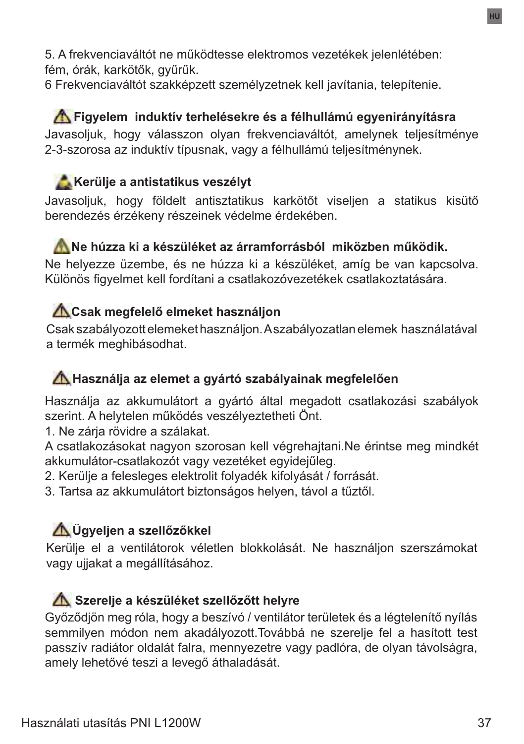5. A frekvenciaváltót ne működtesse elektromos vezetékek jelenlétében: fém, órák, karkötők, gyűrűk.

6 Frekvenciaváltót szakképzett személyzetnek kell javítania, telepítenie.

### **Figyelem induktív terhelésekre és a félhullámú egyenirányításra** Javasoljuk, hogy válasszon olyan frekvenciaváltót, amelynek teljesítménye 2-3-szorosa az induktív típusnak, vagy a félhullámú teljesítménynek.

# **Kerülje a antistatikus veszélyt**

Javasoljuk, hogy földelt antisztatikus karkötőt viseljen a statikus kisütő berendezés érzékeny részeinek védelme érdekében.

## **Ne húzza ki a készüléket az árramforrásból miközben működik.**

Ne helyezze üzembe, és ne húzza ki a készüléket, amíg be van kapcsolva. Különös figyelmet kell fordítani a csatlakozóvezetékek csatlakoztatására.

## **Csak megfelelő elmeket használjon**

Csak szabályozott elemeket használjon. A szabályozatlan elemek használatával a termék meghibásodhat.

## **Használja az elemet a gyártó szabályainak megfelelően**

Használja az akkumulátort a gyártó által megadott csatlakozási szabályok szerint. A helytelen működés veszélyeztetheti Önt.

1. Ne zárja rövidre a szálakat.

A csatlakozásokat nagyon szorosan kell végrehajtani.Ne érintse meg mindkét akkumulátor-csatlakozót vagy vezetéket egyidejűleg.

2. Kerülje a felesleges elektrolit folyadék kifolyását / forrását.

3. Tartsa az akkumulátort biztonságos helyen, távol a tűztől.

# **Ügyeljen a szellőzőkkel**

Kerülje el a ventilátorok véletlen blokkolását. Ne használjon szerszámokat vagy ujjakat a megállításához.

## **A Szerelje a készüléket szellőzőtt helyre**

Győződjön meg róla, hogy a beszívó / ventilátor területek és a légtelenítő nyílás semmilyen módon nem akadályozott.Továbbá ne szerelje fel a hasított test passzív radiátor oldalát falra, mennyezetre vagy padlóra, de olyan távolságra, amely lehetővé teszi a levegő áthaladását.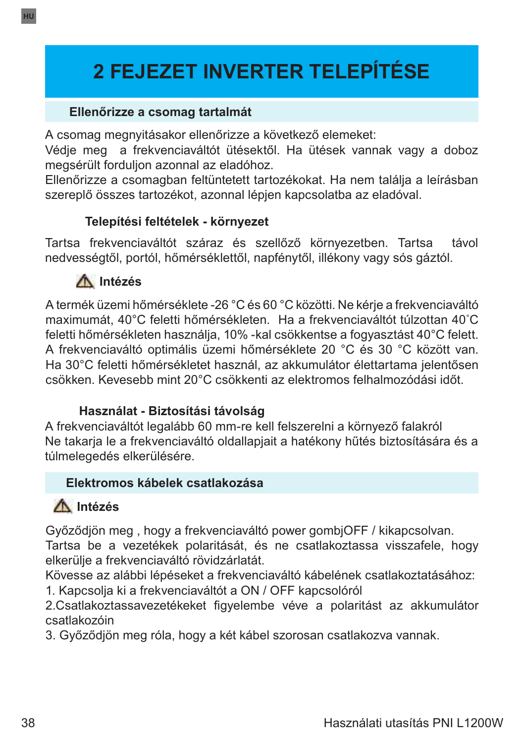# **2 FEJEZET INVERTER TELEPÍTÉSE**

#### **Ellenőrizze a csomag tartalmát**

A csomag megnyitásakor ellenőrizze a következő elemeket:

Védje meg a frekvenciaváltót ütésektől. Ha ütések vannak vagy a doboz megsérült forduljon azonnal az eladóhoz.

Ellenőrizze a csomagban feltüntetett tartozékokat. Ha nem találja a leírásban szereplő összes tartozékot, azonnal lépjen kapcsolatba az eladóval.

#### **Telepítési feltételek - környezet**

Tartsa frekvenciaváltót száraz és szellőző környezetben. Tartsa távol nedvességtől, portól, hőmérséklettől, napfénytől, illékony vagy sós gáztól.



A termék üzemi hőmérséklete -26 °C és 60 °C közötti. Ne kérje a frekvenciaváltó maximumát, 40°C feletti hőmérsékleten. Ha a frekvenciaváltót túlzottan 40˚C feletti hőmérsékleten használja, 10% -kal csökkentse a fogyasztást 40°C felett. A frekvenciaváltó optimális üzemi hőmérséklete 20 °C és 30 °C között van. Ha 30°C feletti hőmérsékletet használ, az akkumulátor élettartama jelentősen csökken. Kevesebb mint 20°C csökkenti az elektromos felhalmozódási időt.

#### **Használat - Biztosítási távolság**

A frekvenciaváltót legalább 60 mm-re kell felszerelni a környező falakról Ne takarja le a frekvenciaváltó oldallapjait a hatékony hűtés biztosítására és a túlmelegedés elkerülésére.

#### **Elektromos kábelek csatlakozása**

# **Intézés**

Győződjön meg , hogy a frekvenciaváltó power gombjOFF / kikapcsolvan.

Tartsa be a vezetékek polaritását, és ne csatlakoztassa visszafele, hogy elkerülje a frekvenciaváltó rövidzárlatát.

Kövesse az alábbi lépéseket a frekvenciaváltó kábelének csatlakoztatásához:

1. Kapcsolja ki a frekvenciaváltót a ON / OFF kapcsolóról

2.Csatlakoztassavezetékeket figyelembe véve a polaritást az akkumulátor csatlakozóin

3. Győződjön meg róla, hogy a két kábel szorosan csatlakozva vannak.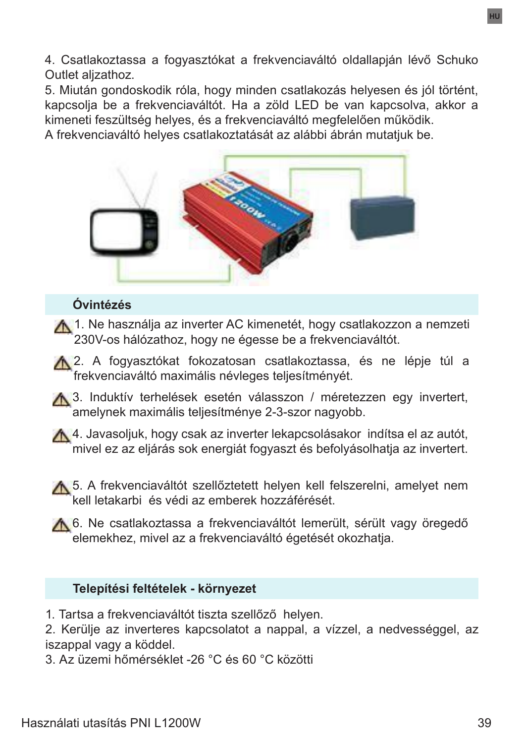4. Csatlakoztassa a fogyasztókat a frekvenciaváltó oldallapján lévő Schuko Outlet aljzathoz.

5. Miután gondoskodik róla, hogy minden csatlakozás helyesen és jól történt, kapcsolja be a frekvenciaváltót. Ha a zöld LED be van kapcsolva, akkor a kimeneti feszültség helyes, és a frekvenciaváltó megfelelően működik.

A frekvenciaváltó helyes csatlakoztatását az alábbi ábrán mutatjuk be.



#### **Óvintézés**

1. Ne használja az inverter AC kimenetét, hogy csatlakozzon a nemzeti 230V-os hálózathoz, hogy ne égesse be a frekvenciaváltót.

A 2. A fogyasztókat fokozatosan csatlakoztassa, és ne lépje túl a frekvenciaváltó maximális névleges teljesítményét.

A 3. Induktív terhelések esetén válasszon / méretezzen egy invertert, amelynek maximális teljesítménye 2-3-szor nagyobb.

4. Javasoljuk, hogy csak az inverter lekapcsolásakor indítsa el az autót, mivel ez az eljárás sok energiát fogyaszt és befolyásolhatja az invertert.

**A** 5. A frekvenciaváltót szellőztetett helyen kell felszerelni, amelyet nem kell letakarbi és védi az emberek hozzáférését.

A 6. Ne csatlakoztassa a frekvenciaváltót lemerült, sérült vagy öregedő elemekhez, mivel az a frekvenciaváltó égetését okozhatja.

#### **Telepítési feltételek - környezet**

1. Tartsa a frekvenciaváltót tiszta szellőző helyen.

2. Kerülje az inverteres kapcsolatot a nappal, a vízzel, a nedvességgel, az iszappal vagy a köddel.

3. Az üzemi hőmérséklet -26 °C és 60 °C közötti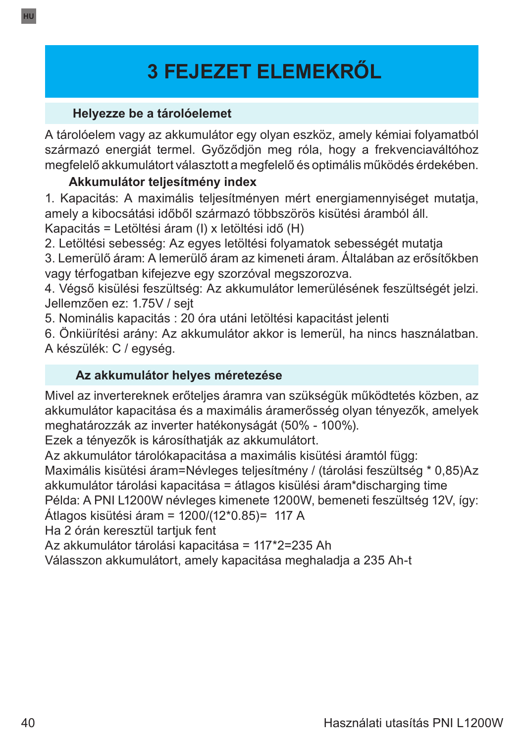# **3 FEJEZET ELEMEKRŐL**

## **Helyezze be a tárolóelemet**

A tárolóelem vagy az akkumulátor egy olyan eszköz, amely kémiai folyamatból származó energiát termel. Győződjön meg róla, hogy a frekvenciaváltóhoz megfelelő akkumulátort választott a megfelelő és optimális működés érdekében.

## **Akkumulátor teljesítmény index**

1. Kapacitás: A maximális teljesítményen mért energiamennyiséget mutatja, amely a kibocsátási időből származó többszörös kisütési áramból áll. Kapacitás = Letöltési áram (I) x letöltési idő (H)

2. Letöltési sebesség: Az egyes letöltési folyamatok sebességét mutatja

3. Lemerülő áram: A lemerülő áram az kimeneti áram. Általában az erősítőkben vagy térfogatban kifejezve egy szorzóval megszorozva.

4. Végső kisülési feszültség: Az akkumulátor lemerülésének feszültségét jelzi. Jellemzően ez: 1.75V / sejt

5. Nominális kapacitás : 20 óra utáni letöltési kapacitást jelenti

6. Önkiürítési arány: Az akkumulátor akkor is lemerül, ha nincs használatban. A készülék: C / egység.

#### **Az akkumulátor helyes méretezése**

Mivel az invertereknek erőteljes áramra van szükségük működtetés közben, az akkumulátor kapacitása és a maximális áramerősség olyan tényezők, amelyek meghatározzák az inverter hatékonyságát (50% - 100%).

Ezek a tényezők is károsíthatják az akkumulátort.

Az akkumulátor tárolókapacitása a maximális kisütési áramtól függ: Maximális kisütési áram=Névleges teljesítmény / (tárolási feszültség \* 0,85)Az

akkumulátor tárolási kapacitása = átlagos kisülési áram\*discharging time

Példa: A PNI L1200W névleges kimenete 1200W, bemeneti feszültség 12V, így:

Átlagos kisütési áram = 1200/(12\*0.85)= 117 A

Ha 2 órán keresztül tartjuk fent

Az akkumulátor tárolási kapacitása = 117\*2=235 Ah

Válasszon akkumulátort, amely kapacitása meghaladja a 235 Ah-t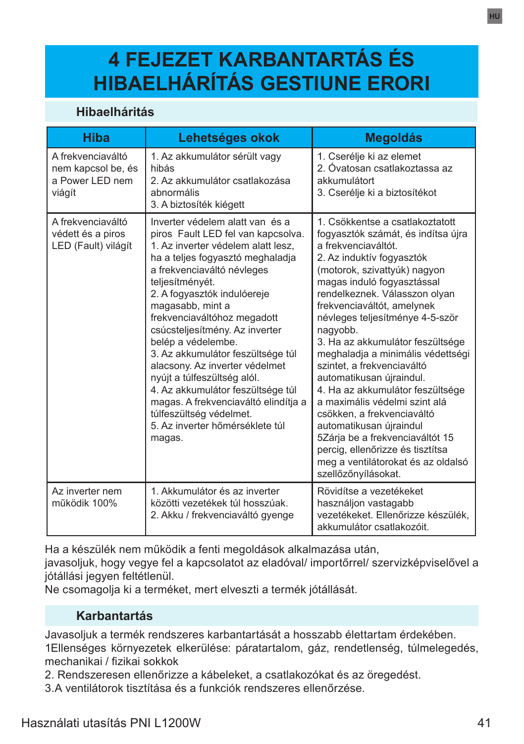# **4 FEJEZET KARBANTARTÁS ÉS HIBAELHÁRÍTÁS GESTIUNE ERORI**

#### **Hibaelháritás**

| Hiba                                                                 | Lehetséges okok                                                                                                                                                                                                                                                                                                                                                                                                                                                                                                                                                                                       | <b>Megoldás</b>                                                                                                                                                                                                                                                                                                                                                                                                                                                                                                                                                                                                                                                                                           |
|----------------------------------------------------------------------|-------------------------------------------------------------------------------------------------------------------------------------------------------------------------------------------------------------------------------------------------------------------------------------------------------------------------------------------------------------------------------------------------------------------------------------------------------------------------------------------------------------------------------------------------------------------------------------------------------|-----------------------------------------------------------------------------------------------------------------------------------------------------------------------------------------------------------------------------------------------------------------------------------------------------------------------------------------------------------------------------------------------------------------------------------------------------------------------------------------------------------------------------------------------------------------------------------------------------------------------------------------------------------------------------------------------------------|
| A frekvenciaváltó<br>nem kapcsol be, és<br>a Power LED nem<br>viágít | 1. Az akkumulátor sérült vagy<br>hibás<br>2. Az akkumulátor csatlakozása<br>abnormális<br>3. A biztosíték kiégett                                                                                                                                                                                                                                                                                                                                                                                                                                                                                     | 1. Cserélje ki az elemet<br>2. Óvatosan csatlakoztassa az<br>akkumulátort<br>3. Cserélje ki a biztosítékot                                                                                                                                                                                                                                                                                                                                                                                                                                                                                                                                                                                                |
| A frekvenciaváltó<br>védett és a piros<br>LED (Fault) világít        | Inverter védelem alatt van és a<br>piros Fault LED fel van kapcsolva.<br>1. Az inverter védelem alatt lesz.<br>ha a teljes fogyasztó meghaladja<br>a frekvenciaváltó névleges<br>teljesítményét.<br>2. A fogyasztók indulóereje<br>magasabb, mint a<br>frekvenciaváltóhoz megadott<br>csúcsteljesítmény. Az inverter<br>belép a védelembe.<br>3. Az akkumulátor feszültsége túl<br>alacsony. Az inverter védelmet<br>nyújt a túlfeszültség alól.<br>4. Az akkumulátor feszültsége túl<br>magas. A frekvenciaváltó elindítja a<br>túlfeszültség védelmet.<br>5. Az inverter hőmérséklete túl<br>magas. | 1. Csökkentse a csatlakoztatott<br>fogyasztók számát, és indítsa újra<br>a frekvenciaváltót<br>2. Az induktív fogyasztók<br>(motorok, szivattyúk) nagyon<br>magas induló fogyasztással<br>rendelkeznek. Válasszon olyan<br>frekvenciaváltót, amelynek<br>névleges teljesítménye 4-5-ször<br>nagyobb.<br>3. Ha az akkumulátor feszültsége<br>meghaladja a minimális védettségi<br>szintet, a frekvenciaváltó<br>automatikusan újraindul.<br>4. Ha az akkumulátor feszültsége<br>a maximális védelmi szint alá<br>csökken, a frekvenciaváltó<br>automatikusan újraindul<br>5Zárja be a frekvenciaváltót 15<br>perciq, ellenőrizze és tisztítsa<br>meg a ventilátorokat és az oldalsó<br>szellőzőnyílásokat. |
| Az inverter nem<br>működik 100%                                      | 1 Akkumulátor és az inverter<br>közötti vezetékek túl hosszúak.<br>2. Akku / frekvenciaváltó gyenge                                                                                                                                                                                                                                                                                                                                                                                                                                                                                                   | Rövidítse a vezetékeket<br>használjon vastagabb<br>vezetékeket. Ellenőrizze készülék.<br>akkumulátor csatlakozóit.                                                                                                                                                                                                                                                                                                                                                                                                                                                                                                                                                                                        |

Ha a készülék nem működik a fenti megoldások alkalmazása után,

javasoljuk, hogy vegye fel a kapcsolatot az eladóval/ importőrrel/ szervizképviselővel a jótállási jegyen feltétlenül.

Ne csomagolja ki a terméket, mert elveszti a termék jótállását.

#### **Karbantartás**

Javasoljuk a termék rendszeres karbantartását a hosszabb élettartam érdekében. 1Ellenséges környezetek elkerülése: páratartalom, gáz, rendetlenség, túlmelegedés, mechanikai / fizikai sokkok

2. Rendszeresen ellenőrizze a kábeleket, a csatlakozókat és az öregedést.

3.A ventilátorok tisztítása és a funkciók rendszeres ellenőrzése.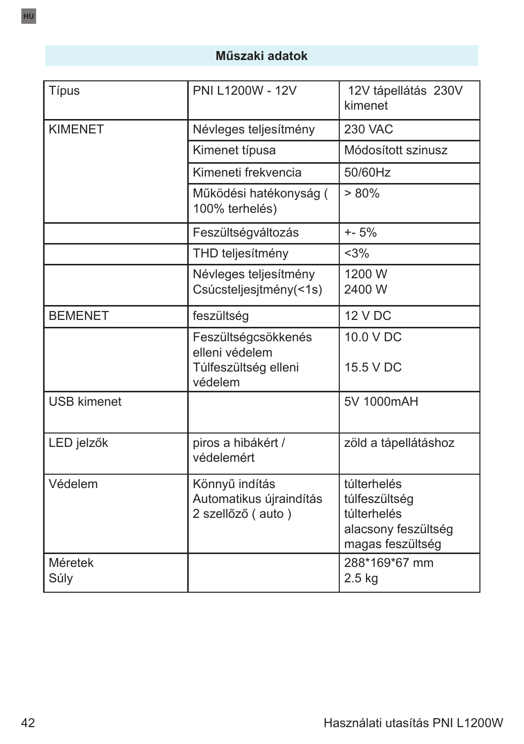## **Műszaki adatok**

| Típus              | PNI L1200W - 12V                                                         | 12V tápellátás 230V<br>kimenet                                                         |
|--------------------|--------------------------------------------------------------------------|----------------------------------------------------------------------------------------|
| <b>KIMENET</b>     | Névleges teljesítmény                                                    | <b>230 VAC</b>                                                                         |
|                    | Kimenet típusa                                                           | Módosított szinusz                                                                     |
|                    | Kimeneti frekvencia                                                      | 50/60Hz                                                                                |
|                    | Működési hatékonyság (<br>100% terhelés)                                 | $> 80\%$                                                                               |
|                    | Feszültségváltozás                                                       | $+ - 5%$                                                                               |
|                    | THD teljesítmény                                                         | <3%                                                                                    |
|                    | Névleges teljesítmény<br>Csúcsteljesjtmény(<1s)                          | 1200 W<br>2400 W                                                                       |
| <b>BEMENET</b>     | feszültség                                                               | <b>12 V DC</b>                                                                         |
|                    | Feszültségcsökkenés<br>elleni védelem<br>Túlfeszültség elleni<br>védelem | 10.0 V DC<br>15.5 V DC                                                                 |
| <b>USB kimenet</b> |                                                                          | 5V 1000mAH                                                                             |
| LED jelzők         | piros a hibákért /<br>védelemért                                         | zöld a tápellátáshoz                                                                   |
| Védelem            | Könnyű indítás<br>Automatikus újraindítás<br>2 szellőző (auto)           | túlterhelés<br>túlfeszültség<br>túlterhelés<br>alacsony feszültség<br>magas feszültség |
| Méretek<br>Súly    |                                                                          | 288*169*67 mm<br>$2.5$ kg                                                              |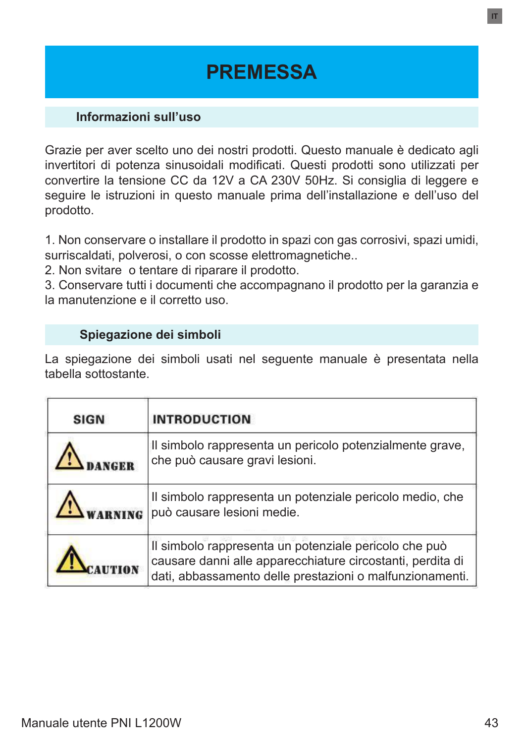# **PREMESSA**

#### **Informazioni sull'uso**

Grazie per aver scelto uno dei nostri prodotti. Questo manuale è dedicato agli invertitori di potenza sinusoidali modificati. Questi prodotti sono utilizzati per convertire la tensione CC da 12V a CA 230V 50Hz. Si consiglia di leggere e seguire le istruzioni in questo manuale prima dell'installazione e dell'uso del prodotto.

1. Non conservare o installare il prodotto in spazi con gas corrosivi, spazi umidi, surriscaldati, polverosi, o con scosse elettromagnetiche..

2. Non svitare o tentare di riparare il prodotto.

3. Conservare tutti i documenti che accompagnano il prodotto per la garanzia e la manutenzione e il corretto uso.

#### **Spiegazione dei simboli**

La spiegazione dei simboli usati nel seguente manuale è presentata nella tabella sottostante.

| <b>SIGN</b> | <b>INTRODUCTION</b>                                                                                                                                                             |
|-------------|---------------------------------------------------------------------------------------------------------------------------------------------------------------------------------|
|             | Il simbolo rappresenta un pericolo potenzialmente grave,<br>che può causare gravi lesioni.                                                                                      |
|             | Il simbolo rappresenta un potenziale pericolo medio, che<br>può causare lesioni medie.                                                                                          |
|             | Il simbolo rappresenta un potenziale pericolo che può<br>causare danni alle apparecchiature circostanti, perdita di<br>dati, abbassamento delle prestazioni o malfunzionamenti. |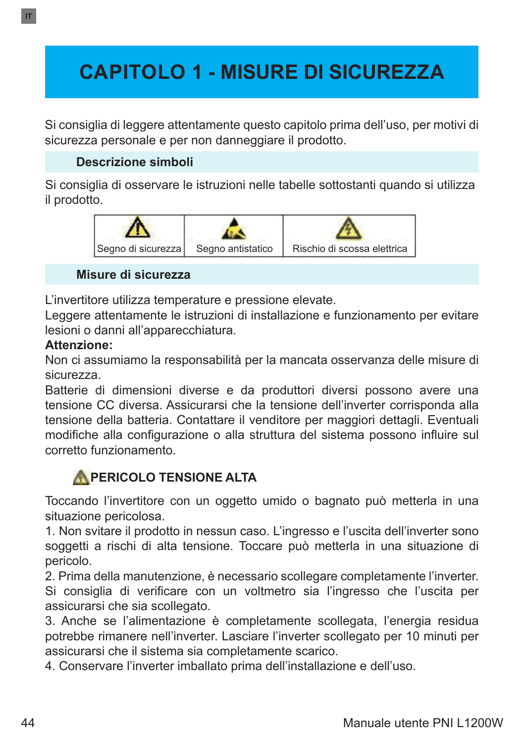# **CAPITOLO 1 - MISURE DI SICUREZZA**

Si consiglia di leggere attentamente questo capitolo prima dell'uso, per motivi di sicurezza personale e per non danneggiare il prodotto.

### **Descrizione simboli**

Si consiglia di osservare le istruzioni nelle tabelle sottostanti quando si utilizza il prodotto.



#### **Misure di sicurezza**

L'invertitore utilizza temperature e pressione elevate.

Leggere attentamente le istruzioni di installazione e funzionamento per evitare lesioni o danni all'apparecchiatura.

#### **Attenzione:**

Non ci assumiamo la responsabilità per la mancata osservanza delle misure di sicurezza.

Batterie di dimensioni diverse e da produttori diversi possono avere una tensione CC diversa. Assicurarsi che la tensione dell'inverter corrisponda alla tensione della batteria. Contattare il venditore per maggiori dettagli. Eventuali modifiche alla configurazione o alla struttura del sistema possono influire sul corretto funzionamento.

## **APERICOLO TENSIONE ALTA**

Toccando l'invertitore con un oggetto umido o bagnato può metterla in una situazione pericolosa.

1. Non svitare il prodotto in nessun caso. L'ingresso e l'uscita dell'inverter sono soggetti a rischi di alta tensione. Toccare può metterla in una situazione di pericolo.

2. Prima della manutenzione, è necessario scollegare completamente l'inverter. Si consiglia di verificare con un voltmetro sia l'ingresso che l'uscita per assicurarsi che sia scollegato.

3. Anche se l'alimentazione è completamente scollegata, l'energia residua potrebbe rimanere nell'inverter. Lasciare l'inverter scollegato per 10 minuti per assicurarsi che il sistema sia completamente scarico.

4. Conservare l'inverter imballato prima dell'installazione e dell'uso.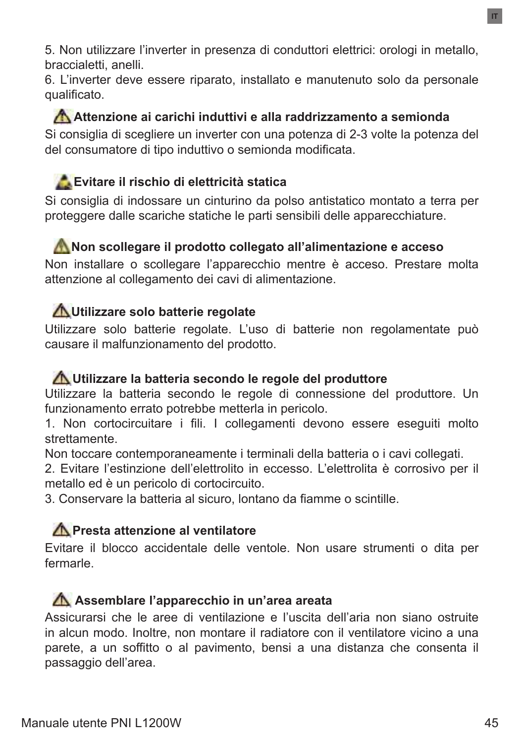5. Non utilizzare l'inverter in presenza di conduttori elettrici: orologi in metallo, braccialetti, anelli.

6. L'inverter deve essere riparato, installato e manutenuto solo da personale qualificato.

**Attenzione ai carichi induttivi e alla raddrizzamento a semionda** Si consiglia di scegliere un inverter con una potenza di 2-3 volte la potenza del del consumatore di tipo induttivo o semionda modificata.

## **Evitare il rischio di elettricità statica**

Si consiglia di indossare un cinturino da polso antistatico montato a terra per proteggere dalle scariche statiche le parti sensibili delle apparecchiature.

### **Non scollegare il prodotto collegato all'alimentazione e acceso**

Non installare o scollegare l'apparecchio mentre è acceso. Prestare molta attenzione al collegamento dei cavi di alimentazione.

## **Utilizzare solo batterie regolate**

Utilizzare solo batterie regolate. L'uso di batterie non regolamentate può causare il malfunzionamento del prodotto.

#### **Utilizzare la batteria secondo le regole del produttore**

Utilizzare la batteria secondo le regole di connessione del produttore. Un funzionamento errato potrebbe metterla in pericolo.

1. Non cortocircuitare i fili. I collegamenti devono essere eseguiti molto strettamente.

Non toccare contemporaneamente i terminali della batteria o i cavi collegati.

2. Evitare l'estinzione dell'elettrolito in eccesso. L'elettrolita è corrosivo per il metallo ed è un pericolo di cortocircuito.

3. Conservare la batteria al sicuro, lontano da fiamme o scintille.

### **Presta attenzione al ventilatore**

Evitare il blocco accidentale delle ventole. Non usare strumenti o dita per fermarle.

### **Assemblare l'apparecchio in un'area areata**

Assicurarsi che le aree di ventilazione e l'uscita dell'aria non siano ostruite in alcun modo. Inoltre, non montare il radiatore con il ventilatore vicino a una parete, a un soffitto o al pavimento, bensi a una distanza che consenta il passaggio dell'area.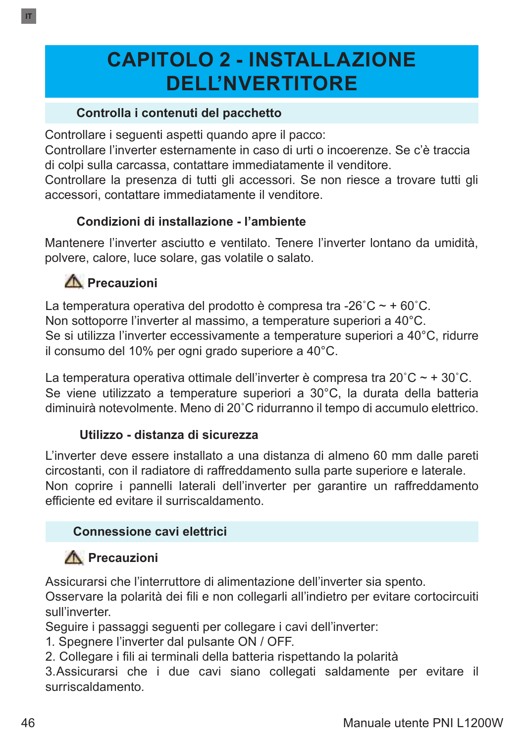# **CAPITOLO 2 - INSTALLAZIONE DELL'NVERTITORE**

### **Controlla i contenuti del pacchetto**

Controllare i seguenti aspetti quando apre il pacco:

Controllare l'inverter esternamente in caso di urti o incoerenze. Se c'è traccia di colpi sulla carcassa, contattare immediatamente il venditore.

Controllare la presenza di tutti gli accessori. Se non riesce a trovare tutti gli accessori, contattare immediatamente il venditore.

### **Condizioni di installazione - l'ambiente**

Mantenere l'inverter asciutto e ventilato. Tenere l'inverter lontano da umidità, polvere, calore, luce solare, gas volatile o salato.

## **Precauzioni**

La temperatura operativa del prodotto è compresa tra -26 $^{\circ}$ C ~ + 60 $^{\circ}$ C. Non sottoporre l'inverter al massimo, a temperature superiori a 40°C. Se si utilizza l'inverter eccessivamente a temperature superiori a 40°C, ridurre il consumo del 10% per ogni grado superiore a 40°C.

La temperatura operativa ottimale dell'inverter è compresa tra 20 $^{\circ}$ C ~ + 30 $^{\circ}$ C. Se viene utilizzato a temperature superiori a 30°C, la durata della batteria diminuirà notevolmente. Meno di 20˚C ridurranno il tempo di accumulo elettrico.

#### **Utilizzo - distanza di sicurezza**

L'inverter deve essere installato a una distanza di almeno 60 mm dalle pareti circostanti, con il radiatore di raffreddamento sulla parte superiore e laterale. Non coprire i pannelli laterali dell'inverter per garantire un raffreddamento efficiente ed evitare il surriscaldamento.

### **Connessione cavi elettrici**

# **Precauzioni**

Assicurarsi che l'interruttore di alimentazione dell'inverter sia spento.

Osservare la polarità dei fili e non collegarli all'indietro per evitare cortocircuiti sull'inverter.

Seguire i passaggi seguenti per collegare i cavi dell'inverter:

- 1. Spegnere l'inverter dal pulsante ON / OFF.
- 2. Collegare i fili ai terminali della batteria rispettando la polarità

3.Assicurarsi che i due cavi siano collegati saldamente per evitare il surriscaldamento.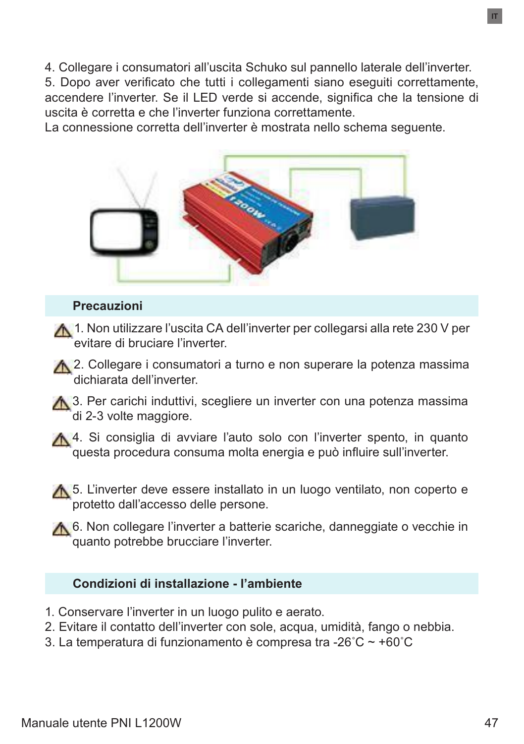4. Collegare i consumatori all'uscita Schuko sul pannello laterale dell'inverter.

5. Dopo aver verificato che tutti i collegamenti siano eseguiti correttamente, accendere l'inverter. Se il LED verde si accende, significa che la tensione di uscita è corretta e che l'inverter funziona correttamente.

La connessione corretta dell'inverter è mostrata nello schema seguente.



#### **Precauzioni**

- 1. Non utilizzare l'uscita CA dell'inverter per collegarsi alla rete 230 V per evitare di bruciare l'inverter.
- A 2. Collegare i consumatori a turno e non superare la potenza massima dichiarata dell'inverter.
- **A.** 3. Per carichi induttivi, scegliere un inverter con una potenza massima <sup>'</sup>di 2-3 volte maggiore.
- A 4. Si consiglia di avviare l'auto solo con l'inverter spento, in quanto questa procedura consuma molta energia e può influire sull'inverter.
- **A.** 5. L'inverter deve essere installato in un luogo ventilato, non coperto e protetto dall'accesso delle persone.
- ★ 6. Non collegare l'inverter a batterie scariche, danneggiate o vecchie in quanto potrebbe brucciare l'inverter.

#### **Condizioni di installazione - l'ambiente**

- 1. Conservare l'inverter in un luogo pulito e aerato.
- 2. Evitare il contatto dell'inverter con sole, acqua, umidità, fango o nebbia.
- 3. La temperatura di funzionamento è compresa tra -26˚C ~ +60˚C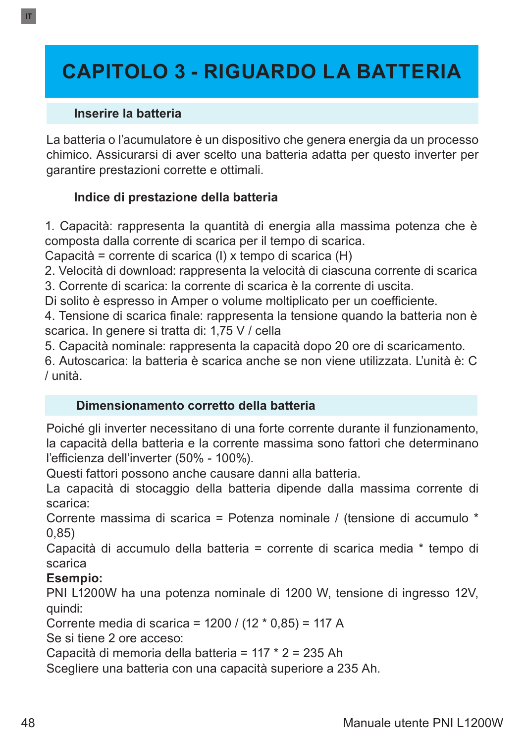# **CAPITOLO 3 - RIGUARDO LA BATTERIA**

#### **Inserire la batteria**

La batteria o l'acumulatore è un dispositivo che genera energia da un processo chimico. Assicurarsi di aver scelto una batteria adatta per questo inverter per garantire prestazioni corrette e ottimali.

### **Indice di prestazione della batteria**

1. Capacità: rappresenta la quantità di energia alla massima potenza che è composta dalla corrente di scarica per il tempo di scarica.

Capacità = corrente di scarica (I) x tempo di scarica (H)

2. Velocità di download: rappresenta la velocità di ciascuna corrente di scarica

3. Corrente di scarica: la corrente di scarica è la corrente di uscita.

Di solito è espresso in Amper o volume moltiplicato per un coefficiente.

4. Tensione di scarica finale: rappresenta la tensione quando la batteria non è scarica. In genere si tratta di: 1,75 V / cella

5. Capacità nominale: rappresenta la capacità dopo 20 ore di scaricamento.

6. Autoscarica: la batteria è scarica anche se non viene utilizzata. L'unità è: C / unità.

#### **Dimensionamento corretto della batteria**

Poiché gli inverter necessitano di una forte corrente durante il funzionamento, la capacità della batteria e la corrente massima sono fattori che determinano l'efficienza dell'inverter (50% - 100%).

Questi fattori possono anche causare danni alla batteria.

La capacità di stocaggio della batteria dipende dalla massima corrente di scarica:

Corrente massima di scarica = Potenza nominale / (tensione di accumulo \* 0,85)

Capacità di accumulo della batteria = corrente di scarica media \* tempo di scarica

#### **Esempio:**

PNI L1200W ha una potenza nominale di 1200 W, tensione di ingresso 12V, quindi:

Corrente media di scarica = 1200 / (12 \* 0,85) = 117 A

Se si tiene 2 ore acceso:

Capacità di memoria della batteria = 117 \* 2 = 235 Ah

Scegliere una batteria con una capacità superiore a 235 Ah.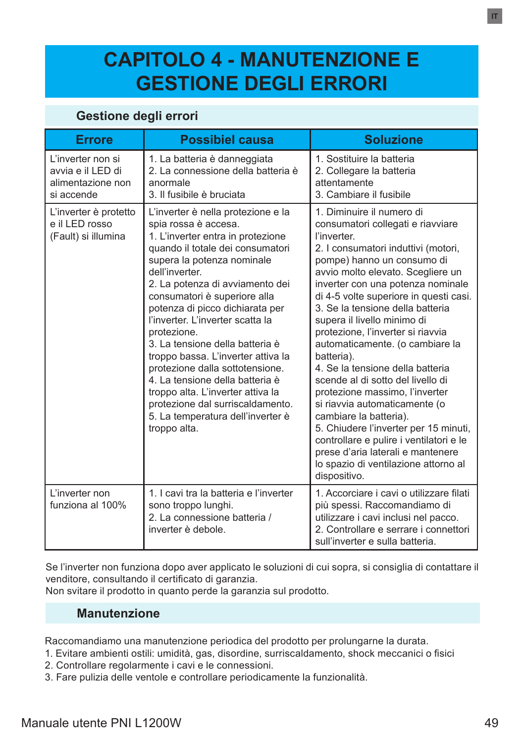# **CAPITOLO 4 - MANUTENZIONE E GESTIONE DEGLI ERRORI**

#### **Gestione degli errori**

| <b>Errore</b>                                                             | <b>Possibiel causa</b>                                                                                                                                                                                                                                                                                                                                                                                                                                                                                                                                                                                                    | <b>Soluzione</b>                                                                                                                                                                                                                                                                                                                                                                                                                                                                                                                                                                                                                                                                                                                                                                       |
|---------------------------------------------------------------------------|---------------------------------------------------------------------------------------------------------------------------------------------------------------------------------------------------------------------------------------------------------------------------------------------------------------------------------------------------------------------------------------------------------------------------------------------------------------------------------------------------------------------------------------------------------------------------------------------------------------------------|----------------------------------------------------------------------------------------------------------------------------------------------------------------------------------------------------------------------------------------------------------------------------------------------------------------------------------------------------------------------------------------------------------------------------------------------------------------------------------------------------------------------------------------------------------------------------------------------------------------------------------------------------------------------------------------------------------------------------------------------------------------------------------------|
| L'inverter non si<br>avvia e il LED di<br>alimentazione non<br>si accende | 1. La batteria è danneggiata<br>2. La connessione della batteria è<br>anormale<br>3 Il fusibile è bruciata                                                                                                                                                                                                                                                                                                                                                                                                                                                                                                                | 1. Sostituire la batteria<br>2. Collegare la batteria<br>attentamente<br>3. Cambiare il fusibile                                                                                                                                                                                                                                                                                                                                                                                                                                                                                                                                                                                                                                                                                       |
| L'inverter è protetto<br>e il LED rosso<br>(Fault) si illumina            | L'inverter è nella protezione e la<br>spia rossa è accesa.<br>1. L'inverter entra in protezione<br>quando il totale dei consumatori<br>supera la potenza nominale<br>dell'inverter.<br>2. La potenza di avviamento dei<br>consumatori è superiore alla<br>potenza di picco dichiarata per<br>l'inverter. L'inverter scatta la<br>protezione.<br>3. La tensione della batteria è<br>troppo bassa. L'inverter attiva la<br>protezione dalla sottotensione.<br>4. La tensione della batteria è<br>troppo alta. L'inverter attiva la<br>protezione dal surriscaldamento.<br>5. La temperatura dell'inverter è<br>troppo alta. | 1. Diminuire il numero di<br>consumatori collegati e riavviare<br>l'inverter.<br>2. I consumatori induttivi (motori,<br>pompe) hanno un consumo di<br>avvio molto elevato. Scegliere un<br>inverter con una potenza nominale<br>di 4-5 volte superiore in questi casi.<br>3. Se la tensione della batteria<br>supera il livello minimo di<br>protezione, l'inverter si riavvia<br>automaticamente. (o cambiare la<br>batteria).<br>4. Se la tensione della batteria<br>scende al di sotto del livello di<br>protezione massimo, l'inverter<br>si riavvia automaticamente (o<br>cambiare la batteria).<br>5. Chiudere l'inverter per 15 minuti,<br>controllare e pulire i ventilatori e le<br>prese d'aria laterali e mantenere<br>lo spazio di ventilazione attorno al<br>dispositivo. |
| L'inverter non<br>funziona al 100%                                        | 1. I cavi tra la batteria e l'inverter<br>sono troppo lunghi.<br>2. La connessione batteria /<br>inverter è debole.                                                                                                                                                                                                                                                                                                                                                                                                                                                                                                       | 1. Accorciare i cavi o utilizzare filati<br>più spessi. Raccomandiamo di<br>utilizzare i cavi inclusi nel pacco.<br>2. Controllare e serrare i connettori<br>sull'inverter e sulla batteria.                                                                                                                                                                                                                                                                                                                                                                                                                                                                                                                                                                                           |

Se l'inverter non funziona dopo aver applicato le soluzioni di cui sopra, si consiglia di contattare il venditore, consultando il certificato di garanzia.

Non svitare il prodotto in quanto perde la garanzia sul prodotto.

#### **Manutenzione**

Raccomandiamo una manutenzione periodica del prodotto per prolungarne la durata.

- 1. Evitare ambienti ostili: umidità, gas, disordine, surriscaldamento, shock meccanici o fisici
- 2. Controllare regolarmente i cavi e le connessioni.
- 3. Fare pulizia delle ventole e controllare periodicamente la funzionalità.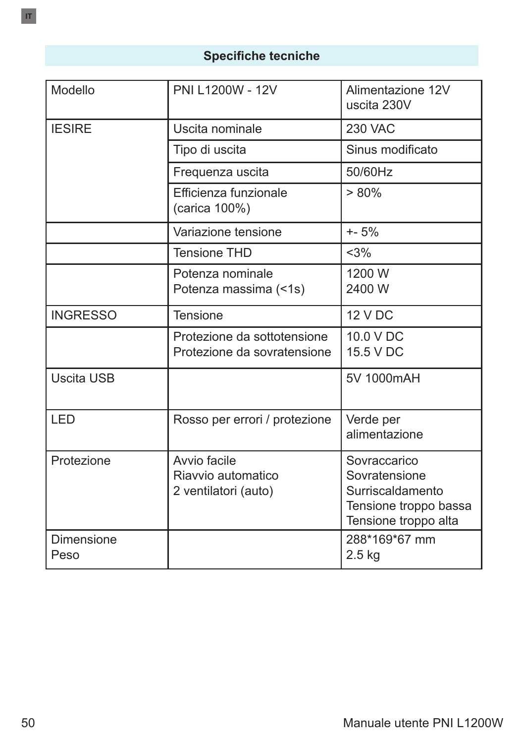## **Specifiche tecniche**

| Modello            | PNI L1200W - 12V                                           | Alimentazione 12V<br>uscita 230V                                                                   |
|--------------------|------------------------------------------------------------|----------------------------------------------------------------------------------------------------|
| <b>IESIRE</b>      | Uscita nominale                                            | <b>230 VAC</b>                                                                                     |
|                    | Tipo di uscita                                             | Sinus modificato                                                                                   |
|                    | Frequenza uscita                                           | 50/60Hz                                                                                            |
|                    | Efficienza funzionale<br>(carica 100%)                     | > 80%                                                                                              |
|                    | Variazione tensione                                        | $+ - 5%$                                                                                           |
|                    | <b>Tensione THD</b>                                        | <3%                                                                                                |
|                    | Potenza nominale<br>Potenza massima (<1s)                  | 1200 W<br>2400 W                                                                                   |
| <b>INGRESSO</b>    | Tensione                                                   | <b>12 V DC</b>                                                                                     |
|                    | Protezione da sottotensione<br>Protezione da sovratensione | 10.0 V DC<br>15.5 V DC                                                                             |
| Uscita USB         |                                                            | 5V 1000mAH                                                                                         |
| <b>LED</b>         | Rosso per errori / protezione                              | Verde per<br>alimentazione                                                                         |
| Protezione         | Avvio facile<br>Riavvio automatico<br>2 ventilatori (auto) | Sovraccarico<br>Sovratensione<br>Surriscaldamento<br>Tensione troppo bassa<br>Tensione troppo alta |
| Dimensione<br>Peso |                                                            | 288*169*67 mm<br>$2.5$ kg                                                                          |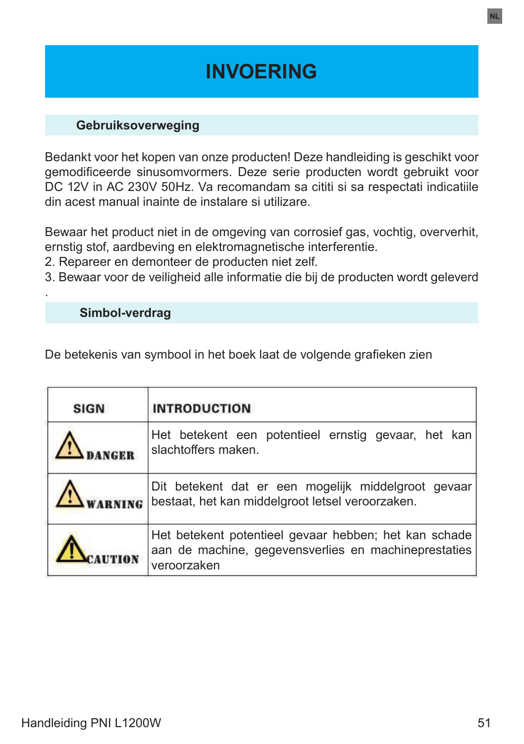# **INVOERING**

#### **Gebruiksoverweging**

Bedankt voor het kopen van onze producten! Deze handleiding is geschikt voor gemodificeerde sinusomvormers. Deze serie producten wordt gebruikt voor DC 12V in AC 230V 50Hz. Va recomandam sa cititi si sa respectati indicatiile din acest manual inainte de instalare si utilizare.

Bewaar het product niet in de omgeving van corrosief gas, vochtig, oververhit, ernstig stof, aardbeving en elektromagnetische interferentie.

- 2. Repareer en demonteer de producten niet zelf.
- 3. Bewaar voor de veiligheid alle informatie die bij de producten wordt geleverd

 **Simbol-verdrag**

.

De betekenis van symbool in het boek laat de volgende grafieken zien

| <b>SIGN</b> | <b>INTRODUCTION</b>                                                                                                          |
|-------------|------------------------------------------------------------------------------------------------------------------------------|
|             | Het betekent een potentieel ernstig gevaar, het kan<br>slachtoffers maken.                                                   |
|             | Dit betekent dat er een mogelijk middelgroot gevaar<br>bestaat, het kan middelgroot letsel veroorzaken.                      |
|             | Het betekent potentieel gevaar hebben; het kan schade<br>aan de machine, gegevensverlies en machineprestaties<br>veroorzaken |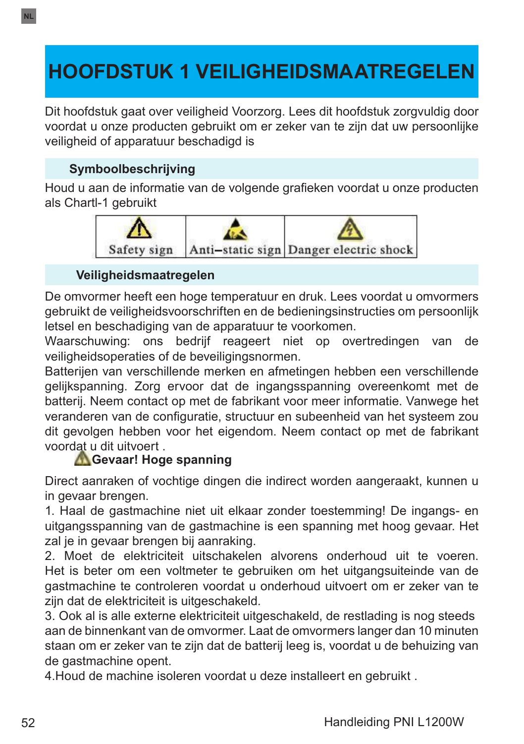# **HOOFDSTUK 1 VEILIGHEIDSMAATREGELEN**

Dit hoofdstuk gaat over veiligheid Voorzorg. Lees dit hoofdstuk zorgvuldig door voordat u onze producten gebruikt om er zeker van te zijn dat uw persoonlijke veiligheid of apparatuur beschadigd is

## **Symboolbeschrijving**

**NL**

Houd u aan de informatie van de volgende grafieken voordat u onze producten als Chartl-1 gebruikt



#### **Veiligheidsmaatregelen**

De omvormer heeft een hoge temperatuur en druk. Lees voordat u omvormers gebruikt de veiligheidsvoorschriften en de bedieningsinstructies om persoonlijk letsel en beschadiging van de apparatuur te voorkomen.

Waarschuwing: ons bedrijf reageert niet op overtredingen van de veiligheidsoperaties of de beveiligingsnormen.

Batterijen van verschillende merken en afmetingen hebben een verschillende gelijkspanning. Zorg ervoor dat de ingangsspanning overeenkomt met de batterij. Neem contact op met de fabrikant voor meer informatie. Vanwege het veranderen van de configuratie, structuur en subeenheid van het systeem zou dit gevolgen hebben voor het eigendom. Neem contact op met de fabrikant voordat u dit uitvoert .

#### **Gevaar! Hoge spanning**

Direct aanraken of vochtige dingen die indirect worden aangeraakt, kunnen u in gevaar brengen.

1. Haal de gastmachine niet uit elkaar zonder toestemming! De ingangs- en uitgangsspanning van de gastmachine is een spanning met hoog gevaar. Het zal je in gevaar brengen bij aanraking.

2. Moet de elektriciteit uitschakelen alvorens onderhoud uit te voeren. Het is beter om een voltmeter te gebruiken om het uitgangsuiteinde van de gastmachine te controleren voordat u onderhoud uitvoert om er zeker van te zijn dat de elektriciteit is uitgeschakeld.

3. Ook al is alle externe elektriciteit uitgeschakeld, de restlading is nog steeds aan de binnenkant van de omvormer. Laat de omvormers langer dan 10 minuten staan om er zeker van te zijn dat de batterij leeg is, voordat u de behuizing van de gastmachine opent.

4.Houd de machine isoleren voordat u deze installeert en gebruikt .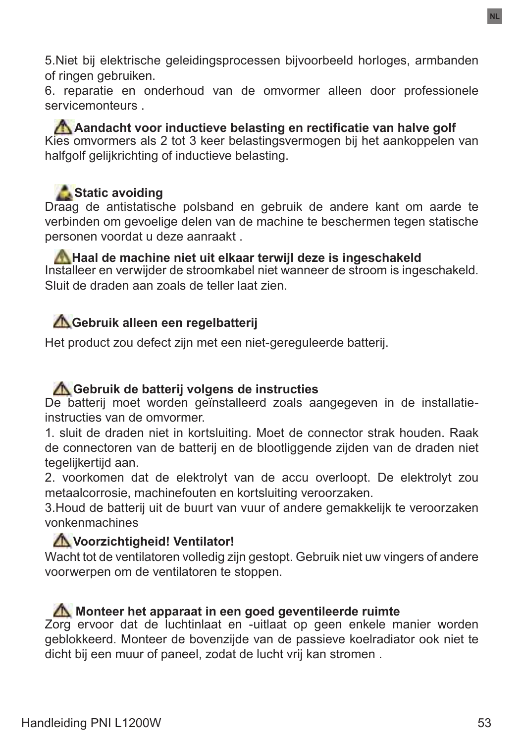5.Niet bij elektrische geleidingsprocessen bijvoorbeeld horloges, armbanden of ringen gebruiken.

6. reparatie en onderhoud van de omvormer alleen door professionele servicemonteurs .

**A** Aandacht voor inductieve belasting en rectificatie van halve golf Kies omvormers als 2 tot 3 keer belastingsvermogen bij het aankoppelen van halfgolf gelijkrichting of inductieve belasting.

## Static avoiding

Draag de antistatische polsband en gebruik de andere kant om aarde te verbinden om gevoelige delen van de machine te beschermen tegen statische personen voordat u deze aanraakt .

**A** Haal de machine niet uit elkaar terwijl deze is ingeschakeld Installeer en verwijder de stroomkabel niet wanneer de stroom is ingeschakeld. Sluit de draden aan zoals de teller laat zien.

## **Gebruik alleen een regelbatterij**

Het product zou defect zijn met een niet-gereguleerde batterij.

#### **Gebruik de batterij volgens de instructies**

De batterij moet worden geïnstalleerd zoals aangegeven in de installatieinstructies van de omvormer.

1. sluit de draden niet in kortsluiting. Moet de connector strak houden. Raak de connectoren van de batterij en de blootliggende zijden van de draden niet tegelijkertijd aan.

2. voorkomen dat de elektrolyt van de accu overloopt. De elektrolyt zou metaalcorrosie, machinefouten en kortsluiting veroorzaken.

3.Houd de batterij uit de buurt van vuur of andere gemakkelijk te veroorzaken vonkenmachines

#### **Voorzichtigheid! Ventilator!**

Wacht tot de ventilatoren volledig zijn gestopt. Gebruik niet uw vingers of andere voorwerpen om de ventilatoren te stoppen.

#### **Monteer het apparaat in een goed geventileerde ruimte**

Zorg ervoor dat de luchtinlaat en -uitlaat op geen enkele manier worden geblokkeerd. Monteer de bovenzijde van de passieve koelradiator ook niet te dicht bij een muur of paneel, zodat de lucht vrij kan stromen .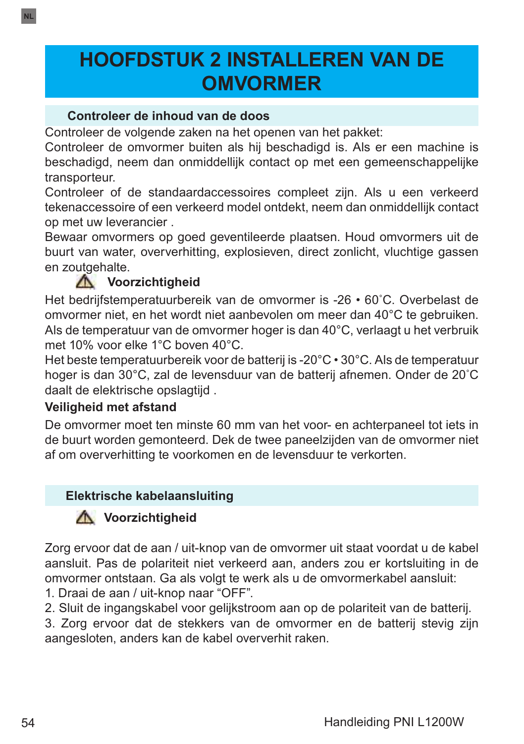# **HOOFDSTUK 2 INSTALLEREN VAN DE OMVORMER**

#### **Controleer de inhoud van de doos**

Controleer de volgende zaken na het openen van het pakket:

Controleer de omvormer buiten als hij beschadigd is. Als er een machine is beschadigd, neem dan onmiddellijk contact op met een gemeenschappelijke transporteur.

Controleer of de standaardaccessoires compleet zijn. Als u een verkeerd tekenaccessoire of een verkeerd model ontdekt, neem dan onmiddellijk contact op met uw leverancier .

Bewaar omvormers op goed geventileerde plaatsen. Houd omvormers uit de buurt van water, oververhitting, explosieven, direct zonlicht, vluchtige gassen en zoutgehalte.

## **A** Voorzichtigheid

Het bedrijfstemperatuurbereik van de omvormer is -26 • 60˚C. Overbelast de omvormer niet, en het wordt niet aanbevolen om meer dan 40°C te gebruiken. Als de temperatuur van de omvormer hoger is dan 40°C, verlaagt u het verbruik met 10% voor elke 1°C boven 40°C.

Het beste temperatuurbereik voor de batterij is -20°C • 30°C. Als de temperatuur hoger is dan 30°C, zal de levensduur van de batterij afnemen. Onder de 20˚C daalt de elektrische opslagtijd .

### **Veiligheid met afstand**

De omvormer moet ten minste 60 mm van het voor- en achterpaneel tot iets in de buurt worden gemonteerd. Dek de twee paneelzijden van de omvormer niet af om oververhitting te voorkomen en de levensduur te verkorten.

### **Elektrische kabelaansluiting**

## **A** Voorzichtigheid

Zorg ervoor dat de aan / uit-knop van de omvormer uit staat voordat u de kabel aansluit. Pas de polariteit niet verkeerd aan, anders zou er kortsluiting in de omvormer ontstaan. Ga als volgt te werk als u de omvormerkabel aansluit:

1. Draai de aan / uit-knop naar "OFF".

2. Sluit de ingangskabel voor gelijkstroom aan op de polariteit van de batterij.

3. Zorg ervoor dat de stekkers van de omvormer en de batterij stevig zijn aangesloten, anders kan de kabel oververhit raken.

**NL**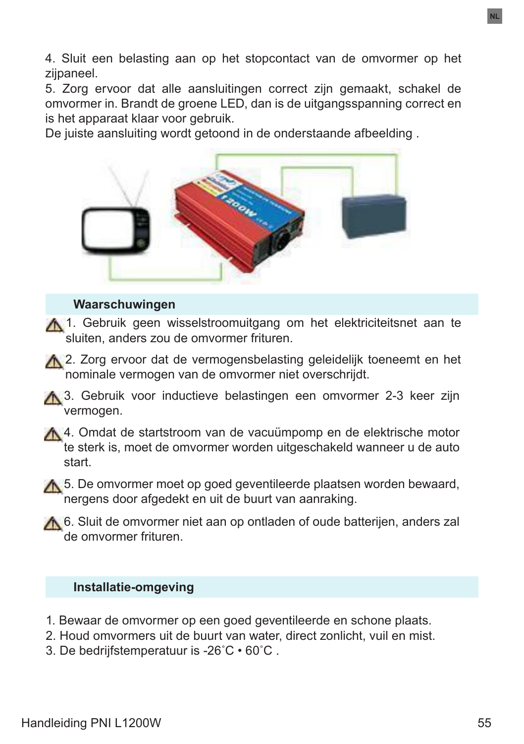4. Sluit een belasting aan op het stopcontact van de omvormer op het zijpaneel.

5. Zorg ervoor dat alle aansluitingen correct zijn gemaakt, schakel de omvormer in. Brandt de groene LED, dan is de uitgangsspanning correct en is het apparaat klaar voor gebruik.

De juiste aansluiting wordt getoond in de onderstaande afbeelding .



#### **Waarschuwingen**

A 1. Gebruik geen wisselstroomuitgang om het elektriciteitsnet aan te sluiten, anders zou de omvormer frituren.

A 2. Zorg ervoor dat de vermogensbelasting geleidelijk toeneemt en het nominale vermogen van de omvormer niet overschrijdt.

**A** 3. Gebruik voor inductieve belastingen een omvormer 2-3 keer zijn vermogen.

A 4. Omdat de startstroom van de vacuümpomp en de elektrische motor te sterk is, moet de omvormer worden uitgeschakeld wanneer u de auto start.

A 5. De omvormer moet op goed geventileerde plaatsen worden bewaard, nergens door afgedekt en uit de buurt van aanraking.

A 6. Sluit de omvormer niet aan op ontladen of oude batterijen, anders zal de omvormer frituren.

#### **Installatie-omgeving**

- 1. Bewaar de omvormer op een goed geventileerde en schone plaats.
- 2. Houd omvormers uit de buurt van water, direct zonlicht, vuil en mist.
- 3. De bedrijfstemperatuur is -26˚C 60˚C .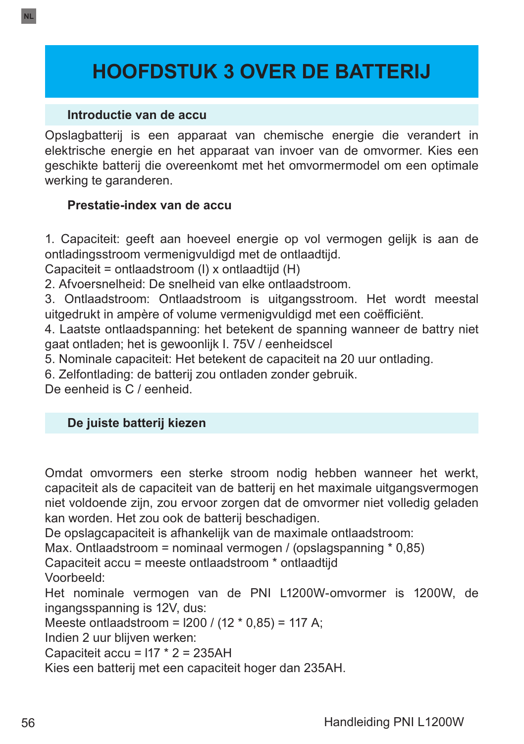# **HOOFDSTUK 3 OVER DE BATTERIJ**

#### **Introductie van de accu**

Opslagbatterij is een apparaat van chemische energie die verandert in elektrische energie en het apparaat van invoer van de omvormer. Kies een geschikte batterij die overeenkomt met het omvormermodel om een optimale werking te garanderen.

#### **Prestatie-index van de accu**

1. Capaciteit: geeft aan hoeveel energie op vol vermogen gelijk is aan de ontladingsstroom vermenigvuldigd met de ontlaadtijd.

Capaciteit = ontlaadstroom (I) x ontlaadtijd (H)

2. Afvoersnelheid: De snelheid van elke ontlaadstroom.

3. Ontlaadstroom: Ontlaadstroom is uitgangsstroom. Het wordt meestal uitgedrukt in ampère of volume vermenigvuldigd met een coëfficiënt.

4. Laatste ontlaadspanning: het betekent de spanning wanneer de battry niet gaat ontladen; het is gewoonlijk I. 75V / eenheidscel

5. Nominale capaciteit: Het betekent de capaciteit na 20 uur ontlading.

6. Zelfontlading: de batterij zou ontladen zonder gebruik.

De eenheid is C / eenheid.

#### **De juiste batterij kiezen**

Omdat omvormers een sterke stroom nodig hebben wanneer het werkt, capaciteit als de capaciteit van de batterij en het maximale uitgangsvermogen niet voldoende zijn, zou ervoor zorgen dat de omvormer niet volledig geladen kan worden. Het zou ook de batterij beschadigen.

De opslagcapaciteit is afhankelijk van de maximale ontlaadstroom:

Max. Ontlaadstroom = nominaal vermogen / (opslagspanning \* 0,85)

Capaciteit accu = meeste ontlaadstroom \* ontlaadtijd

Voorbeeld:

Het nominale vermogen van de PNI L1200W-omvormer is 1200W, de ingangsspanning is 12V, dus:

Meeste ontlaadstroom = l200 / (12 \* 0,85) = 117 A;

Indien 2 uur blijven werken:

Capaciteit accu =  $117 * 2 = 235AH$ 

Kies een batterij met een capaciteit hoger dan 235AH.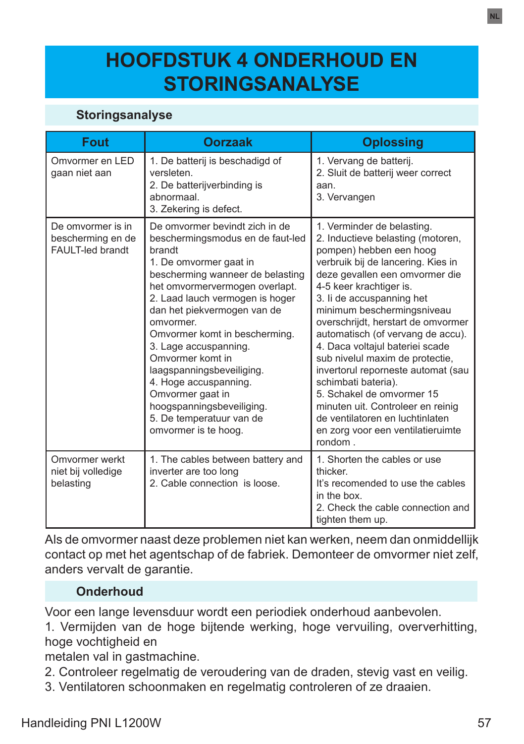# **HOOFDSTUK 4 ONDERHOUD EN STORINGSANALYSE**

### **Storingsanalyse**

| <b>Fout</b>                                                | <b>Oorzaak</b>                                                                                                                                                                                                                                                                                                                                                                                                                                                                                       | <b>Oplossing</b>                                                                                                                                                                                                                                                                                                                                                                                                                                                                                                                                                                                                          |
|------------------------------------------------------------|------------------------------------------------------------------------------------------------------------------------------------------------------------------------------------------------------------------------------------------------------------------------------------------------------------------------------------------------------------------------------------------------------------------------------------------------------------------------------------------------------|---------------------------------------------------------------------------------------------------------------------------------------------------------------------------------------------------------------------------------------------------------------------------------------------------------------------------------------------------------------------------------------------------------------------------------------------------------------------------------------------------------------------------------------------------------------------------------------------------------------------------|
| Omvormer en LED<br>gaan niet aan                           | 1. De batterij is beschadigd of<br>versleten.<br>2. De batterijverbinding is<br>abnormaal.<br>3. Zekering is defect.                                                                                                                                                                                                                                                                                                                                                                                 | 1. Vervang de batterij.<br>2. Sluit de batterij weer correct<br>aan.<br>3. Vervangen                                                                                                                                                                                                                                                                                                                                                                                                                                                                                                                                      |
| De omvormer is in<br>bescherming en de<br>FAULT-led brandt | De omvormer bevindt zich in de<br>beschermingsmodus en de faut-led<br>brandt<br>1. De omvormer gaat in<br>bescherming wanneer de belasting<br>het omvormervermogen overlapt.<br>2. Laad lauch vermogen is hoger<br>dan het piekvermogen van de<br>omvormer.<br>Omvormer komt in bescherming.<br>3. Lage accuspanning.<br>Omvormer komt in<br>laagspanningsbeveiliging.<br>4. Hoge accuspanning.<br>Omvormer gaat in<br>hoogspanningsbeveiliging.<br>5. De temperatuur van de<br>omvormer is te hoog. | 1. Verminder de belasting.<br>2. Inductieve belasting (motoren,<br>pompen) hebben een hoog<br>verbruik bij de lancering. Kies in<br>deze gevallen een omvormer die<br>4-5 keer krachtiger is.<br>3. Ii de accuspanning het<br>minimum beschermingsniveau<br>overschrijdt, herstart de omvormer<br>automatisch (of vervang de accu).<br>4. Daca voltajul bateriei scade<br>sub nivelul maxim de protectie,<br>invertorul reporneste automat (sau<br>schimbati bateria).<br>5 Schakel de omvormer 15<br>minuten uit. Controleer en reinig<br>de ventilatoren en luchtinlaten<br>en zorg voor een ventilatieruimte<br>rondom |
| Omvormer werkt<br>niet bij volledige<br>belasting          | 1. The cables between battery and<br>inverter are too long<br>2. Cable connection is loose.                                                                                                                                                                                                                                                                                                                                                                                                          | 1. Shorten the cables or use<br>thicker.<br>It's recomended to use the cables<br>in the box<br>2. Check the cable connection and<br>tighten them up.                                                                                                                                                                                                                                                                                                                                                                                                                                                                      |

Als de omvormer naast deze problemen niet kan werken, neem dan onmiddellijk contact op met het agentschap of de fabriek. Demonteer de omvormer niet zelf, anders vervalt de garantie.

#### **Onderhoud**

Voor een lange levensduur wordt een periodiek onderhoud aanbevolen.

1. Vermijden van de hoge bijtende werking, hoge vervuiling, oververhitting, hoge vochtigheid en

metalen val in gastmachine.

- 2. Controleer regelmatig de veroudering van de draden, stevig vast en veilig.
- 3. Ventilatoren schoonmaken en regelmatig controleren of ze draaien.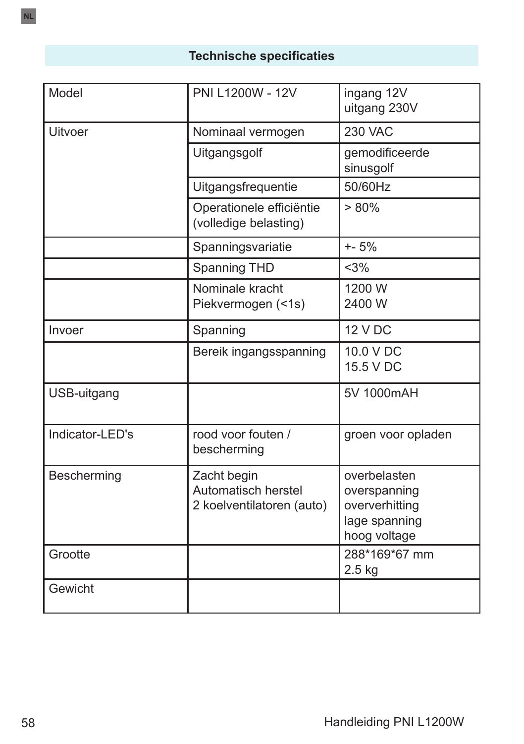# **Technische specificaties**

| Model           | PNI L1200W - 12V                                                | ingang 12V<br>uitgang 230V                                                      |
|-----------------|-----------------------------------------------------------------|---------------------------------------------------------------------------------|
| <b>Uitvoer</b>  | Nominaal vermogen                                               | <b>230 VAC</b>                                                                  |
|                 | Uitgangsgolf                                                    | gemodificeerde<br>sinusgolf                                                     |
|                 | Uitgangsfrequentie                                              | 50/60Hz                                                                         |
|                 | Operationele efficiëntie<br>(volledige belasting)               | $> 80\%$                                                                        |
|                 | Spanningsvariatie                                               | $+ - 5%$                                                                        |
|                 | Spanning THD                                                    | <3%                                                                             |
|                 | Nominale kracht<br>Piekvermogen (<1s)                           | 1200 W<br>2400 W                                                                |
| Invoer          | Spanning                                                        | <b>12 V DC</b>                                                                  |
|                 | Bereik ingangsspanning                                          | 10.0 V DC<br>15.5 V DC                                                          |
| USB-uitgang     |                                                                 | 5V 1000mAH                                                                      |
| Indicator-LED's | rood voor fouten /<br>bescherming                               | groen voor opladen                                                              |
| Bescherming     | Zacht begin<br>Automatisch herstel<br>2 koelventilatoren (auto) | overbelasten<br>overspanning<br>oververhitting<br>lage spanning<br>hoog voltage |
| Grootte         |                                                                 | 288*169*67 mm<br>$2.5$ kg                                                       |
| Gewicht         |                                                                 |                                                                                 |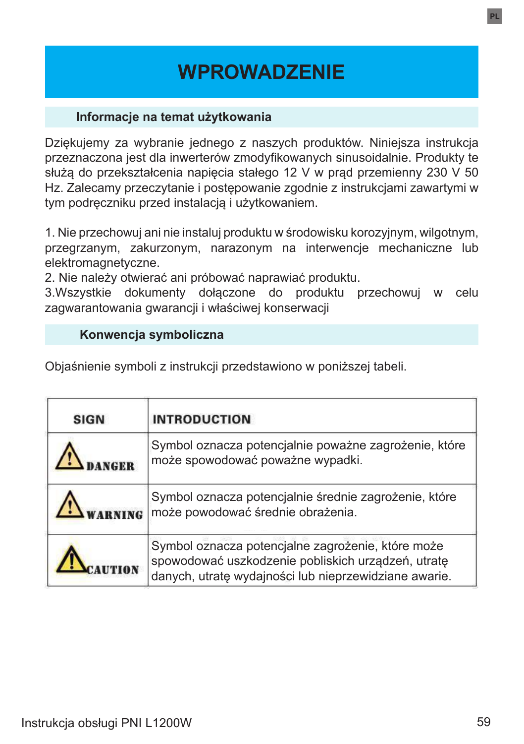# **WPROWADZENIE**

#### **Informacje na temat użytkowania**

Dziękujemy za wybranie jednego z naszych produktów. Niniejsza instrukcja przeznaczona jest dla inwerterów zmodyfikowanych sinusoidalnie. Produkty te służą do przekształcenia napięcia stałego 12 V w prąd przemienny 230 V 50 Hz. Zalecamy przeczytanie i postępowanie zgodnie z instrukcjami zawartymi w tym podręczniku przed instalacją i użytkowaniem.

1. Nie przechowuj ani nie instaluj produktu w środowisku korozyjnym, wilgotnym, przegrzanym, zakurzonym, narazonym na interwencje mechaniczne lub elektromagnetyczne.

2. Nie należy otwierać ani próbować naprawiać produktu.

3.Wszystkie dokumenty dołączone do produktu przechowuj w celu zagwarantowania gwarancji i właściwej konserwacji

#### **Konwencja symboliczna**

Objaśnienie symboli z instrukcji przedstawiono w poniższej tabeli.

| <b>SIGN</b> | <b>INTRODUCTION</b>                                                                                                                                              |
|-------------|------------------------------------------------------------------------------------------------------------------------------------------------------------------|
|             | Symbol oznacza potencjalnie poważne zagrożenie, które<br>może spowodować poważne wypadki.                                                                        |
|             | Symbol oznacza potencjalnie średnie zagrożenie, które<br>może powodować średnie obrażenia.                                                                       |
|             | Symbol oznacza potencjalne zagrożenie, które może<br>spowodować uszkodzenie pobliskich urządzeń, utratę<br>danych, utratę wydajności lub nieprzewidziane awarie. |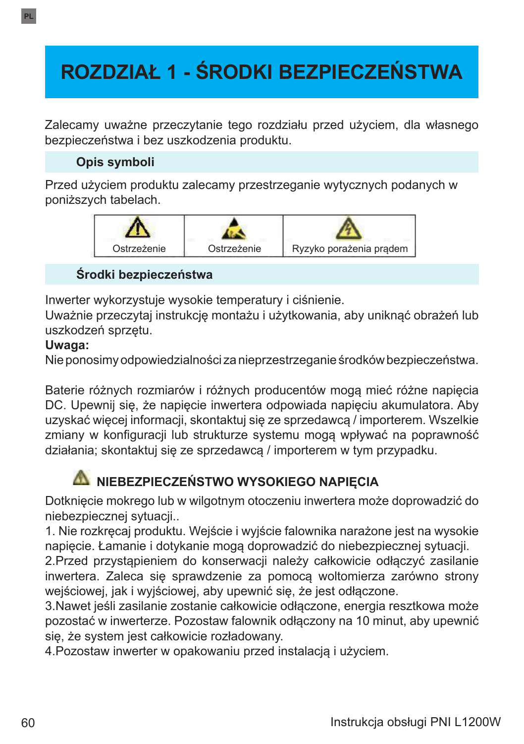# **ROZDZIAŁ 1 - ŚRODKI BEZPIECZEŃSTWA**

Zalecamy uważne przeczytanie tego rozdziału przed użyciem, dla własnego bezpieczeństwa i bez uszkodzenia produktu.

### **Opis symboli**

Przed użyciem produktu zalecamy przestrzeganie wytycznych podanych w poniższych tabelach.



#### **Środki bezpieczeństwa**

Inwerter wykorzystuje wysokie temperatury i ciśnienie.

Uważnie przeczytaj instrukcję montażu i użytkowania, aby uniknąć obrażeń lub uszkodzeń sprzętu.

#### **Uwaga:**

Nie ponosimy odpowiedzialności za nieprzestrzeganie środków bezpieczeństwa.

Baterie różnych rozmiarów i różnych producentów mogą mieć różne napięcia DC. Upewnij się, że napięcie inwertera odpowiada napięciu akumulatora. Aby uzyskać więcej informacji, skontaktuj się ze sprzedawcą / importerem. Wszelkie zmiany w konfiguracji lub strukturze systemu mogą wpływać na poprawność działania; skontaktuj się ze sprzedawcą / importerem w tym przypadku.

# **NIEBEZPIECZEŃSTWO WYSOKIEGO NAPIĘCIA**

Dotknięcie mokrego lub w wilgotnym otoczeniu inwertera może doprowadzić do niebezpiecznej sytuacji...

1. Nie rozkręcaj produktu. Wejście i wyjście falownika narażone jest na wysokie napięcie. Łamanie i dotykanie mogą doprowadzić do niebezpiecznej sytuacji.

2.Przed przystąpieniem do konserwacji należy całkowicie odłączyć zasilanie inwertera. Zaleca się sprawdzenie za pomocą woltomierza zarówno strony wejściowej, jak i wyjściowej, aby upewnić się, że jest odłączone.

3.Nawet jeśli zasilanie zostanie całkowicie odłączone, energia resztkowa może pozostać w inwerterze. Pozostaw falownik odłączony na 10 minut, aby upewnić się, że system jest całkowicie rozładowany.

4.Pozostaw inwerter w opakowaniu przed instalacją i użyciem.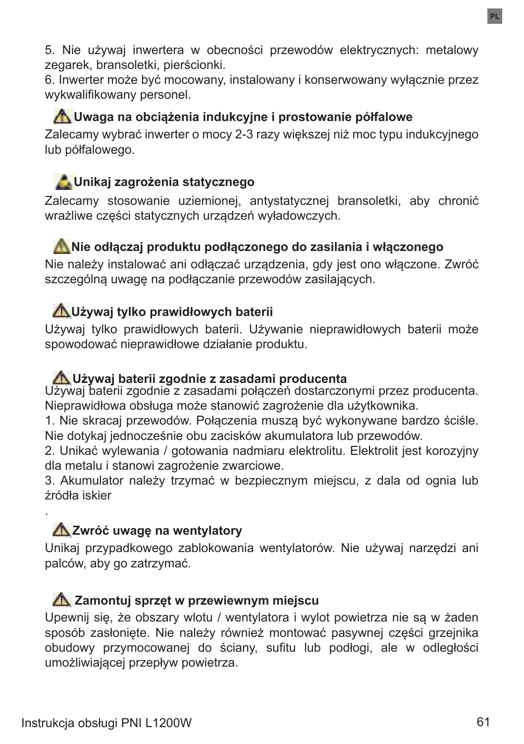5. Nie używaj inwertera w obecności przewodów elektrycznych: metalowy zegarek, bransoletki, pierścionki.

6. Inwerter może być mocowany, instalowany i konserwowany wyłącznie przez wykwalifikowany personel.

## **Uwaga na obciążenia indukcyjne i prostowanie półfalowe**

Zalecamy wybrać inwerter o mocy 2-3 razy większej niż moc typu indukcyjnego lub półfalowego.

## **Unikaj zagrożenia statycznego**

Zalecamy stosowanie uziemionej, antystatycznej bransoletki, aby chronić wrażliwe części statycznych urządzeń wyładowczych.

#### **Nie odłączaj produktu podłączonego do zasilania i włączonego**

Nie należy instalować ani odłączać urządzenia, gdy jest ono włączone. Zwróć szczególną uwagę na podłączanie przewodów zasilających.

## **Używaj tylko prawidłowych baterii**

Używaj tylko prawidłowych baterii. Używanie nieprawidłowych baterii może spowodować nieprawidłowe działanie produktu.

#### **Używaj baterii zgodnie z zasadami producenta**

Używaj baterii zgodnie z zasadami połączeń dostarczonymi przez producenta. Nieprawidłowa obsługa może stanowić zagrożenie dla użytkownika.

1. Nie skracaj przewodów. Połączenia muszą być wykonywane bardzo ściśle. Nie dotykaj jednocześnie obu zacisków akumulatora lub przewodów.

2. Unikać wylewania / gotowania nadmiaru elektrolitu. Elektrolit jest korozyjny dla metalu i stanowi zagrożenie zwarciowe.

3. Akumulator należy trzymać w bezpiecznym miejscu, z dala od ognia lub źródła iskier

## **Zwróć uwagę na wentylatory**

Unikaj przypadkowego zablokowania wentylatorów. Nie używaj narzędzi ani palców, aby go zatrzymać.

### **Zamontuj sprzęt w przewiewnym miejscu**

Upewnij się, że obszary wlotu / wentylatora i wylot powietrza nie są w żaden sposób zasłonięte. Nie należy również montować pasywnej części grzejnika obudowy przymocowanej do ściany, sufitu lub podłogi, ale w odległości umożliwiającej przepływ powietrza.

.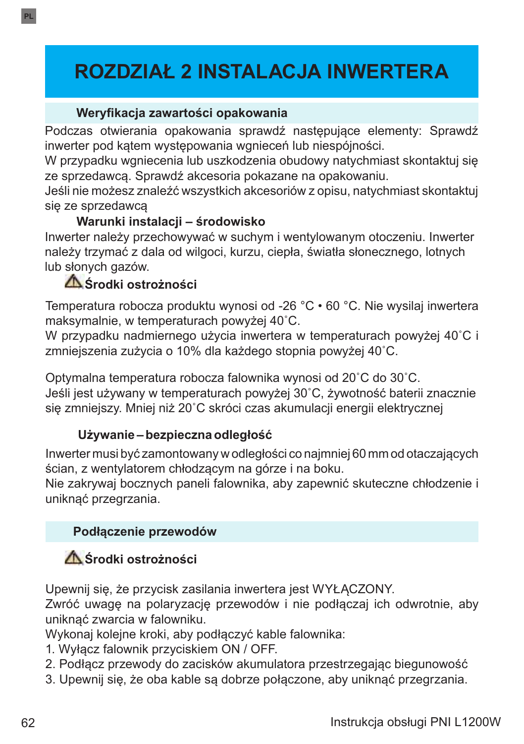# **ROZDZIAŁ 2 INSTALACJA INWERTERA**

#### **Weryfikacja zawartości opakowania**

Podczas otwierania opakowania sprawdź następujące elementy: Sprawdź inwerter pod kątem występowania wgnieceń lub niespójności.

W przypadku wgniecenia lub uszkodzenia obudowy natychmiast skontaktuj się ze sprzedawcą. Sprawdź akcesoria pokazane na opakowaniu.

Jeśli nie możesz znaleźć wszystkich akcesoriów z opisu, natychmiast skontaktuj się ze sprzedawcą

### **Warunki instalacji – środowisko**

Inwerter należy przechowywać w suchym i wentylowanym otoczeniu. Inwerter należy trzymać z dala od wilgoci, kurzu, ciepła, światła słonecznego, lotnych lub słonych gazów.

## **Środki ostrożności**

Temperatura robocza produktu wynosi od -26 °C • 60 °C. Nie wysilaj inwertera maksymalnie, w temperaturach powyżej 40˚C.

W przypadku nadmiernego użycia inwertera w temperaturach powyżej 40˚C i zmniejszenia zużycia o 10% dla każdego stopnia powyżej 40˚C.

Optymalna temperatura robocza falownika wynosi od 20˚C do 30˚C. Jeśli jest używany w temperaturach powyżej 30˚C, żywotność baterii znacznie się zmniejszy. Mniej niż 20˚C skróci czas akumulacji energii elektrycznej

#### **Używanie – bezpieczna odległość**

Inwerter musi być zamontowany w odległości co najmniej 60 mm od otaczających ścian, z wentylatorem chłodzącym na górze i na boku.

Nie zakrywaj bocznych paneli falownika, aby zapewnić skuteczne chłodzenie i uniknąć przegrzania.

### **Podłączenie przewodów**

## **Środki ostrożności**

Upewnij się, że przycisk zasilania inwertera jest WYŁĄCZONY.

Zwróć uwagę na polaryzację przewodów i nie podłączaj ich odwrotnie, aby uniknąć zwarcia w falowniku.

Wykonaj kolejne kroki, aby podłączyć kable falownika:

- 1. Wyłącz falownik przyciskiem ON / OFF.
- 2. Podłącz przewody do zacisków akumulatora przestrzegając biegunowość
- 3. Upewnij się, że oba kable są dobrze połączone, aby uniknąć przegrzania.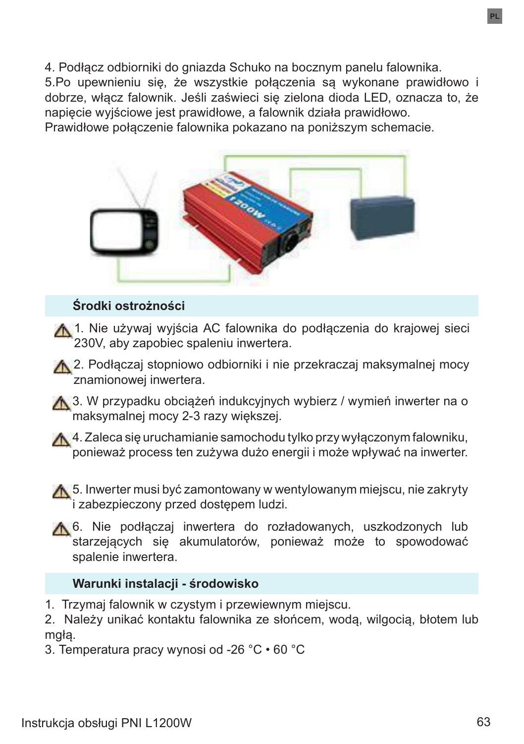4. Podłącz odbiorniki do gniazda Schuko na bocznym panelu falownika. 5.Po upewnieniu się, że wszystkie połączenia są wykonane prawidłowo i dobrze, włącz falownik. Jeśli zaświeci się zielona dioda LED, oznacza to, że napięcie wyjściowe jest prawidłowe, a falownik działa prawidłowo. Prawidłowe połączenie falownika pokazano na poniższym schemacie.



### **Środki ostrożności**

A. 1. Nie używaj wyjścia AC falownika do podłączenia do krajowej sieci 230V, aby zapobiec spaleniu inwertera.

A 2. Podłączaj stopniowo odbiorniki i nie przekraczaj maksymalnej mocy znamionowej inwertera.

**A** 3. W przypadku obciążeń indukcyjnych wybierz / wymień inwerter na o maksymalnej mocy 2-3 razy większej.

4. Zaleca się uruchamianie samochodu tylko przy wyłączonym falowniku, ponieważ process ten zużywa dużo energii i może wpływać na inwerter.

**A** 5. Inwerter musi być zamontowany w wentylowanym miejscu, nie zakryty i zabezpieczony przed dostępem ludzi.

6. Nie podłączaj inwertera do rozładowanych, uszkodzonych lub starzejących się akumulatorów, ponieważ może to spowodować spalenie inwertera.

#### **Warunki instalacji - środowisko**

1. Trzymaj falownik w czystym i przewiewnym miejscu.

2. Należy unikać kontaktu falownika ze słońcem, wodą, wilgocią, błotem lub mgłą.

3. Temperatura pracy wynosi od -26 °C • 60 °C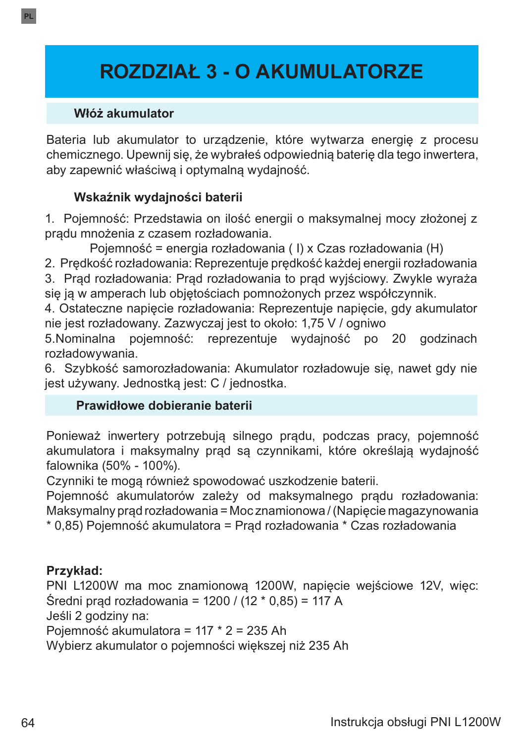# **ROZDZIAŁ 3 - O AKUMULATORZE**

#### **Włóż akumulator**

**PL**

Bateria lub akumulator to urządzenie, które wytwarza energię z procesu chemicznego. Upewnij się, że wybrałeś odpowiednią baterię dla tego inwertera, aby zapewnić właściwą i optymalną wydajność.

### **Wskaźnik wydajności baterii**

1. Pojemność: Przedstawia on ilość energii o maksymalnej mocy złożonej z prądu mnożenia z czasem rozładowania.

Pojemność = energia rozładowania ( I) x Czas rozładowania (H)

2. Prędkość rozładowania: Reprezentuje prędkość każdej energii rozładowania

3. Prąd rozładowania: Prąd rozładowania to prąd wyjściowy. Zwykle wyraża się ją w amperach lub objętościach pomnożonych przez współczynnik.

4. Ostateczne napięcie rozładowania: Reprezentuje napięcie, gdy akumulator nie jest rozładowany. Zazwyczaj jest to około: 1,75 V / ogniwo

5.Nominalna pojemność: reprezentuje wydajność po 20 godzinach rozładowywania.

6. Szybkość samorozładowania: Akumulator rozładowuje się, nawet gdy nie jest używany. Jednostką jest: C / jednostka.

#### **Prawidłowe dobieranie baterii**

Ponieważ inwertery potrzebują silnego prądu, podczas pracy, pojemność akumulatora i maksymalny prąd są czynnikami, które określają wydajność falownika (50% - 100%).

Czynniki te mogą również spowodować uszkodzenie baterii.

Pojemność akumulatorów zależy od maksymalnego prądu rozładowania: Maksymalny prąd rozładowania = Moc znamionowa / (Napięcie magazynowania \* 0,85) Pojemność akumulatora = Prąd rozładowania \* Czas rozładowania

### **Przykład:**

PNI L1200W ma moc znamionową 1200W, napięcie wejściowe 12V, więc: Średni prąd rozładowania = 1200 / (12 \* 0,85) = 117 A

Jeśli 2 godziny na:

Pojemność akumulatora = 117 \* 2 = 235 Ah

Wybierz akumulator o pojemności większej niż 235 Ah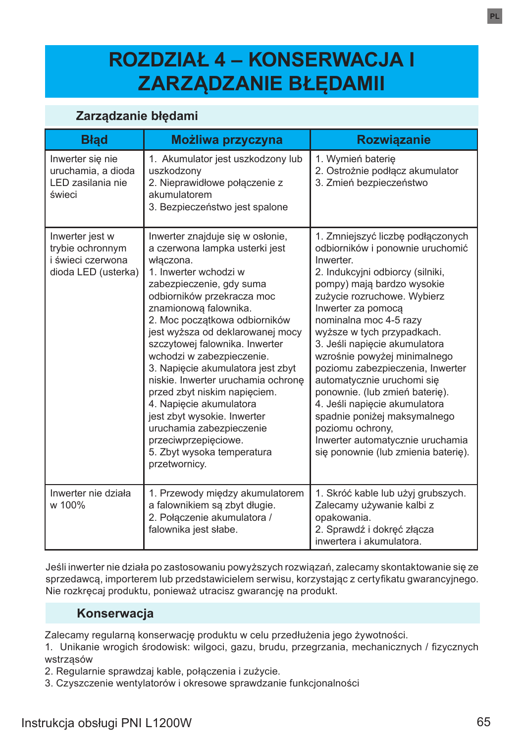# **ROZDZIAŁ 4 – KONSERWACJA I ZARZĄDZANIE BŁĘDAMII**

#### **Zarządzanie błędami**

| <b>Blad</b>                                                                     | Możliwa przyczyna                                                                                                                                                                                                                                                                                                                                                                                                                                                                                                                                                                                       | <b>Rozwiązanie</b>                                                                                                                                                                                                                                                                                                                                                                                                                                                                                                                                                                                     |
|---------------------------------------------------------------------------------|---------------------------------------------------------------------------------------------------------------------------------------------------------------------------------------------------------------------------------------------------------------------------------------------------------------------------------------------------------------------------------------------------------------------------------------------------------------------------------------------------------------------------------------------------------------------------------------------------------|--------------------------------------------------------------------------------------------------------------------------------------------------------------------------------------------------------------------------------------------------------------------------------------------------------------------------------------------------------------------------------------------------------------------------------------------------------------------------------------------------------------------------------------------------------------------------------------------------------|
| Inwerter się nie<br>uruchamia, a dioda<br>LED zasilania nie<br>świeci           | 1. Akumulator jest uszkodzony lub<br>uszkodzony<br>2. Nieprawidłowe połaczenie z<br>akumulatorem<br>3. Bezpieczeństwo jest spalone                                                                                                                                                                                                                                                                                                                                                                                                                                                                      | 1. Wymień baterie<br>2. Ostrożnie podłącz akumulator<br>3. Zmień bezpieczeństwo                                                                                                                                                                                                                                                                                                                                                                                                                                                                                                                        |
| Inwerter jest w<br>trybie ochronnym<br>i świeci czerwona<br>dioda LED (usterka) | Inwerter znajduje się w osłonie,<br>a czerwona lampka usterki jest<br>właczona.<br>1. Inwerter wchodzi w<br>zabezpieczenie, gdy suma<br>odbiorników przekracza moc<br>znamionowa falownika.<br>2. Moc początkowa odbiorników<br>jest wyższa od deklarowanej mocy<br>szczytowej falownika. Inwerter<br>wchodzi w zabezpieczenie.<br>3. Napięcie akumulatora jest zbyt<br>niskie. Inwerter uruchamia ochrone<br>przed zbyt niskim napięciem.<br>4. Napięcie akumulatora<br>jest zbyt wysokie. Inwerter<br>uruchamia zabezpieczenie<br>przeciwprzepięciowe.<br>5. Zbyt wysoka temperatura<br>przetwornicy. | 1. Zmniejszyć liczbę podłączonych<br>odbiorników i ponownie uruchomić<br>Inwerter.<br>2. Indukcyjni odbiorcy (silniki,<br>pompy) mają bardzo wysokie<br>zużycie rozruchowe. Wybierz<br>Inwerter za pomoca<br>nominalna moc 4-5 razy<br>wyższe w tych przypadkach.<br>3. Jeśli napiecie akumulatora<br>wzrośnie powyżej minimalnego<br>poziomu zabezpieczenia, Inwerter<br>automatycznie uruchomi się<br>ponownie. (lub zmień baterię).<br>4. Jeśli napięcie akumulatora<br>spadnie poniżej maksymalnego<br>poziomu ochrony,<br>Inwerter automatycznie uruchamia<br>się ponownie (lub zmienia baterię). |
| Inwerter nie działa<br>w 100%                                                   | 1. Przewody między akumulatorem<br>a falownikiem są zbyt długie.<br>2. Połaczenie akumulatora /<br>falownika jest słabe.                                                                                                                                                                                                                                                                                                                                                                                                                                                                                | 1. Skróć kable lub użyj grubszych.<br>Zalecamy używanie kalbi z<br>opakowania.<br>2. Sprawdź i dokręć złącza<br>inwertera i akumulatora.                                                                                                                                                                                                                                                                                                                                                                                                                                                               |

Jeśli inwerter nie działa po zastosowaniu powyższych rozwiązań, zalecamy skontaktowanie się ze sprzedawcą, importerem lub przedstawicielem serwisu, korzystając z certyfikatu gwarancyjnego. Nie rozkręcaj produktu, ponieważ utracisz gwarancję na produkt.

#### **Konserwacja**

Zalecamy regularną konserwację produktu w celu przedłużenia jego żywotności.

1. Unikanie wrogich środowisk: wilgoci, gazu, brudu, przegrzania, mechanicznych / fizycznych wstrząsów

2. Regularnie sprawdzaj kable, połączenia i zużycie.

3. Czyszczenie wentylatorów i okresowe sprawdzanie funkcjonalności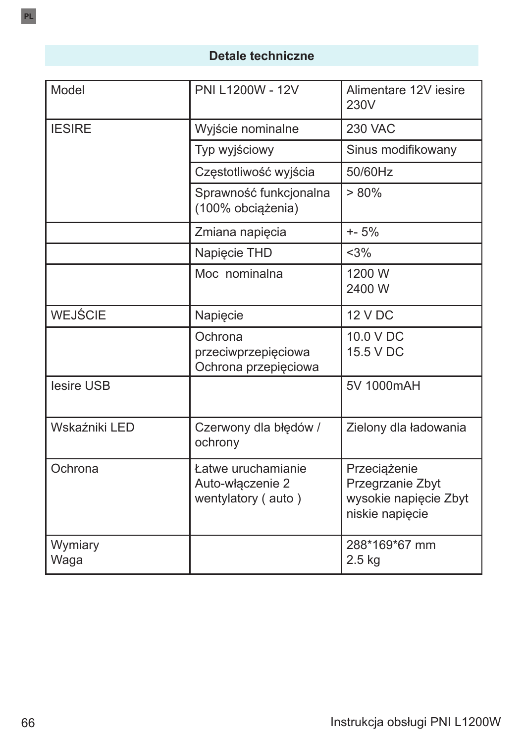## **Detale techniczne**

| Model           | PNI L1200W - 12V                                             | Alimentare 12V iesire<br>230V                                                |
|-----------------|--------------------------------------------------------------|------------------------------------------------------------------------------|
| <b>IESIRE</b>   | Wyjście nominalne                                            | <b>230 VAC</b>                                                               |
|                 | Typ wyjściowy                                                | Sinus modifikowany                                                           |
|                 | Częstotliwość wyjścia                                        | 50/60Hz                                                                      |
|                 | Sprawność funkcjonalna<br>(100% obciążenia)                  | > 80%                                                                        |
|                 | Zmiana napięcia                                              | $+ - 5%$                                                                     |
|                 | Napięcie THD                                                 | $<$ 3%                                                                       |
|                 | Moc nominalna                                                | 1200 W<br>2400 W                                                             |
| <b>WEJŚCIE</b>  | Napięcie                                                     | <b>12 V DC</b>                                                               |
|                 | Ochrona<br>przeciwprzepięciowa<br>Ochrona przepięciowa       | 10.0 V DC<br>15.5 V DC                                                       |
| lesire USB      |                                                              | 5V 1000mAH                                                                   |
| Wskaźniki LED   | Czerwony dla błędów /<br>ochrony                             | Zielony dla ładowania                                                        |
| Ochrona         | Łatwe uruchamianie<br>Auto-włączenie 2<br>wentylatory (auto) | Przeciążenie<br>Przegrzanie Zbyt<br>wysokie napięcie Zbyt<br>niskie napięcie |
| Wymiary<br>Waga |                                                              | 288*169*67 mm<br>$2.5$ kg                                                    |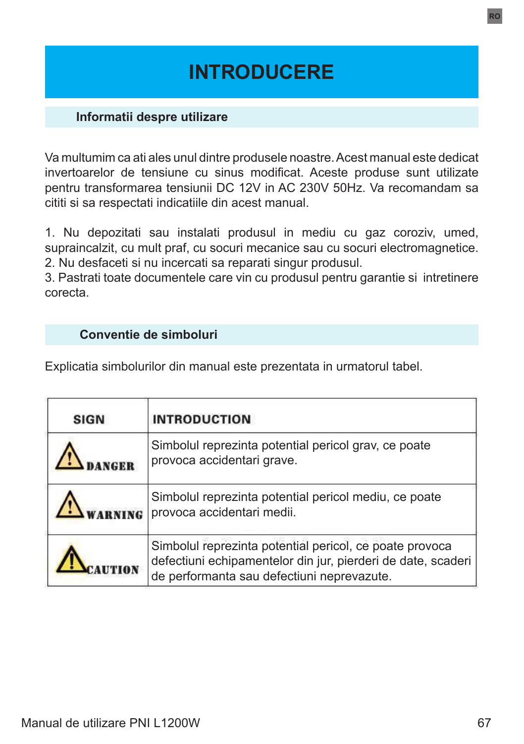# **INTRODUCERE**

#### **Informatii despre utilizare**

Va multumim ca ati ales unul dintre produsele noastre. Acest manual este dedicat invertoarelor de tensiune cu sinus modificat. Aceste produse sunt utilizate pentru transformarea tensiunii DC 12V in AC 230V 50Hz. Va recomandam sa cititi si sa respectati indicatiile din acest manual.

1. Nu depozitati sau instalati produsul in mediu cu gaz coroziv, umed, supraincalzit, cu mult praf, cu socuri mecanice sau cu socuri electromagnetice. 2. Nu desfaceti si nu incercati sa reparati singur produsul.

3. Pastrati toate documentele care vin cu produsul pentru garantie si intretinere corecta.

#### **Conventie de simboluri**

Explicatia simbolurilor din manual este prezentata in urmatorul tabel.

| <b>SIGN</b> | <b>INTRODUCTION</b>                                                                                                                                                   |
|-------------|-----------------------------------------------------------------------------------------------------------------------------------------------------------------------|
|             | Simbolul reprezinta potential pericol grav, ce poate<br>provoca accidentari grave.                                                                                    |
|             | Simbolul reprezinta potential pericol mediu, ce poate<br>provoca accidentari medii.                                                                                   |
|             | Simbolul reprezinta potential pericol, ce poate provoca<br>defectiuni echipamentelor din jur, pierderi de date, scaderi<br>de performanta sau defectiuni neprevazute. |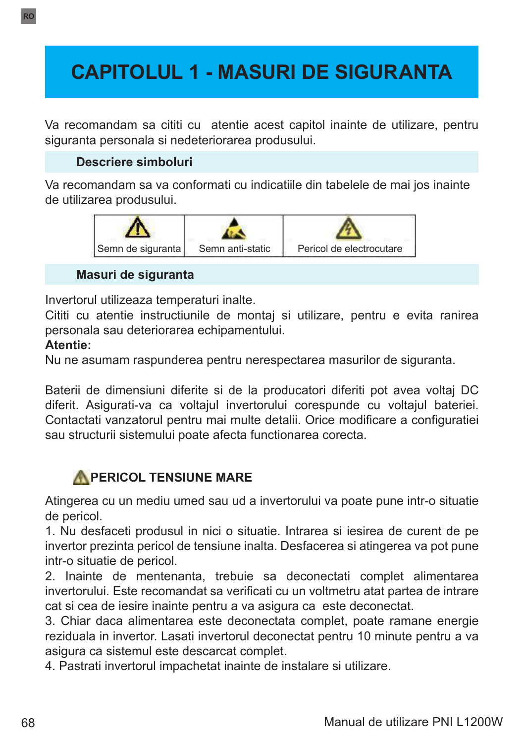# **CAPITOLUL 1 - MASURI DE SIGURANTA**

Va recomandam sa cititi cu atentie acest capitol inainte de utilizare, pentru siguranta personala si nedeteriorarea produsului.

### **Descriere simboluri**

Va recomandam sa va conformati cu indicatiile din tabelele de mai jos inainte de utilizarea produsului.



#### **Masuri de siguranta**

Invertorul utilizeaza temperaturi inalte.

Cititi cu atentie instructiunile de montaj si utilizare, pentru e evita ranirea personala sau deteriorarea echipamentului.

#### **Atentie:**

Nu ne asumam raspunderea pentru nerespectarea masurilor de siguranta.

Baterii de dimensiuni diferite si de la producatori diferiti pot avea voltaj DC diferit. Asigurati-va ca voltajul invertorului corespunde cu voltajul bateriei. Contactati vanzatorul pentru mai multe detalii. Orice modificare a configuratiei sau structurii sistemului poate afecta functionarea corecta.

## **PERICOL TENSIUNE MARE**

Atingerea cu un mediu umed sau ud a invertorului va poate pune intr-o situatie de pericol.

1. Nu desfaceti produsul in nici o situatie. Intrarea si iesirea de curent de pe invertor prezinta pericol de tensiune inalta. Desfacerea si atingerea va pot pune intr-o situatie de pericol.

2. Inainte de mentenanta, trebuie sa deconectati complet alimentarea invertorului. Este recomandat sa verificati cu un voltmetru atat partea de intrare cat si cea de iesire inainte pentru a va asigura ca este deconectat.

3. Chiar daca alimentarea este deconectata complet, poate ramane energie reziduala in invertor. Lasati invertorul deconectat pentru 10 minute pentru a va asigura ca sistemul este descarcat complet.

4. Pastrati invertorul impachetat inainte de instalare si utilizare.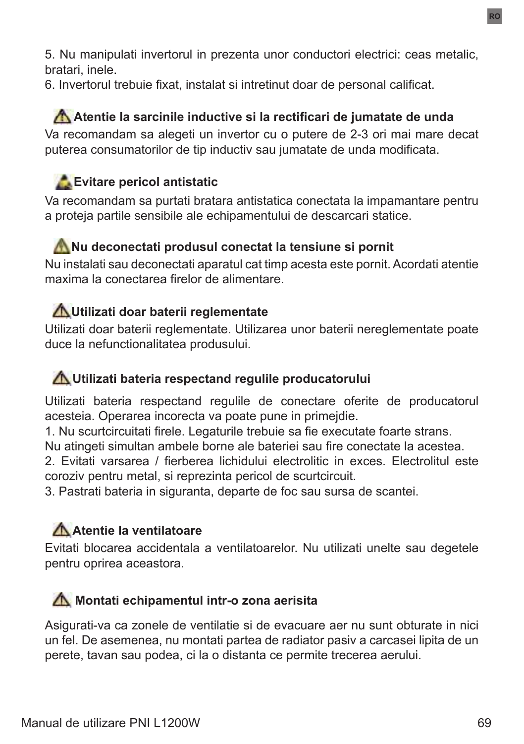5. Nu manipulati invertorul in prezenta unor conductori electrici: ceas metalic, bratari, inele.

6. Invertorul trebuie fixat, instalat si intretinut doar de personal calificat.

## **Atentie la sarcinile inductive si la rectificari de jumatate de unda** Va recomandam sa alegeti un invertor cu o putere de 2-3 ori mai mare decat puterea consumatorilor de tip inductiv sau jumatate de unda modificata.

# **Evitare pericol antistatic**

Va recomandam sa purtati bratara antistatica conectata la impamantare pentru a proteja partile sensibile ale echipamentului de descarcari statice.

## **Nu deconectati produsul conectat la tensiune si pornit**

Nu instalati sau deconectati aparatul cat timp acesta este pornit. Acordati atentie maxima la conectarea firelor de alimentare.

## **Utilizati doar baterii reglementate**

Utilizati doar baterii reglementate. Utilizarea unor baterii nereglementate poate duce la nefunctionalitatea produsului.

## **Utilizati bateria respectand regulile producatorului**

Utilizati bateria respectand regulile de conectare oferite de producatorul acesteia. Operarea incorecta va poate pune in primejdie.

1. Nu scurtcircuitati firele. Legaturile trebuie sa fie executate foarte strans.

Nu atingeti simultan ambele borne ale bateriei sau fire conectate la acestea.

2. Evitati varsarea / fierberea lichidului electrolitic in exces. Electrolitul este coroziv pentru metal, si reprezinta pericol de scurtcircuit.

3. Pastrati bateria in siguranta, departe de foc sau sursa de scantei.

# **Atentie la ventilatoare**

Evitati blocarea accidentala a ventilatoarelor. Nu utilizati unelte sau degetele pentru oprirea aceastora.

## **M** Montati echipamentul intr-o zona aerisita

Asigurati-va ca zonele de ventilatie si de evacuare aer nu sunt obturate in nici un fel. De asemenea, nu montati partea de radiator pasiv a carcasei lipita de un perete, tavan sau podea, ci la o distanta ce permite trecerea aerului.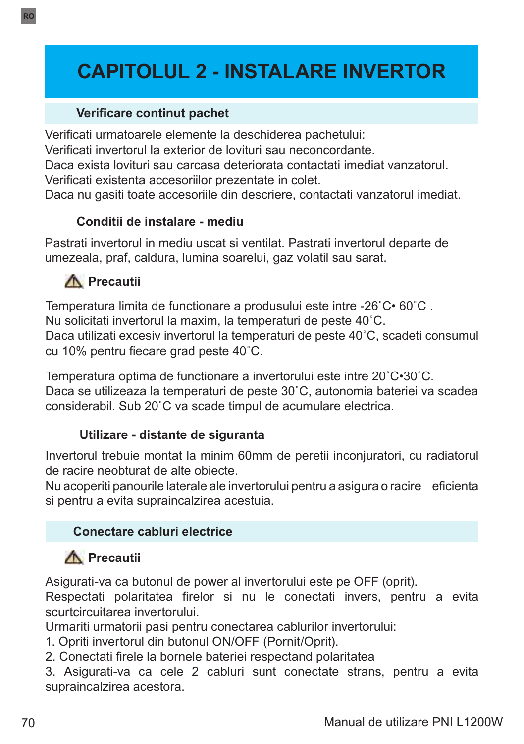# **CAPITOLUL 2 - INSTALARE INVERTOR**

#### **Verificare continut pachet**

Verificati urmatoarele elemente la deschiderea pachetului:

Verificati invertorul la exterior de lovituri sau neconcordante.

Daca exista lovituri sau carcasa deteriorata contactati imediat vanzatorul. Verificati existenta accesoriilor prezentate in colet.

Daca nu gasiti toate accesoriile din descriere, contactati vanzatorul imediat.

### **Conditii de instalare - mediu**

Pastrati invertorul in mediu uscat si ventilat. Pastrati invertorul departe de umezeala, praf, caldura, lumina soarelui, gaz volatil sau sarat.

## **A** Precautii

Temperatura limita de functionare a produsului este intre -26˚C• 60˚C . Nu solicitati invertorul la maxim, la temperaturi de peste 40˚C. Daca utilizati excesiv invertorul la temperaturi de peste 40˚C, scadeti consumul cu 10% pentru fiecare grad peste 40˚C.

Temperatura optima de functionare a invertorului este intre 20˚C•30˚C. Daca se utilizeaza la temperaturi de peste 30˚C, autonomia bateriei va scadea considerabil. Sub 20˚C va scade timpul de acumulare electrica.

### **Utilizare - distante de siguranta**

Invertorul trebuie montat la minim 60mm de peretii inconjuratori, cu radiatorul de racire neobturat de alte obiecte.

Nu acoperiti panourile laterale ale invertorului pentru a asigura o racire eficienta si pentru a evita supraincalzirea acestuia.

### **Conectare cabluri electrice**

# **Precautii**

Asigurati-va ca butonul de power al invertorului este pe OFF (oprit).

Respectati polaritatea firelor si nu le conectati invers, pentru a evita scurtcircuitarea invertorului.

Urmariti urmatorii pasi pentru conectarea cablurilor invertorului:

- 1. Opriti invertorul din butonul ON/OFF (Pornit/Oprit).
- 2. Conectati firele la bornele bateriei respectand polaritatea

3. Asigurati-va ca cele 2 cabluri sunt conectate strans, pentru a evita supraincalzirea acestora.

**RO**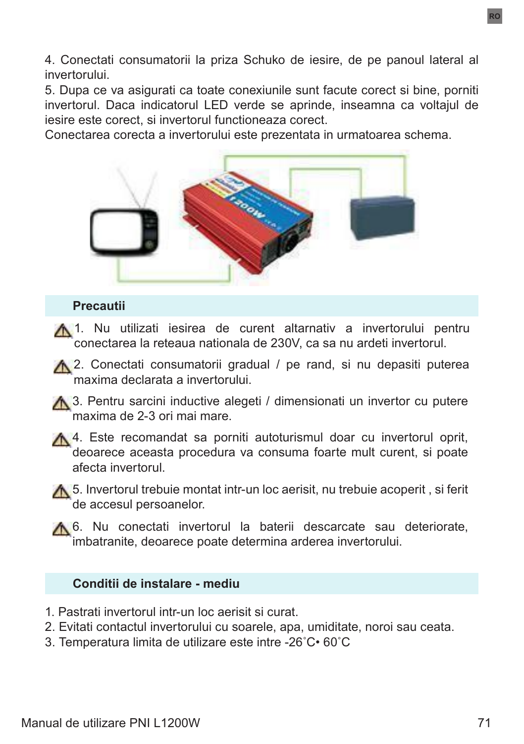4. Conectati consumatorii la priza Schuko de iesire, de pe panoul lateral al invertorului.

5. Dupa ce va asigurati ca toate conexiunile sunt facute corect si bine, porniti invertorul. Daca indicatorul LED verde se aprinde, inseamna ca voltajul de iesire este corect, si invertorul functioneaza corect.

Conectarea corecta a invertorului este prezentata in urmatoarea schema.



#### **Precautii**

A 1. Nu utilizati iesirea de curent altarnativ a invertorului pentru conectarea la reteaua nationala de 230V, ca sa nu ardeti invertorul.

A 2. Conectati consumatorii gradual / pe rand, si nu depasiti puterea maxima declarata a invertorului.

A 3. Pentru sarcini inductive alegeti / dimensionati un invertor cu putere maxima de 2-3 ori mai mare.

A 4. Este recomandat sa porniti autoturismul doar cu invertorul oprit, deoarece aceasta procedura va consuma foarte mult curent, si poate afecta invertorul.

**A.** 5. Invertorul trebuie montat intr-un loc aerisit, nu trebuie acoperit, si ferit de accesul persoanelor.

A 6. Nu conectati invertorul la baterii descarcate sau deteriorate, imbatranite, deoarece poate determina arderea invertorului.

#### **Conditii de instalare - mediu**

- 1. Pastrati invertorul intr-un loc aerisit si curat.
- 2. Evitati contactul invertorului cu soarele, apa, umiditate, noroi sau ceata.
- 3. Temperatura limita de utilizare este intre -26˚C• 60˚C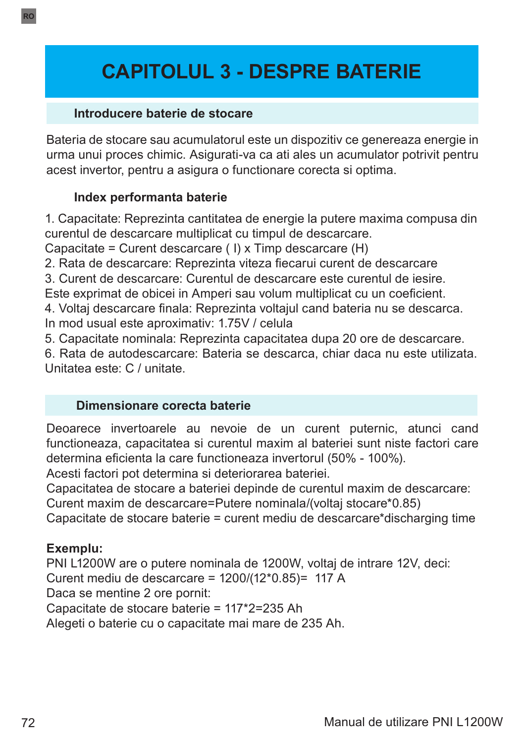# **CAPITOLUL 3 - DESPRE BATERIE**

#### **Introducere baterie de stocare**

Bateria de stocare sau acumulatorul este un dispozitiv ce genereaza energie in urma unui proces chimic. Asigurati-va ca ati ales un acumulator potrivit pentru acest invertor, pentru a asigura o functionare corecta si optima.

#### **Index performanta baterie**

1. Capacitate: Reprezinta cantitatea de energie la putere maxima compusa din curentul de descarcare multiplicat cu timpul de descarcare.

Capacitate = Curent descarcare ( I) x Timp descarcare (H)

2. Rata de descarcare: Reprezinta viteza fiecarui curent de descarcare

3. Curent de descarcare: Curentul de descarcare este curentul de iesire.

Este exprimat de obicei in Amperi sau volum multiplicat cu un coeficient.

4. Voltaj descarcare finala: Reprezinta voltajul cand bateria nu se descarca. In mod usual este aproximativ: 1.75V / celula

5. Capacitate nominala: Reprezinta capacitatea dupa 20 ore de descarcare.

6. Rata de autodescarcare: Bateria se descarca, chiar daca nu este utilizata. Unitatea este: C / unitate.

#### **Dimensionare corecta baterie**

Deoarece invertoarele au nevoie de un curent puternic, atunci cand functioneaza, capacitatea si curentul maxim al bateriei sunt niste factori care determina eficienta la care functioneaza invertorul (50% - 100%).

Acesti factori pot determina si deteriorarea bateriei.

Capacitatea de stocare a bateriei depinde de curentul maxim de descarcare:

Curent maxim de descarcare=Putere nominala/(voltaj stocare\*0.85)

Capacitate de stocare baterie = curent mediu de descarcare\*discharging time

#### **Exemplu:**

PNI L1200W are o putere nominala de 1200W, voltaj de intrare 12V, deci: Curent mediu de descarcare = 1200/(12\*0.85)= 117 A Daca se mentine 2 ore pornit: Capacitate de stocare baterie = 117\*2=235 Ah Alegeti o baterie cu o capacitate mai mare de 235 Ah.

**RO**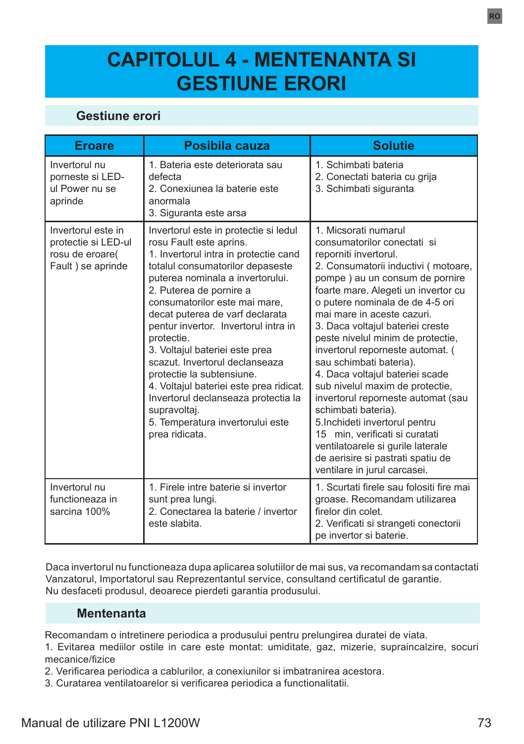# **CAPITOLUL 4 - MENTENANTA SI GESTIUNE ERORI**

### **Gestiune erori**

| <b>Eroare</b>                                                                     | Posibila cauza                                                                                                                                                                                                                                                                                                                                                                                                                                                                                                                                                                                  | <b>Solutie</b>                                                                                                                                                                                                                                                                                                                                                                                                                                                                                                                                                                                                                                                                                                        |
|-----------------------------------------------------------------------------------|-------------------------------------------------------------------------------------------------------------------------------------------------------------------------------------------------------------------------------------------------------------------------------------------------------------------------------------------------------------------------------------------------------------------------------------------------------------------------------------------------------------------------------------------------------------------------------------------------|-----------------------------------------------------------------------------------------------------------------------------------------------------------------------------------------------------------------------------------------------------------------------------------------------------------------------------------------------------------------------------------------------------------------------------------------------------------------------------------------------------------------------------------------------------------------------------------------------------------------------------------------------------------------------------------------------------------------------|
| Invertorul nu<br>porneste si LED-<br>ul Power nu se<br>aprinde                    | 1 Bateria este deteriorata sau<br>defecta<br>2. Conexiunea la baterie este<br>anormala<br>3. Siguranta este arsa                                                                                                                                                                                                                                                                                                                                                                                                                                                                                | 1 Schimbati bateria<br>2. Conectati bateria cu grija<br>3. Schimbati siguranta                                                                                                                                                                                                                                                                                                                                                                                                                                                                                                                                                                                                                                        |
| Invertorul este in<br>protectie si LED-ul<br>rosu de eroare(<br>Fault) se aprinde | Invertorul este in protectie si ledul<br>rosu Fault este aprins.<br>1. Invertorul intra in protectie cand<br>totalul consumatorilor depaseste<br>puterea nominala a invertorului.<br>2. Puterea de pornire a<br>consumatorilor este mai mare,<br>decat puterea de varf declarata<br>pentur invertor. Invertorul intra in<br>protectie.<br>3. Voltajul bateriei este prea<br>scazut. Invertorul declanseaza<br>protectie la subtensiune.<br>4. Voltajul bateriei este prea ridicat.<br>Invertorul declanseaza protectia la<br>supravoltaj.<br>5. Temperatura invertorului este<br>prea ridicata. | 1 Micsorati numarul<br>consumatorilor conectati si<br>reporniti invertorul.<br>2. Consumatorii inductivi (motoare,<br>pompe) au un consum de pornire<br>foarte mare. Alegeti un invertor cu<br>o putere nominala de de 4-5 ori<br>mai mare in aceste cazuri.<br>3. Daca voltajul bateriei creste<br>peste nivelul minim de protectie,<br>invertorul reporneste automat. (<br>sau schimbati bateria).<br>4. Daca voltajul bateriei scade<br>sub nivelul maxim de protectie,<br>invertorul reporneste automat (sau<br>schimbati bateria).<br>5. Inchideti invertorul pentru<br>15 min, verificati si curatati<br>ventilatoarele si gurile laterale<br>de aerisire si pastrati spatiu de<br>ventilare in jurul carcasei. |
| Invertorul nu<br>functioneaza in<br>sarcina 100%                                  | 1. Firele intre baterie si invertor<br>sunt prea lungi.<br>2. Conectarea la baterie / invertor<br>este slabita                                                                                                                                                                                                                                                                                                                                                                                                                                                                                  | 1. Scurtati firele sau folositi fire mai<br>groase. Recomandam utilizarea<br>firelor din colet.<br>2. Verificati si strangeti conectorii<br>pe invertor si baterie.                                                                                                                                                                                                                                                                                                                                                                                                                                                                                                                                                   |

Daca invertorul nu functioneaza dupa aplicarea solutiilor de mai sus, va recomandam sa contactati Vanzatorul, Importatorul sau Reprezentantul service, consultand certificatul de garantie. Nu desfaceti produsul, deoarece pierdeti garantia produsului.

#### **Mentenanta**

Recomandam o intretinere periodica a produsului pentru prelungirea duratei de viata.

1. Evitarea mediilor ostile in care este montat: umiditate, gaz, mizerie, supraincalzire, socuri mecanice/fizice

2. Verificarea periodica a cablurilor, a conexiunilor si imbatranirea acestora.

3. Curatarea ventilatoarelor si verificarea periodica a functionalitatii.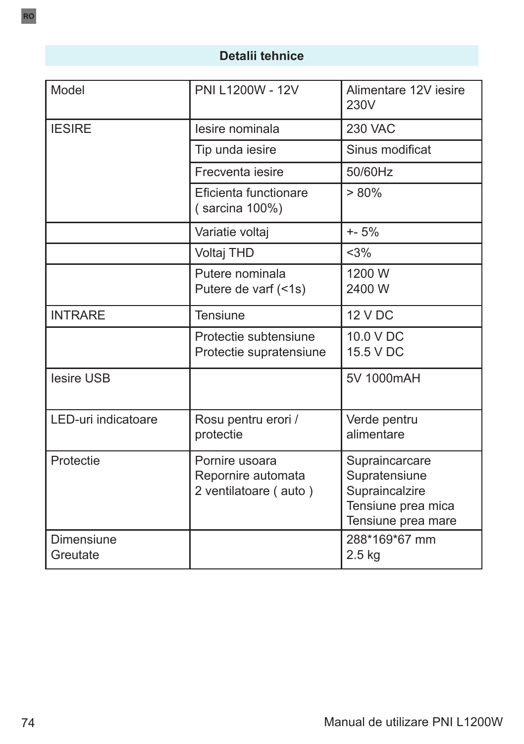## **Detalii tehnice**

| Model                         | PNI L1200W - 12V                                              | Alimentare 12V iesire<br>230V                                                                 |
|-------------------------------|---------------------------------------------------------------|-----------------------------------------------------------------------------------------------|
| <b>IESIRE</b>                 | lesire nominala                                               | <b>230 VAC</b>                                                                                |
|                               | Tip unda iesire                                               | Sinus modificat                                                                               |
|                               | Frecventa jesire                                              | 50/60Hz                                                                                       |
|                               | Eficienta functionare<br>(sarcina 100%)                       | $> 80\%$                                                                                      |
|                               | Variatie voltaj                                               | $+ - 5%$                                                                                      |
|                               | Voltaj THD                                                    | <3%                                                                                           |
|                               | Putere nominala<br>Putere de varf (<1s)                       | 1200 W<br>2400 W                                                                              |
| <b>INTRARE</b>                | <b>Tensiune</b>                                               | <b>12 V DC</b>                                                                                |
|                               | Protectie subtensiune<br>Protectie supratensiune              | 10.0 V DC<br>15.5 V DC                                                                        |
| lesire USB                    |                                                               | 5V 1000mAH                                                                                    |
| LED-uri indicatoare           | Rosu pentru erori /<br>protectie                              | Verde pentru<br>alimentare                                                                    |
| Protectie                     | Pornire usoara<br>Repornire automata<br>2 ventilatoare (auto) | Supraincarcare<br>Supratensiune<br>Supraincalzire<br>Tensiune prea mica<br>Tensiune prea mare |
| <b>Dimensiune</b><br>Greutate |                                                               | 288*169*67 mm<br>$2.5$ kg                                                                     |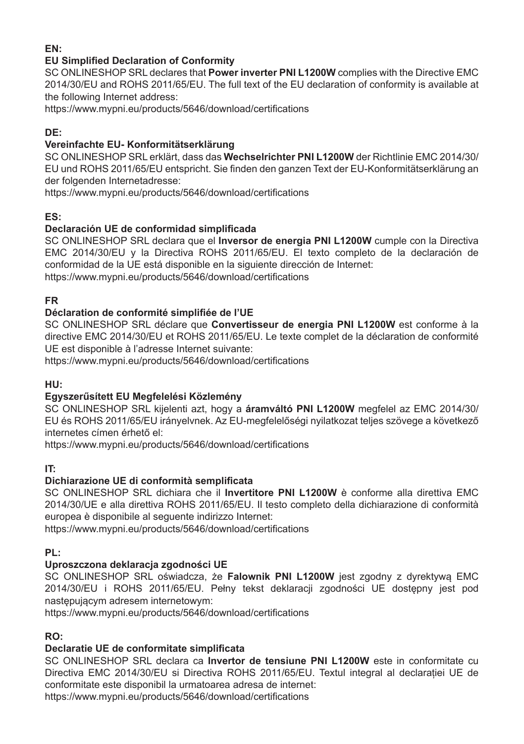#### **EN:**

#### **EU Simplified Declaration of Conformity**

SC ONLINESHOP SRL declares that **Power inverter PNI L1200W** complies with the Directive EMC 2014/30/EU and ROHS 2011/65/EU. The full text of the EU declaration of conformity is available at the following Internet address:

https://www.mypni.eu/products/5646/download/certifications

#### **DE:**

#### **Vereinfachte EU- Konformitätserklärung**

SC ONLINESHOP SRL erklärt, dass das **Wechselrichter PNI L1200W** der Richtlinie EMC 2014/30/ EU und ROHS 2011/65/EU entspricht. Sie finden den ganzen Text der EU-Konformitätserklärung an der folgenden Internetadresse:

https://www.mypni.eu/products/5646/download/certifications

#### **ES:**

#### **Declaración UE de conformidad simplificada**

SC ONLINESHOP SRL declara que el **Inversor de energia PNI L1200W** cumple con la Directiva EMC 2014/30/EU y la Directiva ROHS 2011/65/EU. El texto completo de la declaración de conformidad de la UE está disponible en la siguiente dirección de Internet:

https://www.mypni.eu/products/5646/download/certifications

#### **FR**

#### **Déclaration de conformité simplifiée de l'UE**

SC ONLINESHOP SRL déclare que **Convertisseur de energia PNI L1200W** est conforme à la directive EMC 2014/30/EU et ROHS 2011/65/EU. Le texte complet de la déclaration de conformité UE est disponible à l'adresse Internet suivante:

https://www.mypni.eu/products/5646/download/certifications

#### **HU:**

#### **Egyszerűsített EU Megfelelési Közlemény**

SC ONLINESHOP SRL kijelenti azt, hogy a **áramváltó PNI L1200W** megfelel az EMC 2014/30/ EU és ROHS 2011/65/EU irányelvnek. Az EU-megfelelőségi nyilatkozat teljes szövege a következő internetes címen érhető el:

https://www.mypni.eu/products/5646/download/certifications

#### **IT:**

#### **Dichiarazione UE di conformità semplificata**

SC ONLINESHOP SRL dichiara che il **Invertitore PNI L1200W** è conforme alla direttiva EMC 2014/30/UE e alla direttiva ROHS 2011/65/EU. Il testo completo della dichiarazione di conformità europea è disponibile al seguente indirizzo Internet:

https://www.mypni.eu/products/5646/download/certifications

#### **PL:**

#### **Uproszczona deklaracja zgodności UE**

SC ONLINESHOP SRL oświadcza, że **Falownik PNI L1200W** jest zgodny z dyrektywą EMC 2014/30/EU i ROHS 2011/65/EU. Pełny tekst deklaracji zgodności UE dostępny jest pod następującym adresem internetowym:

https://www.mypni.eu/products/5646/download/certifications

#### **RO:**

#### **Declaratie UE de conformitate simplificata**

SC ONLINESHOP SRL declara ca **Invertor de tensiune PNI L1200W** este in conformitate cu Directiva EMC 2014/30/EU si Directiva ROHS 2011/65/EU. Textul integral al declarației UE de conformitate este disponibil la urmatoarea adresa de internet:

https://www.mypni.eu/products/5646/download/certifications